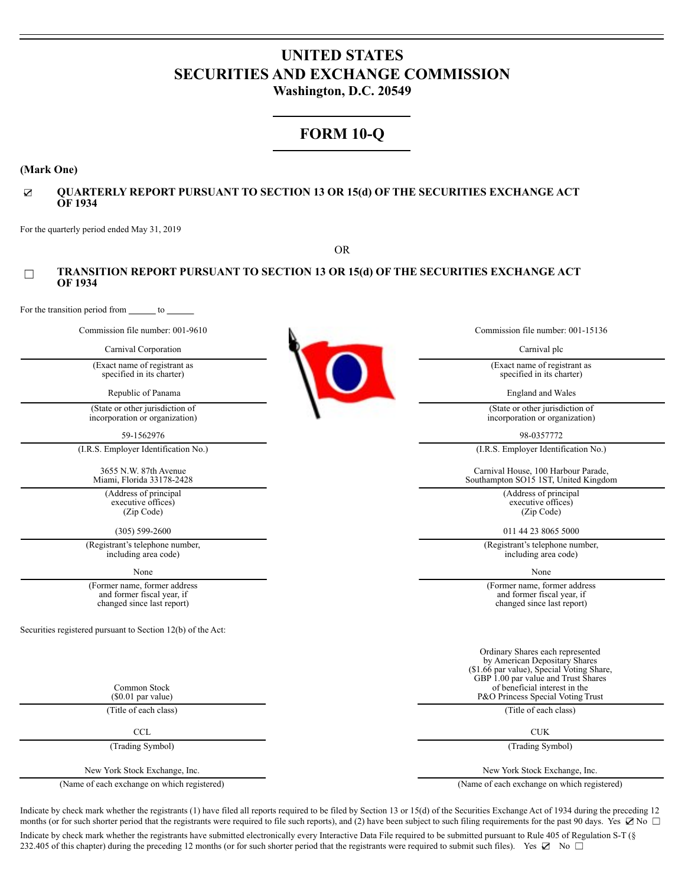# **UNITED STATES SECURITIES AND EXCHANGE COMMISSION**

**Washington, D.C. 20549**

# **FORM 10-Q**

**(Mark One)**

#### **QUARTERLY REPORT PURSUANT TO SECTION 13 OR 15(d) OF THE SECURITIES EXCHANGE ACT**  $\triangledown$ **OF 1934**

For the quarterly period ended May 31, 2019

OR

#### **TRANSITION REPORT PURSUANT TO SECTION 13 OR 15(d) OF THE SECURITIES EXCHANGE ACT**  $\Box$ **OF 1934**

For the transition period from \_\_\_\_\_\_\_ to

(Exact name of registrant as specified in its charter)

(State or other jurisdiction of incorporation or organization)

(I.R.S. Employer Identification No.) (I.R.S. Employer Identification No.)

3655 N.W. 87th Avenue Miami, Florida 33178-2428

> (Address of principal executive offices) (Zip Code)

(Registrant's telephone number, including area code)

None None

(Former name, former address and former fiscal year, if changed since last report)

Securities registered pursuant to Section 12(b) of the Act:

Common Stock (\$0.01 par value)

(Trading Symbol) (Trading Symbol)

New York Stock Exchange, Inc. New York Stock Exchange, Inc.

(Name of each exchange on which registered) (Name of each exchange on which registered)

Carnival Corporation Carnival Property and the Carnival plc Carnival plc Carnival plc Republic of Panama England and Wales

Commission file number: 001-9610 Commission file number: 001-15136

(Exact name of registrant as specified in its charter)

(State or other jurisdiction of incorporation or organization)

59-1562976 98-0357772

Carnival House, 100 Harbour Parade, Southampton SO15 1ST, United Kingdom

> (Address of principal executive offices) (Zip Code)

(305) 599-2600 011 44 23 8065 5000

(Registrant's telephone number, including area code)

(Former name, former address and former fiscal year, if changed since last report)

Ordinary Shares each represented by American Depositary Shares (\$1.66 par value), Special Voting Share, GBP 1.00 par value and Trust Shares of beneficial interest in the P&O Princess Special Voting Trust

(Title of each class) (Title of each class)

CCL CUK

Indicate by check mark whether the registrants (1) have filed all reports required to be filed by Section 13 or 15(d) of the Securities Exchange Act of 1934 during the preceding 12 months (or for such shorter period that the registrants were required to file such reports), and (2) have been subject to such filing requirements for the past 90 days. Yes  $\Box$  No  $\Box$ 

Indicate by check mark whether the registrants have submitted electronically every Interactive Data File required to be submitted pursuant to Rule 405 of Regulation S-T (§ 232.405 of this chapter) during the preceding 12 months (or for such shorter period that the registrants were required to submit such files). Yes  $\boxtimes$  No  $\Box$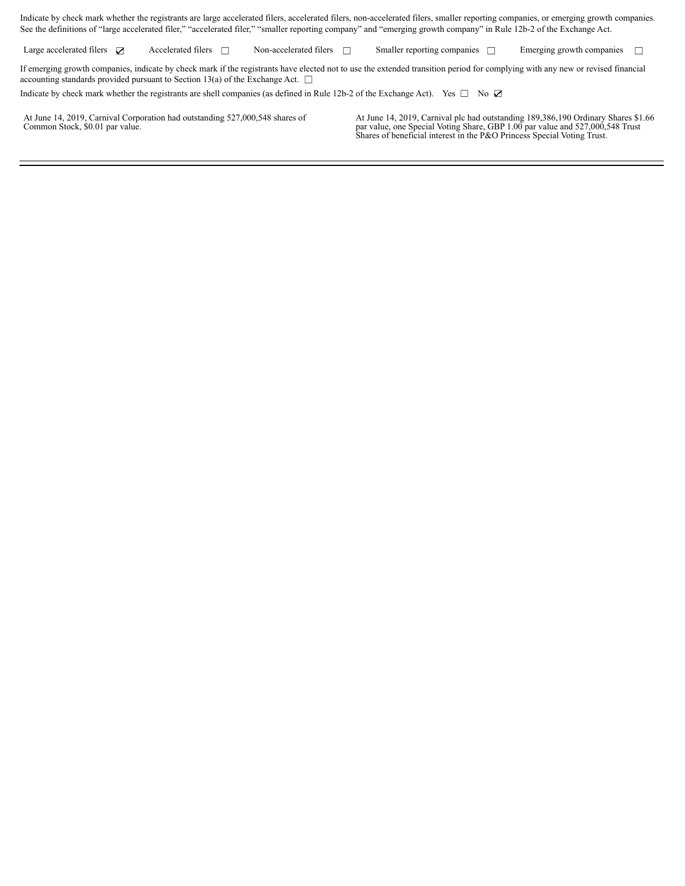Indicate by check mark whether the registrants are large accelerated filers, accelerated filers, non-accelerated filers, smaller reporting companies, or emerging growth companies. See the definitions of "large accelerated filer," "accelerated filer," "smaller reporting company" and "emerging growth company" in Rule 12b-2 of the Exchange Act.

Large accelerated filers  $\Box$  Accelerated filers  $\Box$  Non-accelerated filers  $\Box$  Smaller reporting companies  $\Box$  Emerging growth companies  $\Box$ 

If emerging growth companies, indicate by check mark if the registrants have elected not to use the extended transition period for complying with any new or revised financial accounting standards provided pursuant to Section 13(a) of the Exchange Act.  $\Box$ 

Indicate by check mark whether the registrants are shell companies (as defined in Rule 12b-2 of the Exchange Act). Yes  $\Box$  No

At June 14, 2019, Carnival Corporation had outstanding 527,000,548 shares of Common Stock, \$0.01 par value.

At June 14, 2019, Carnival plc had outstanding 189,386,190 Ordinary Shares \$1.66 par value, one Special Voting Share, GBP 1.00 par value and 527,000,548 Trust Shares of beneficial interest in the P&O Princess Special Voting Trust.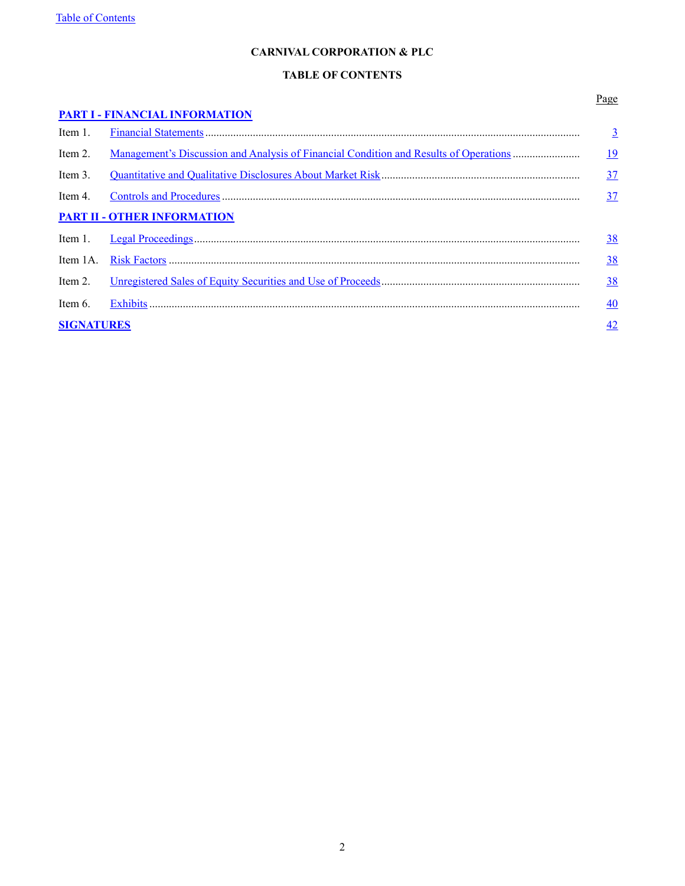<span id="page-2-0"></span>Table of Contents

## **CARNIVAL CORPORATION & PLC**

## **TABLE OF CONTENTS**

## **PART I - FINANCIAL INFORMATION**

|                   | TANI 1 - FINANCIAL INFONMATION                                                        |                  |
|-------------------|---------------------------------------------------------------------------------------|------------------|
| Item 1.           |                                                                                       | $\underline{3}$  |
| Item 2.           | Management's Discussion and Analysis of Financial Condition and Results of Operations | <u>19</u>        |
| Item 3.           |                                                                                       | 37               |
| Item 4.           |                                                                                       | 37               |
|                   | <b>PART II - OTHER INFORMATION</b>                                                    |                  |
| Item 1.           |                                                                                       | 38               |
| Item 1A.          |                                                                                       | 38               |
| Item 2.           |                                                                                       | 38               |
| Item 6.           |                                                                                       | $\underline{40}$ |
| <b>SIGNATURES</b> |                                                                                       | 42               |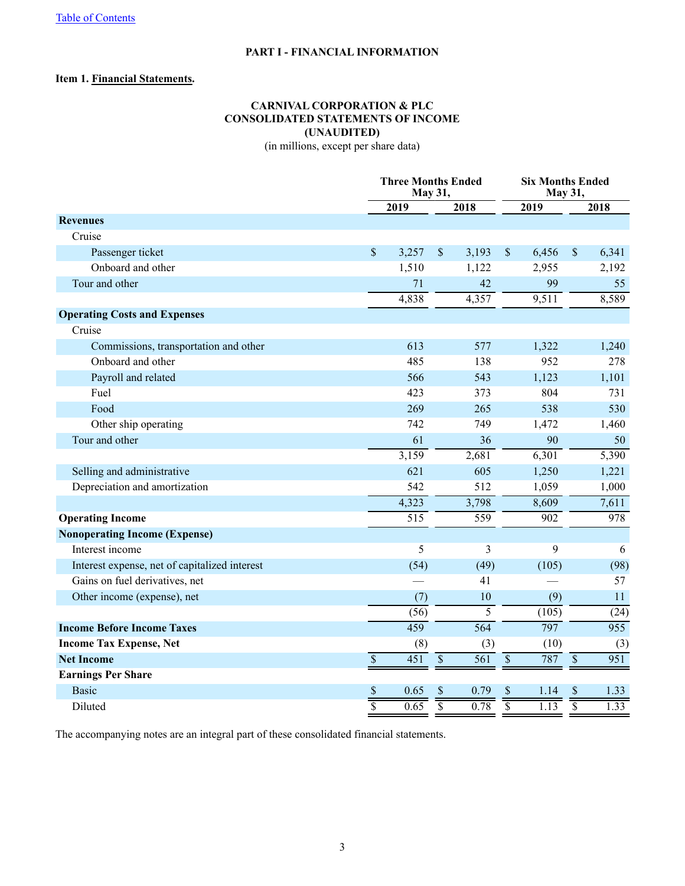## **PART I - FINANCIAL INFORMATION**

## <span id="page-3-0"></span>**Item 1. Financial Statements.**

## **CARNIVAL CORPORATION & PLC CONSOLIDATED STATEMENTS OF INCOME (UNAUDITED)**

(in millions, except per share data)

|                                               |                 | <b>Three Months Ended</b><br>May 31, |                          |                     | <b>Six Months Ended</b><br>May 31, |                  |                          |                   |  |
|-----------------------------------------------|-----------------|--------------------------------------|--------------------------|---------------------|------------------------------------|------------------|--------------------------|-------------------|--|
|                                               |                 | $\overline{2019}$                    |                          | 2018                |                                    | 2019             |                          | 2018              |  |
| <b>Revenues</b>                               |                 |                                      |                          |                     |                                    |                  |                          |                   |  |
| Cruise                                        |                 |                                      |                          |                     |                                    |                  |                          |                   |  |
| Passenger ticket                              | $\mathsf{\$}$   | 3,257                                | $\mathcal{S}$            | 3,193               | $\mathsf{\$}$                      | 6,456            | $\mathsf{\$}$            | 6,341             |  |
| Onboard and other                             |                 | 1,510                                |                          | 1,122               |                                    | 2,955            |                          | 2,192             |  |
| Tour and other                                |                 | 71                                   |                          | 42                  |                                    | 99               |                          | 55                |  |
|                                               |                 | 4,838                                |                          | 4,357               |                                    | 9,511            |                          | 8,589             |  |
| <b>Operating Costs and Expenses</b>           |                 |                                      |                          |                     |                                    |                  |                          |                   |  |
| Cruise                                        |                 |                                      |                          |                     |                                    |                  |                          |                   |  |
| Commissions, transportation and other         |                 | 613                                  |                          | 577                 |                                    | 1,322            |                          | 1,240             |  |
| Onboard and other                             |                 | 485                                  |                          | 138                 |                                    | 952              |                          | 278               |  |
| Payroll and related                           |                 | 566                                  |                          | 543                 |                                    | 1,123            |                          | 1,101             |  |
| Fuel                                          |                 | 423                                  |                          | 373                 |                                    | 804              |                          | 731               |  |
| Food                                          |                 | 269                                  |                          | 265                 |                                    | 538              |                          | 530               |  |
| Other ship operating                          |                 | 742                                  |                          | 749                 |                                    | 1,472            |                          | 1,460             |  |
| Tour and other                                |                 | 61                                   |                          | 36                  |                                    | 90               |                          | 50                |  |
|                                               |                 | 3,159                                |                          | 2,681               |                                    | 6,301            |                          | 5,390             |  |
| Selling and administrative                    |                 | 621                                  |                          | 605                 |                                    | 1,250            |                          | 1,221             |  |
| Depreciation and amortization                 |                 | 542                                  |                          | 512                 |                                    | 1,059            |                          | 1,000             |  |
|                                               |                 | 4,323                                |                          | 3,798               |                                    | 8,609            |                          | 7,611             |  |
| <b>Operating Income</b>                       |                 | $\overline{515}$                     |                          | $\overline{559}$    |                                    | $\overline{902}$ |                          | $\overline{978}$  |  |
| <b>Nonoperating Income (Expense)</b>          |                 |                                      |                          |                     |                                    |                  |                          |                   |  |
| Interest income                               |                 | 5                                    |                          | 3                   |                                    | 9                |                          | 6                 |  |
| Interest expense, net of capitalized interest |                 | (54)                                 |                          | (49)                |                                    | (105)            |                          | (98)              |  |
| Gains on fuel derivatives, net                |                 |                                      |                          | 41                  |                                    |                  |                          | 57                |  |
| Other income (expense), net                   |                 | (7)                                  |                          | 10                  |                                    | (9)              |                          | 11                |  |
|                                               |                 | (56)                                 |                          | $\overline{5}$      |                                    | (105)            |                          | $\overline{(24)}$ |  |
| <b>Income Before Income Taxes</b>             |                 | 459                                  |                          | $\overline{564}$    |                                    | 797              |                          | 955               |  |
| <b>Income Tax Expense, Net</b>                |                 | (8)                                  |                          | (3)                 |                                    | (10)             |                          | (3)               |  |
| <b>Net Income</b>                             | $\overline{\$}$ | $\overline{451}$                     | $\overline{\mathcal{S}}$ | $\overline{561}$    | $\overline{\$}$                    | 787              | $\overline{\mathcal{S}}$ | 951               |  |
| <b>Earnings Per Share</b>                     |                 |                                      |                          |                     |                                    |                  |                          |                   |  |
| <b>Basic</b>                                  | \$              | 0.65                                 | \$                       | 0.79                | \$                                 | 1.14             | \$                       | 1.33              |  |
| Diluted                                       | $\overline{s}$  | 0.65                                 | $\overline{\$}$          | $\frac{0.78}{0.78}$ | $\overline{\$}$                    | 1.13             | $\overline{\$}$          | 1.33              |  |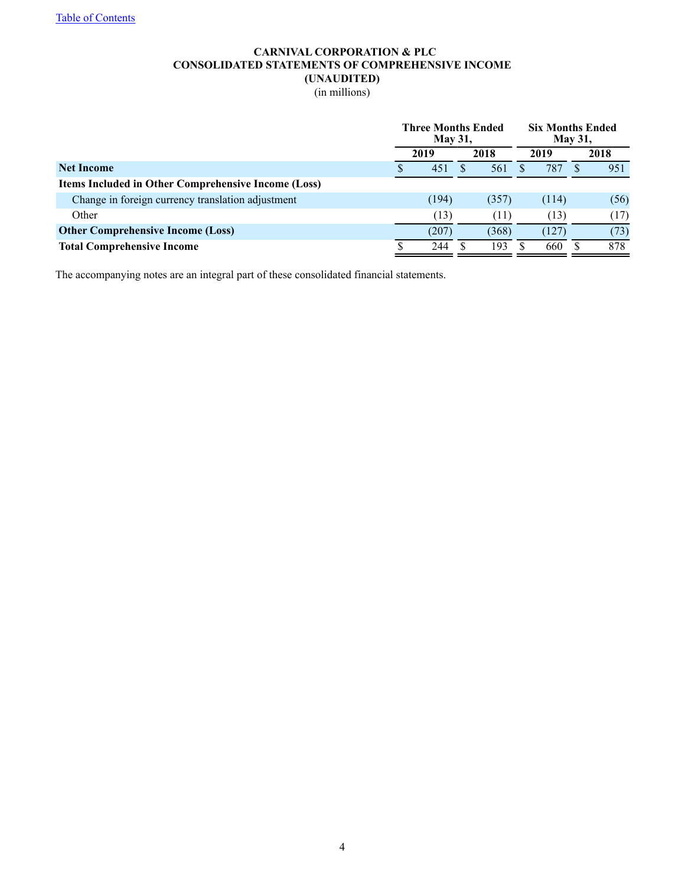## **CARNIVAL CORPORATION & PLC CONSOLIDATED STATEMENTS OF COMPREHENSIVE INCOME (UNAUDITED)**

(in millions)

|                                                     | <b>Three Months Ended</b><br><b>May 31,</b> |       |  |       | <b>Six Months Ended</b><br><b>May 31,</b> |       |              |      |
|-----------------------------------------------------|---------------------------------------------|-------|--|-------|-------------------------------------------|-------|--------------|------|
|                                                     | 2019                                        |       |  | 2018  |                                           | 2019  |              | 2018 |
| <b>Net Income</b>                                   |                                             | 451   |  | 561   |                                           | 787   | <sup>2</sup> | 951  |
| Items Included in Other Comprehensive Income (Loss) |                                             |       |  |       |                                           |       |              |      |
| Change in foreign currency translation adjustment   |                                             | (194) |  | (357) |                                           | (114) |              | (56) |
| Other                                               |                                             | (13)  |  | (11)  |                                           | (13)  |              | (17) |
| <b>Other Comprehensive Income (Loss)</b>            |                                             | (207) |  | (368) |                                           | (127) |              | (73) |
| <b>Total Comprehensive Income</b>                   |                                             | 244   |  | 193   |                                           | 660   |              | 878  |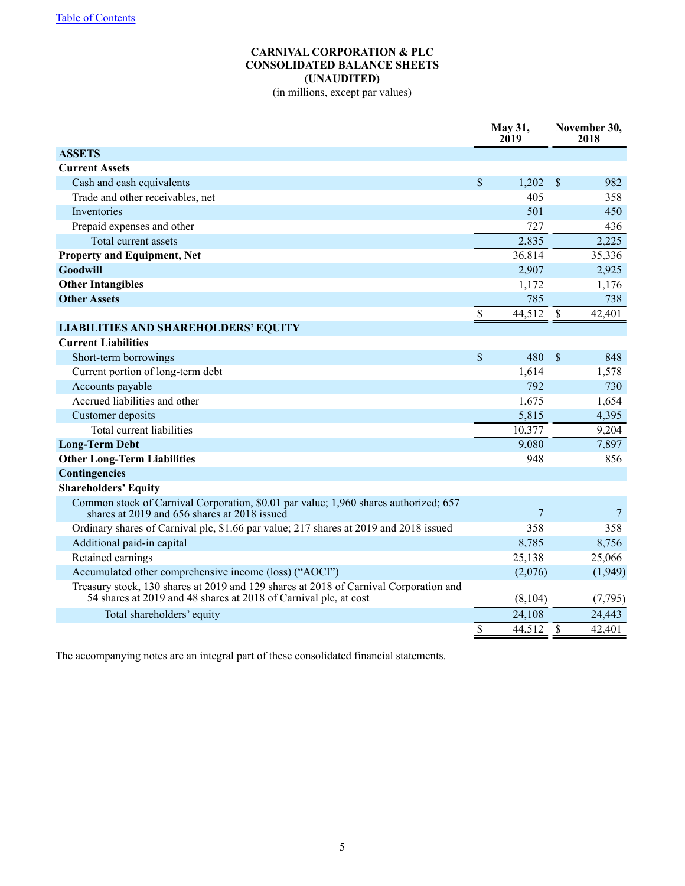## **CARNIVAL CORPORATION & PLC CONSOLIDATED BALANCE SHEETS (UNAUDITED)**

(in millions, except par values)

|                                                                                                                                                           |                 | May 31,<br>2019 |                          | November 30,<br>2018 |
|-----------------------------------------------------------------------------------------------------------------------------------------------------------|-----------------|-----------------|--------------------------|----------------------|
| <b>ASSETS</b>                                                                                                                                             |                 |                 |                          |                      |
| <b>Current Assets</b>                                                                                                                                     |                 |                 |                          |                      |
| Cash and cash equivalents                                                                                                                                 | $\mathsf{\$}$   | 1,202           | $\mathcal{S}$            | 982                  |
| Trade and other receivables, net                                                                                                                          |                 | 405             |                          | 358                  |
| Inventories                                                                                                                                               |                 | 501             |                          | 450                  |
| Prepaid expenses and other                                                                                                                                |                 | 727             |                          | 436                  |
| Total current assets                                                                                                                                      |                 | 2,835           |                          | 2,225                |
| <b>Property and Equipment, Net</b>                                                                                                                        |                 | 36,814          |                          | 35,336               |
| Goodwill                                                                                                                                                  |                 | 2,907           |                          | 2,925                |
| <b>Other Intangibles</b>                                                                                                                                  |                 | 1,172           |                          | 1,176                |
| <b>Other Assets</b>                                                                                                                                       |                 | 785             |                          | 738                  |
|                                                                                                                                                           | $\overline{\$}$ | 44,512          | $\mathcal{S}$            | 42,401               |
| <b>LIABILITIES AND SHAREHOLDERS' EQUITY</b>                                                                                                               |                 |                 |                          |                      |
| <b>Current Liabilities</b>                                                                                                                                |                 |                 |                          |                      |
| Short-term borrowings                                                                                                                                     | $\sqrt{\ }$     | 480             | $\mathcal{S}$            | 848                  |
| Current portion of long-term debt                                                                                                                         |                 | 1,614           |                          | 1,578                |
| Accounts payable                                                                                                                                          |                 | 792             |                          | 730                  |
| Accrued liabilities and other                                                                                                                             |                 | 1,675           |                          | 1,654                |
| Customer deposits                                                                                                                                         |                 | 5,815           |                          | 4,395                |
| Total current liabilities                                                                                                                                 |                 | 10,377          |                          | 9,204                |
| <b>Long-Term Debt</b>                                                                                                                                     |                 | 9,080           |                          | 7,897                |
| <b>Other Long-Term Liabilities</b>                                                                                                                        |                 | 948             |                          | 856                  |
| Contingencies                                                                                                                                             |                 |                 |                          |                      |
| <b>Shareholders' Equity</b>                                                                                                                               |                 |                 |                          |                      |
| Common stock of Carnival Corporation, \$0.01 par value; 1,960 shares authorized; 657<br>shares at 2019 and 656 shares at 2018 issued                      |                 | $7\phantom{.0}$ |                          | 7                    |
| Ordinary shares of Carnival plc, \$1.66 par value; 217 shares at 2019 and 2018 issued                                                                     |                 | 358             |                          | 358                  |
| Additional paid-in capital                                                                                                                                |                 | 8,785           |                          | 8,756                |
| Retained earnings                                                                                                                                         |                 | 25,138          |                          | 25,066               |
| Accumulated other comprehensive income (loss) ("AOCI")                                                                                                    |                 | (2,076)         |                          | (1,949)              |
| Treasury stock, 130 shares at 2019 and 129 shares at 2018 of Carnival Corporation and<br>54 shares at 2019 and 48 shares at 2018 of Carnival plc, at cost |                 | (8,104)         |                          | (7,795)              |
| Total shareholders' equity                                                                                                                                |                 | 24,108          |                          | 24,443               |
|                                                                                                                                                           | $\overline{\$}$ | 44,512          | $\overline{\mathcal{S}}$ | 42,401               |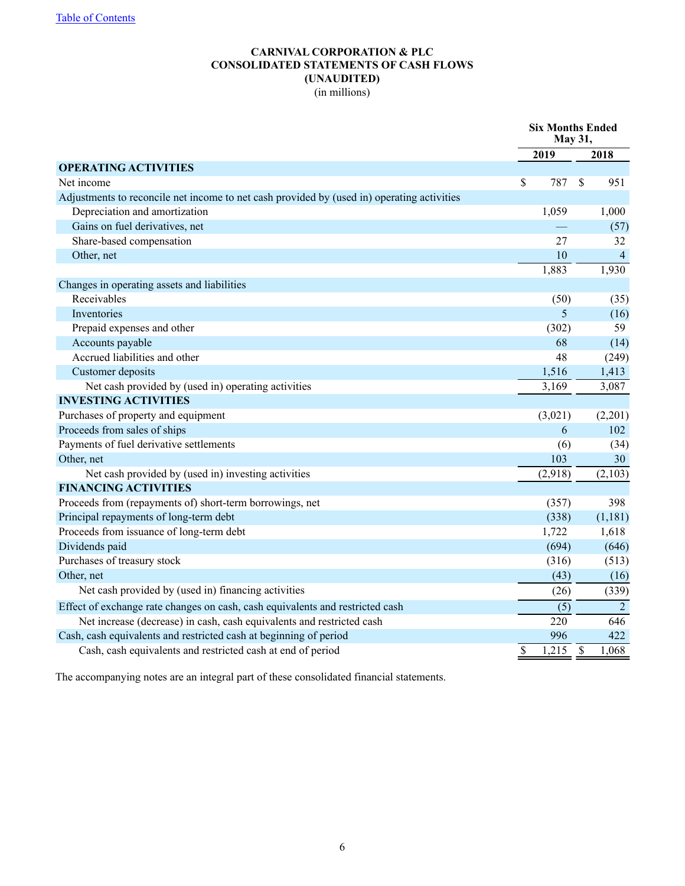## **CARNIVAL CORPORATION & PLC CONSOLIDATED STATEMENTS OF CASH FLOWS (UNAUDITED)** (in millions)

|                                                                                            | <b>Six Months Ended</b><br>May 31, |                |
|--------------------------------------------------------------------------------------------|------------------------------------|----------------|
|                                                                                            | 2019                               | 2018           |
| <b>OPERATING ACTIVITIES</b>                                                                |                                    |                |
| Net income                                                                                 | \$<br>787                          | \$<br>951      |
| Adjustments to reconcile net income to net cash provided by (used in) operating activities |                                    |                |
| Depreciation and amortization                                                              | 1,059                              | 1,000          |
| Gains on fuel derivatives, net                                                             |                                    | (57)           |
| Share-based compensation                                                                   | 27                                 | 32             |
| Other, net                                                                                 | 10                                 | $\overline{4}$ |
|                                                                                            | 1,883                              | 1,930          |
| Changes in operating assets and liabilities                                                |                                    |                |
| Receivables                                                                                | (50)                               | (35)           |
| Inventories                                                                                | 5                                  | (16)           |
| Prepaid expenses and other                                                                 | (302)                              | 59             |
| Accounts payable                                                                           | 68                                 | (14)           |
| Accrued liabilities and other                                                              | 48                                 | (249)          |
| Customer deposits                                                                          | 1,516                              | 1,413          |
| Net cash provided by (used in) operating activities                                        | 3,169                              | 3,087          |
| <b>INVESTING ACTIVITIES</b>                                                                |                                    |                |
| Purchases of property and equipment                                                        | (3,021)                            | (2,201)        |
| Proceeds from sales of ships                                                               | 6                                  | 102            |
| Payments of fuel derivative settlements                                                    | (6)                                | (34)           |
| Other, net                                                                                 | 103                                | 30             |
| Net cash provided by (used in) investing activities                                        | (2,918)                            | (2,103)        |
| <b>FINANCING ACTIVITIES</b>                                                                |                                    |                |
| Proceeds from (repayments of) short-term borrowings, net                                   | (357)                              | 398            |
| Principal repayments of long-term debt                                                     | (338)                              | (1,181)        |
| Proceeds from issuance of long-term debt                                                   | 1,722                              | 1,618          |
| Dividends paid                                                                             | (694)                              | (646)          |
| Purchases of treasury stock                                                                | (316)                              | (513)          |
| Other, net                                                                                 | (43)                               | (16)           |
| Net cash provided by (used in) financing activities                                        | (26)                               | (339)          |
| Effect of exchange rate changes on cash, cash equivalents and restricted cash              | (5)                                | $\overline{2}$ |
| Net increase (decrease) in cash, cash equivalents and restricted cash                      | 220                                | 646            |
| Cash, cash equivalents and restricted cash at beginning of period                          | 996                                | 422            |
| Cash, cash equivalents and restricted cash at end of period                                | \$<br>1,215                        | \$<br>1,068    |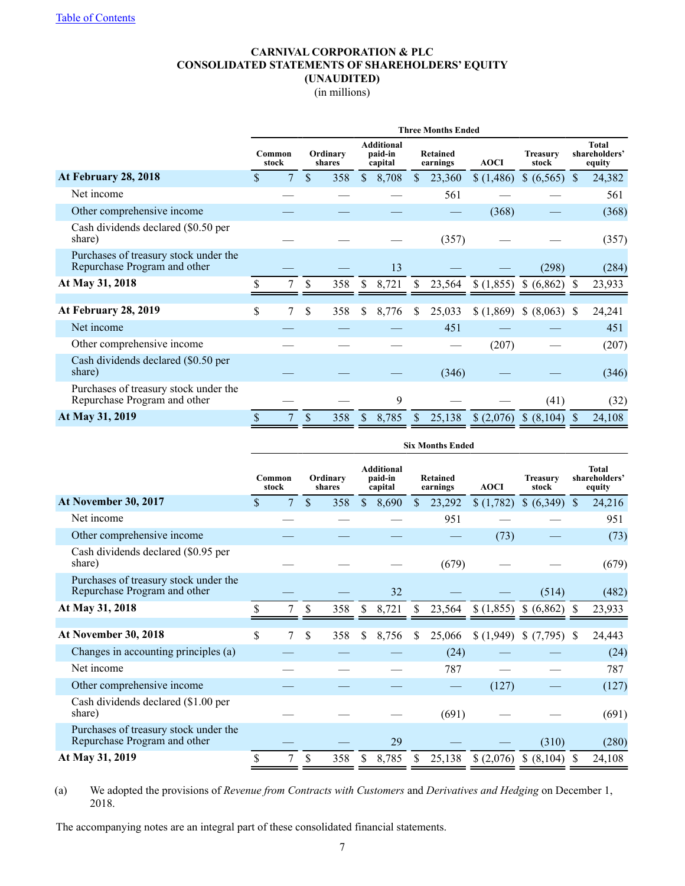## **CARNIVAL CORPORATION & PLC CONSOLIDATED STATEMENTS OF SHAREHOLDERS' EQUITY (UNAUDITED)**

(in millions)

|                                                                       | <b>Three Months Ended</b> |                 |     |                    |                                         |       |                             |        |             |                          |  |                                         |
|-----------------------------------------------------------------------|---------------------------|-----------------|-----|--------------------|-----------------------------------------|-------|-----------------------------|--------|-------------|--------------------------|--|-----------------------------------------|
|                                                                       |                           | Common<br>stock |     | Ordinary<br>shares | <b>Additional</b><br>paid-in<br>capital |       | <b>Retained</b><br>earnings |        | <b>AOCI</b> | <b>Treasury</b><br>stock |  | <b>Total</b><br>shareholders'<br>equity |
| At February 28, 2018                                                  | $\mathbf{\$}$             | $\overline{7}$  | \$. | 358                | \$                                      | 8,708 | \$                          | 23,360 | \$(1,486)   |                          |  | 24,382                                  |
| Net income                                                            |                           |                 |     |                    |                                         |       |                             | 561    |             |                          |  | 561                                     |
| Other comprehensive income                                            |                           |                 |     |                    |                                         |       |                             |        | (368)       |                          |  | (368)                                   |
| Cash dividends declared (\$0.50 per<br>share)                         |                           |                 |     |                    |                                         |       |                             | (357)  |             |                          |  | (357)                                   |
| Purchases of treasury stock under the<br>Repurchase Program and other |                           |                 |     |                    |                                         | 13    |                             |        |             | (298)                    |  | (284)                                   |
| At May 31, 2018                                                       |                           |                 | \$  | 358                | <sup>\$</sup>                           | 8,721 | \$                          | 23,564 | (1,855)     | \$ (6,862)               |  | 23,933                                  |
| At February 28, 2019                                                  | \$                        | $\tau$          | \$  | 358                | \$                                      | 8,776 | S                           | 25,033 | \$(1,869)   | \$ (8,063) \$            |  | 24,241                                  |
| Net income                                                            |                           |                 |     |                    |                                         |       |                             | 451    |             |                          |  | 451                                     |
| Other comprehensive income                                            |                           |                 |     |                    |                                         |       |                             |        | (207)       |                          |  | (207)                                   |
| Cash dividends declared (\$0.50 per<br>share)                         |                           |                 |     |                    |                                         |       |                             | (346)  |             |                          |  | (346)                                   |
| Purchases of treasury stock under the<br>Repurchase Program and other |                           |                 |     |                    |                                         | 9     |                             |        |             | (41)                     |  | (32)                                    |
| At May 31, 2019                                                       |                           | 7               | \$  | 358                | <sup>\$</sup>                           | 8,785 | <sup>S</sup>                | 25,138 | (2,076)     | \$ (8,104)               |  | 24,108                                  |

|                                                                       | <b>Six Months Ended</b> |                 |              |                    |              |                                         |              |                             |             |                          |  |                                         |
|-----------------------------------------------------------------------|-------------------------|-----------------|--------------|--------------------|--------------|-----------------------------------------|--------------|-----------------------------|-------------|--------------------------|--|-----------------------------------------|
|                                                                       |                         | Common<br>stock |              | Ordinary<br>shares |              | <b>Additional</b><br>paid-in<br>capital |              | <b>Retained</b><br>earnings | <b>AOCI</b> | <b>Treasury</b><br>stock |  | <b>Total</b><br>shareholders'<br>equity |
| At November 30, 2017                                                  | \$                      | $7\phantom{.0}$ | $\mathbb{S}$ | 358                | $\mathbb{S}$ | 8,690                                   | $\mathbb{S}$ | 23,292                      | (1,782)     | $(6,349)$ \$             |  | 24,216                                  |
| Net income                                                            |                         |                 |              |                    |              |                                         |              | 951                         |             |                          |  | 951                                     |
| Other comprehensive income                                            |                         |                 |              |                    |              |                                         |              |                             | (73)        |                          |  | (73)                                    |
| Cash dividends declared (\$0.95 per<br>share)                         |                         |                 |              |                    |              |                                         |              | (679)                       |             |                          |  | (679)                                   |
| Purchases of treasury stock under the<br>Repurchase Program and other |                         |                 |              |                    |              | 32                                      |              |                             |             | (514)                    |  | (482)                                   |
| At May 31, 2018                                                       | \$                      | 7               | \$           | 358                | \$           | 8,721                                   | S            | 23,564                      | \$(1,855)   | \$ (6,862)               |  | 23,933                                  |
| At November 30, 2018                                                  | \$                      | 7               | \$           | 358                | \$           | 8,756                                   | S            | 25,066                      | \$(1,949)   | $(7,795)$ \$             |  | 24,443                                  |
| Changes in accounting principles (a)                                  |                         |                 |              |                    |              |                                         |              | (24)                        |             |                          |  | (24)                                    |
| Net income                                                            |                         |                 |              |                    |              |                                         |              | 787                         |             |                          |  | 787                                     |
| Other comprehensive income                                            |                         |                 |              |                    |              |                                         |              |                             | (127)       |                          |  | (127)                                   |
| Cash dividends declared (\$1.00 per<br>share)                         |                         |                 |              |                    |              |                                         |              | (691)                       |             |                          |  | (691)                                   |
| Purchases of treasury stock under the<br>Repurchase Program and other |                         |                 |              |                    |              | 29                                      |              |                             |             | (310)                    |  | (280)                                   |
| At May 31, 2019                                                       | \$                      | 7               | \$           | 358                | \$           | 8,785                                   | S            | 25,138                      | (2,076)     | \$ (8,104)               |  | 24,108                                  |

(a) We adopted the provisions of *Revenue from Contracts with Customers* and *Derivatives and Hedging* on December 1, 2018.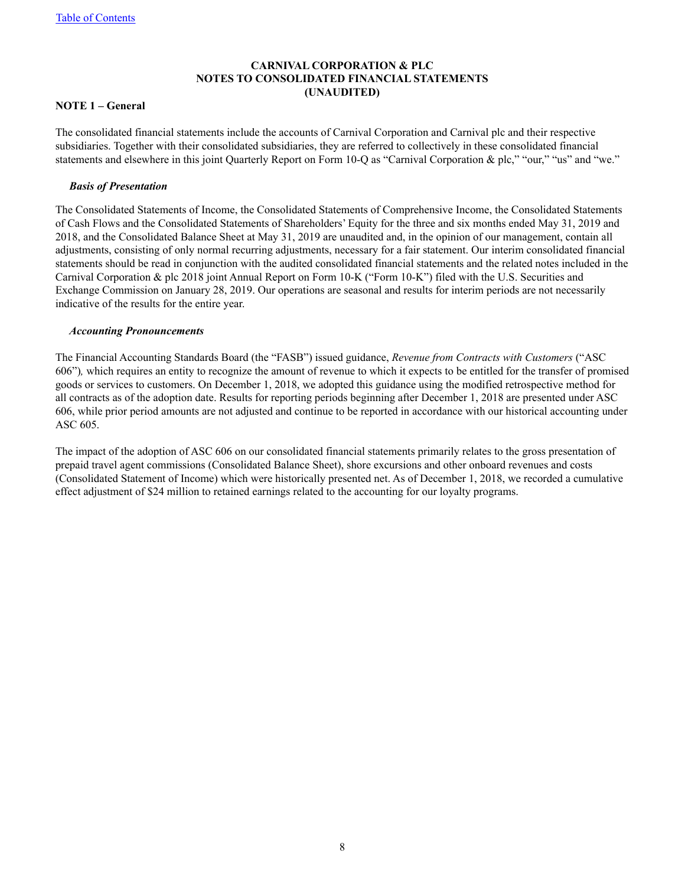## **CARNIVAL CORPORATION & PLC NOTES TO CONSOLIDATED FINANCIAL STATEMENTS (UNAUDITED)**

#### **NOTE 1 – General**

The consolidated financial statements include the accounts of Carnival Corporation and Carnival plc and their respective subsidiaries. Together with their consolidated subsidiaries, they are referred to collectively in these consolidated financial statements and elsewhere in this joint Quarterly Report on Form 10-Q as "Carnival Corporation & plc," "our," "us" and "we."

#### *Basis of Presentation*

The Consolidated Statements of Income, the Consolidated Statements of Comprehensive Income, the Consolidated Statements of Cash Flows and the Consolidated Statements of Shareholders' Equity for the three and six months ended May 31, 2019 and 2018, and the Consolidated Balance Sheet at May 31, 2019 are unaudited and, in the opinion of our management, contain all adjustments, consisting of only normal recurring adjustments, necessary for a fair statement. Our interim consolidated financial statements should be read in conjunction with the audited consolidated financial statements and the related notes included in the Carnival Corporation & plc 2018 joint Annual Report on Form 10-K ("Form 10-K") filed with the U.S. Securities and Exchange Commission on January 28, 2019. Our operations are seasonal and results for interim periods are not necessarily indicative of the results for the entire year.

#### *Accounting Pronouncements*

The Financial Accounting Standards Board (the "FASB") issued guidance, *Revenue from Contracts with Customers* ("ASC 606")*,* which requires an entity to recognize the amount of revenue to which it expects to be entitled for the transfer of promised goods or services to customers. On December 1, 2018, we adopted this guidance using the modified retrospective method for all contracts as of the adoption date. Results for reporting periods beginning after December 1, 2018 are presented under ASC 606, while prior period amounts are not adjusted and continue to be reported in accordance with our historical accounting under ASC 605.

The impact of the adoption of ASC 606 on our consolidated financial statements primarily relates to the gross presentation of prepaid travel agent commissions (Consolidated Balance Sheet), shore excursions and other onboard revenues and costs (Consolidated Statement of Income) which were historically presented net. As of December 1, 2018, we recorded a cumulative effect adjustment of \$24 million to retained earnings related to the accounting for our loyalty programs.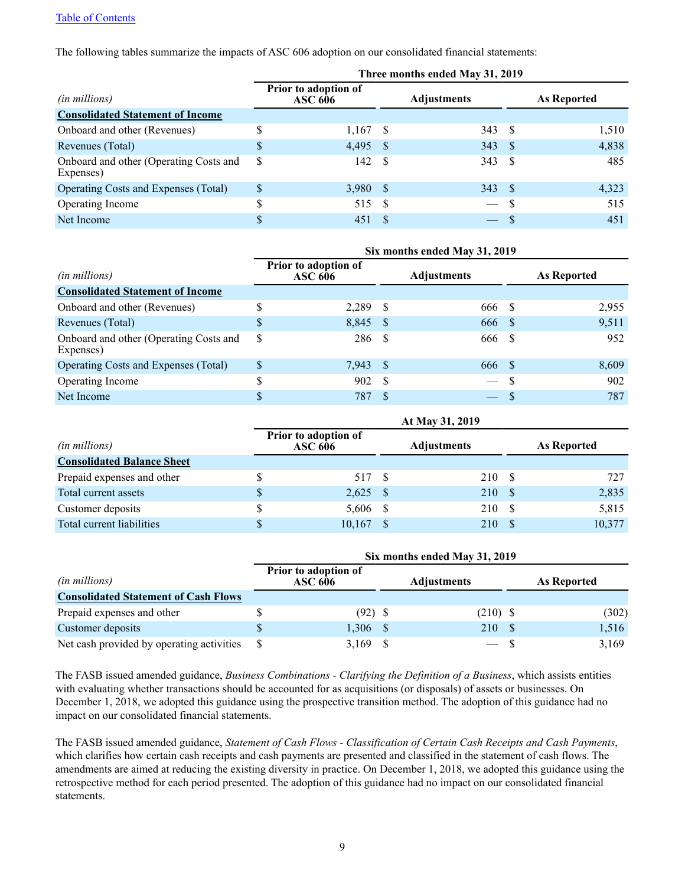## Table of Contents

The following tables summarize the impacts of ASC 606 adoption on our consolidated financial statements:

|                                                     | Three months ended May 31, 2019 |                                        |                    |               |               |             |  |  |  |  |
|-----------------------------------------------------|---------------------------------|----------------------------------------|--------------------|---------------|---------------|-------------|--|--|--|--|
| ( <i>in millions</i> )                              |                                 | Prior to adoption of<br><b>ASC 606</b> | <b>Adjustments</b> |               |               | As Reported |  |  |  |  |
| <b>Consolidated Statement of Income</b>             |                                 |                                        |                    |               |               |             |  |  |  |  |
| Onboard and other (Revenues)                        | \$                              | $1,167$ \$                             |                    | 343           | - \$          | 1,510       |  |  |  |  |
| Revenues (Total)                                    | \$                              | $4,495$ \$                             |                    | 343           | -8            | 4,838       |  |  |  |  |
| Onboard and other (Operating Costs and<br>Expenses) | S                               | 142S                                   |                    | 343           | - \$          | 485         |  |  |  |  |
| <b>Operating Costs and Expenses (Total)</b>         | \$                              | $3,980$ \$                             |                    | 343           | - S           | 4,323       |  |  |  |  |
| Operating Income                                    | \$                              | 515 \$                                 |                    | $\frac{1}{2}$ | <sup>\$</sup> | 515         |  |  |  |  |
| Net Income                                          | \$                              | 451                                    | -S                 |               |               | 451         |  |  |  |  |

|                                                     | Six months ended May 31, 2019          |          |  |                          |             |       |  |  |  |  |
|-----------------------------------------------------|----------------------------------------|----------|--|--------------------------|-------------|-------|--|--|--|--|
| (in millions)                                       | Prior to adoption of<br><b>ASC 606</b> |          |  | <b>Adjustments</b>       | As Reported |       |  |  |  |  |
| <b>Consolidated Statement of Income</b>             |                                        |          |  |                          |             |       |  |  |  |  |
| Onboard and other (Revenues)                        | \$                                     | 2,289 \$ |  | 666                      |             | 2,955 |  |  |  |  |
| Revenues (Total)                                    | \$                                     | 8,845 \$ |  | 666                      | -8          | 9,511 |  |  |  |  |
| Onboard and other (Operating Costs and<br>Expenses) | S                                      | 286 \$   |  | 666                      | -8          | 952   |  |  |  |  |
| Operating Costs and Expenses (Total)                | \$                                     | 7,943 \$ |  | 666 \$                   |             | 8,609 |  |  |  |  |
| <b>Operating Income</b>                             | \$                                     | 902 \$   |  | $\overline{\phantom{0}}$ | -8          | 902   |  |  |  |  |
| Net Income                                          | \$                                     | 787      |  | $\overline{\phantom{0}}$ |             | 787   |  |  |  |  |

|                                   | At May 31, 2019 |                                        |  |                    |             |        |  |  |  |  |
|-----------------------------------|-----------------|----------------------------------------|--|--------------------|-------------|--------|--|--|--|--|
| <i>(in millions)</i>              |                 | Prior to adoption of<br><b>ASC 606</b> |  | <b>Adjustments</b> | As Reported |        |  |  |  |  |
| <b>Consolidated Balance Sheet</b> |                 |                                        |  |                    |             |        |  |  |  |  |
| Prepaid expenses and other        | S               | 517 \$                                 |  | 210                | - S         | 727    |  |  |  |  |
| Total current assets              | \$              | $2,625$ \$                             |  | 210                | - S         | 2,835  |  |  |  |  |
| Customer deposits                 | \$              | 5,606 \$                               |  | 210                | - S         | 5,815  |  |  |  |  |
| Total current liabilities         | \$              | $10,167$ \$                            |  | 210                |             | 10,377 |  |  |  |  |

|                                             | Six months ended May 31, 2019 |                                 |  |                    |  |             |  |  |  |  |
|---------------------------------------------|-------------------------------|---------------------------------|--|--------------------|--|-------------|--|--|--|--|
| <i>(in millions)</i>                        |                               | Prior to adoption of<br>ASC 606 |  | <b>Adjustments</b> |  | As Reported |  |  |  |  |
| <b>Consolidated Statement of Cash Flows</b> |                               |                                 |  |                    |  |             |  |  |  |  |
| Prepaid expenses and other                  |                               | $(92)$ \$                       |  | $(210)$ \$         |  | (302)       |  |  |  |  |
| Customer deposits                           |                               | $1,306$ \$                      |  | 210                |  | 1,516       |  |  |  |  |
| Net cash provided by operating activities   |                               | 3,169                           |  | $\frac{1}{2}$      |  | 3,169       |  |  |  |  |

The FASB issued amended guidance, *Business Combinations - Clarifying the Definition of a Business*, which assists entities with evaluating whether transactions should be accounted for as acquisitions (or disposals) of assets or businesses. On December 1, 2018, we adopted this guidance using the prospective transition method. The adoption of this guidance had no impact on our consolidated financial statements.

The FASB issued amended guidance, *Statement of Cash Flows - Classification of Certain Cash Receipts and Cash Payments*, which clarifies how certain cash receipts and cash payments are presented and classified in the statement of cash flows. The amendments are aimed at reducing the existing diversity in practice. On December 1, 2018, we adopted this guidance using the retrospective method for each period presented. The adoption of this guidance had no impact on our consolidated financial statements.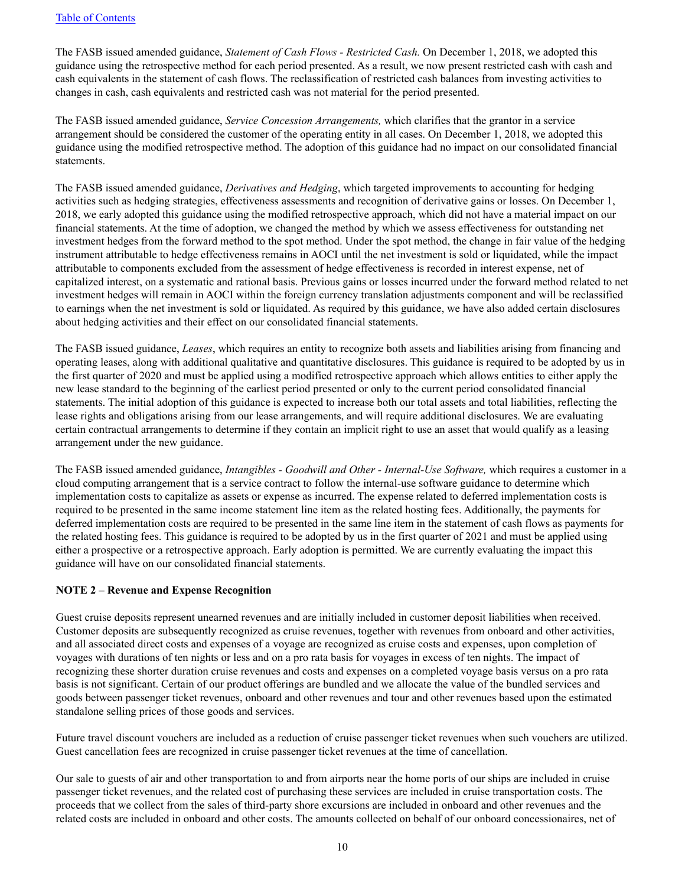The FASB issued amended guidance, *Statement of Cash Flows - Restricted Cash.* On December 1, 2018, we adopted this guidance using the retrospective method for each period presented. As a result, we now present restricted cash with cash and cash equivalents in the statement of cash flows. The reclassification of restricted cash balances from investing activities to changes in cash, cash equivalents and restricted cash was not material for the period presented.

The FASB issued amended guidance, *Service Concession Arrangements,* which clarifies that the grantor in a service arrangement should be considered the customer of the operating entity in all cases. On December 1, 2018, we adopted this guidance using the modified retrospective method. The adoption of this guidance had no impact on our consolidated financial statements.

The FASB issued amended guidance, *Derivatives and Hedging*, which targeted improvements to accounting for hedging activities such as hedging strategies, effectiveness assessments and recognition of derivative gains or losses. On December 1, 2018, we early adopted this guidance using the modified retrospective approach, which did not have a material impact on our financial statements. At the time of adoption, we changed the method by which we assess effectiveness for outstanding net investment hedges from the forward method to the spot method. Under the spot method, the change in fair value of the hedging instrument attributable to hedge effectiveness remains in AOCI until the net investment is sold or liquidated, while the impact attributable to components excluded from the assessment of hedge effectiveness is recorded in interest expense, net of capitalized interest, on a systematic and rational basis. Previous gains or losses incurred under the forward method related to net investment hedges will remain in AOCI within the foreign currency translation adjustments component and will be reclassified to earnings when the net investment is sold or liquidated. As required by this guidance, we have also added certain disclosures about hedging activities and their effect on our consolidated financial statements.

The FASB issued guidance, *Leases*, which requires an entity to recognize both assets and liabilities arising from financing and operating leases, along with additional qualitative and quantitative disclosures. This guidance is required to be adopted by us in the first quarter of 2020 and must be applied using a modified retrospective approach which allows entities to either apply the new lease standard to the beginning of the earliest period presented or only to the current period consolidated financial statements. The initial adoption of this guidance is expected to increase both our total assets and total liabilities, reflecting the lease rights and obligations arising from our lease arrangements, and will require additional disclosures. We are evaluating certain contractual arrangements to determine if they contain an implicit right to use an asset that would qualify as a leasing arrangement under the new guidance.

The FASB issued amended guidance, *Intangibles - Goodwill and Other - Internal-Use Software,* which requires a customer in a cloud computing arrangement that is a service contract to follow the internal-use software guidance to determine which implementation costs to capitalize as assets or expense as incurred. The expense related to deferred implementation costs is required to be presented in the same income statement line item as the related hosting fees. Additionally, the payments for deferred implementation costs are required to be presented in the same line item in the statement of cash flows as payments for the related hosting fees. This guidance is required to be adopted by us in the first quarter of 2021 and must be applied using either a prospective or a retrospective approach. Early adoption is permitted. We are currently evaluating the impact this guidance will have on our consolidated financial statements.

## **NOTE 2 – Revenue and Expense Recognition**

Guest cruise deposits represent unearned revenues and are initially included in customer deposit liabilities when received. Customer deposits are subsequently recognized as cruise revenues, together with revenues from onboard and other activities, and all associated direct costs and expenses of a voyage are recognized as cruise costs and expenses, upon completion of voyages with durations of ten nights or less and on a pro rata basis for voyages in excess of ten nights. The impact of recognizing these shorter duration cruise revenues and costs and expenses on a completed voyage basis versus on a pro rata basis is not significant. Certain of our product offerings are bundled and we allocate the value of the bundled services and goods between passenger ticket revenues, onboard and other revenues and tour and other revenues based upon the estimated standalone selling prices of those goods and services.

Future travel discount vouchers are included as a reduction of cruise passenger ticket revenues when such vouchers are utilized. Guest cancellation fees are recognized in cruise passenger ticket revenues at the time of cancellation.

Our sale to guests of air and other transportation to and from airports near the home ports of our ships are included in cruise passenger ticket revenues, and the related cost of purchasing these services are included in cruise transportation costs. The proceeds that we collect from the sales of third-party shore excursions are included in onboard and other revenues and the related costs are included in onboard and other costs. The amounts collected on behalf of our onboard concessionaires, net of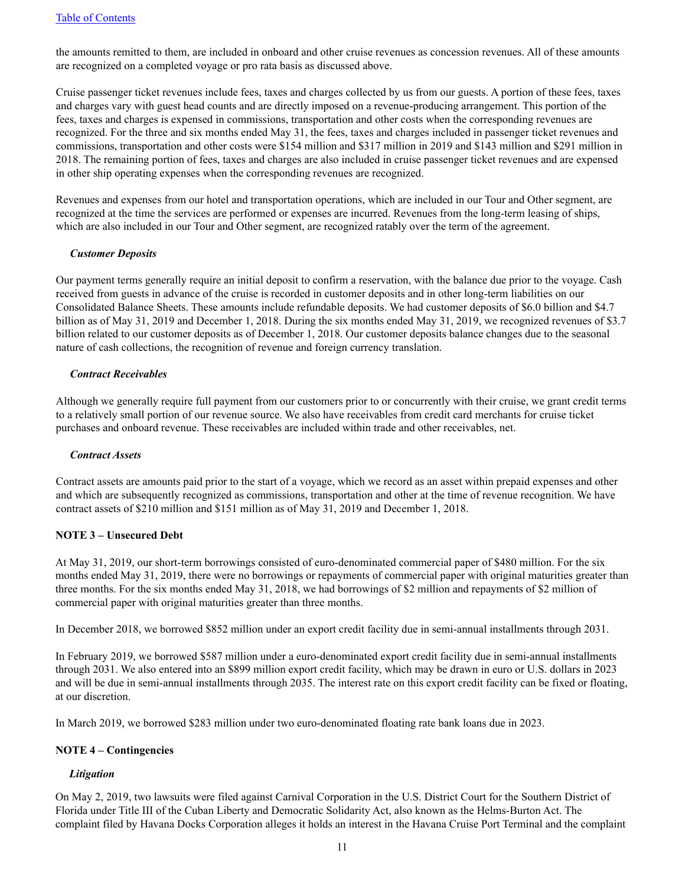the amounts remitted to them, are included in onboard and other cruise revenues as concession revenues. All of these amounts are recognized on a completed voyage or pro rata basis as discussed above.

Cruise passenger ticket revenues include fees, taxes and charges collected by us from our guests. A portion of these fees, taxes and charges vary with guest head counts and are directly imposed on a revenue-producing arrangement. This portion of the fees, taxes and charges is expensed in commissions, transportation and other costs when the corresponding revenues are recognized. For the three and six months ended May 31, the fees, taxes and charges included in passenger ticket revenues and commissions, transportation and other costs were \$154 million and \$317 million in 2019 and \$143 million and \$291 million in 2018. The remaining portion of fees, taxes and charges are also included in cruise passenger ticket revenues and are expensed in other ship operating expenses when the corresponding revenues are recognized.

Revenues and expenses from our hotel and transportation operations, which are included in our Tour and Other segment, are recognized at the time the services are performed or expenses are incurred. Revenues from the long-term leasing of ships, which are also included in our Tour and Other segment, are recognized ratably over the term of the agreement.

#### *Customer Deposits*

Our payment terms generally require an initial deposit to confirm a reservation, with the balance due prior to the voyage. Cash received from guests in advance of the cruise is recorded in customer deposits and in other long-term liabilities on our Consolidated Balance Sheets. These amounts include refundable deposits. We had customer deposits of \$6.0 billion and \$4.7 billion as of May 31, 2019 and December 1, 2018. During the six months ended May 31, 2019, we recognized revenues of \$3.7 billion related to our customer deposits as of December 1, 2018. Our customer deposits balance changes due to the seasonal nature of cash collections, the recognition of revenue and foreign currency translation.

#### *Contract Receivables*

Although we generally require full payment from our customers prior to or concurrently with their cruise, we grant credit terms to a relatively small portion of our revenue source. We also have receivables from credit card merchants for cruise ticket purchases and onboard revenue. These receivables are included within trade and other receivables, net.

## *Contract Assets*

Contract assets are amounts paid prior to the start of a voyage, which we record as an asset within prepaid expenses and other and which are subsequently recognized as commissions, transportation and other at the time of revenue recognition. We have contract assets of \$210 million and \$151 million as of May 31, 2019 and December 1, 2018.

## **NOTE 3 – Unsecured Debt**

At May 31, 2019, our short-term borrowings consisted of euro-denominated commercial paper of \$480 million. For the six months ended May 31, 2019, there were no borrowings or repayments of commercial paper with original maturities greater than three months. For the six months ended May 31, 2018, we had borrowings of \$2 million and repayments of \$2 million of commercial paper with original maturities greater than three months.

In December 2018, we borrowed \$852 million under an export credit facility due in semi-annual installments through 2031.

In February 2019, we borrowed \$587 million under a euro-denominated export credit facility due in semi-annual installments through 2031. We also entered into an \$899 million export credit facility, which may be drawn in euro or U.S. dollars in 2023 and will be due in semi-annual installments through 2035. The interest rate on this export credit facility can be fixed or floating, at our discretion.

In March 2019, we borrowed \$283 million under two euro-denominated floating rate bank loans due in 2023.

## **NOTE 4 – Contingencies**

#### *Litigation*

On May 2, 2019, two lawsuits were filed against Carnival Corporation in the U.S. District Court for the Southern District of Florida under Title III of the Cuban Liberty and Democratic Solidarity Act, also known as the Helms-Burton Act. The complaint filed by Havana Docks Corporation alleges it holds an interest in the Havana Cruise Port Terminal and the complaint verspraching these properties by embargement and disembarking and disease in the those facilities facilities seek all available statutory remedies, including the expropriated the expropriated the value of the expropriated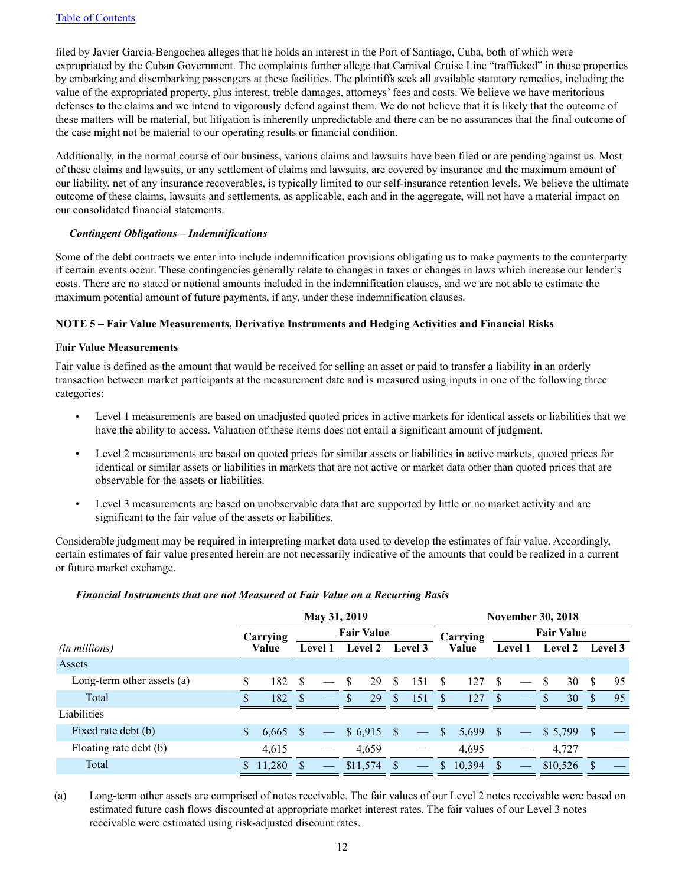filed by Javier Garcia-Bengochea alleges that he holds an interest in the Port of Santiago, Cuba, both of which were expropriated by the Cuban Government. The complaints further allege that Carnival Cruise Line "trafficked" in those properties by embarking and disembarking passengers at these facilities. The plaintiffs seek all available statutory remedies, including the value of the expropriated property, plus interest, treble damages, attorneys' fees and costs. We believe we have meritorious defenses to the claims and we intend to vigorously defend against them. We do not believe that it is likely that the outcome of these matters will be material, but litigation is inherently unpredictable and there can be no assurances that the final outcome of the case might not be material to our operating results or financial condition.

Additionally, in the normal course of our business, various claims and lawsuits have been filed or are pending against us. Most of these claims and lawsuits, or any settlement of claims and lawsuits, are covered by insurance and the maximum amount of our liability, net of any insurance recoverables, is typically limited to our self-insurance retention levels. We believe the ultimate outcome of these claims, lawsuits and settlements, as applicable, each and in the aggregate, will not have a material impact on our consolidated financial statements.

## *Contingent Obligations – Indemnifications*

Some of the debt contracts we enter into include indemnification provisions obligating us to make payments to the counterparty if certain events occur. These contingencies generally relate to changes in taxes or changes in laws which increase our lender's costs. There are no stated or notional amounts included in the indemnification clauses, and we are not able to estimate the maximum potential amount of future payments, if any, under these indemnification clauses.

## **NOTE 5 – Fair Value Measurements, Derivative Instruments and Hedging Activities and Financial Risks**

## **Fair Value Measurements**

Fair value is defined as the amount that would be received for selling an asset or paid to transfer a liability in an orderly transaction between market participants at the measurement date and is measured using inputs in one of the following three categories:

- Level 1 measurements are based on unadjusted quoted prices in active markets for identical assets or liabilities that we have the ability to access. Valuation of these items does not entail a significant amount of judgment.
- Level 2 measurements are based on quoted prices for similar assets or liabilities in active markets, quoted prices for identical or similar assets or liabilities in markets that are not active or market data other than quoted prices that are observable for the assets or liabilities.
- Level 3 measurements are based on unobservable data that are supported by little or no market activity and are significant to the fair value of the assets or liabilities.

Considerable judgment may be required in interpreting market data used to develop the estimates of fair value. Accordingly, certain estimates of fair value presented herein are not necessarily indicative of the amounts that could be realized in a current or future market exchange.

## *Financial Instruments that are not Measured at Fair Value on a Recurring Basis*

|                            | May 31, 2019 |               |         |    |                   |              |                          | <b>November 30, 2018</b>      |        |              |                |  |                |      |         |  |  |  |  |
|----------------------------|--------------|---------------|---------|----|-------------------|--------------|--------------------------|-------------------------------|--------|--------------|----------------|--|----------------|------|---------|--|--|--|--|
|                            | Carrying     |               |         |    | <b>Fair Value</b> |              |                          | <b>Fair Value</b><br>Carrying |        |              |                |  |                |      |         |  |  |  |  |
| (in millions)              | Value        |               | Level 1 |    | Level 2           |              | Level 3                  |                               | Value  |              | <b>Level 1</b> |  | <b>Level 2</b> |      | Level 3 |  |  |  |  |
| Assets                     |              |               |         |    |                   |              |                          |                               |        |              |                |  |                |      |         |  |  |  |  |
| Long-term other assets (a) | 182          | -S            |         | \$ | 29                | S            | 151                      | <b>S</b>                      | 127    | <sup>S</sup> |                |  | 30             | -S   | 95      |  |  |  |  |
| Total                      | 182          | <sup>\$</sup> |         |    | 29                |              | 151                      | <b>S</b>                      | 127    | -S           |                |  | 30             |      | 95      |  |  |  |  |
| Liabilities                |              |               |         |    |                   |              |                          |                               |        |              |                |  |                |      |         |  |  |  |  |
| Fixed rate debt (b)        | \$<br>6,665  | - \$          |         |    | $$6,915$ \ $$$    |              | $\frac{1}{2}$            | <sup>S</sup>                  | 5,699  | -S           |                |  | \$5,799        | - \$ |         |  |  |  |  |
| Floating rate debt (b)     | 4,615        |               |         |    | 4,659             |              |                          |                               | 4,695  |              |                |  | 4,727          |      |         |  |  |  |  |
| Total                      | 11,280       | \$.           |         |    | \$11,574          | <sup>S</sup> | $\overline{\phantom{a}}$ | \$.                           | 10,394 | -S           |                |  | \$10,526       |      |         |  |  |  |  |

(a) Long-term other assets are comprised of notes receivable. The fair values of our Level 2 notes receivable were based on estimated future cash flows discounted at appropriate market interest rates. The fair values of our Level 3 notes receivable were estimated using risk-adjusted discount rates.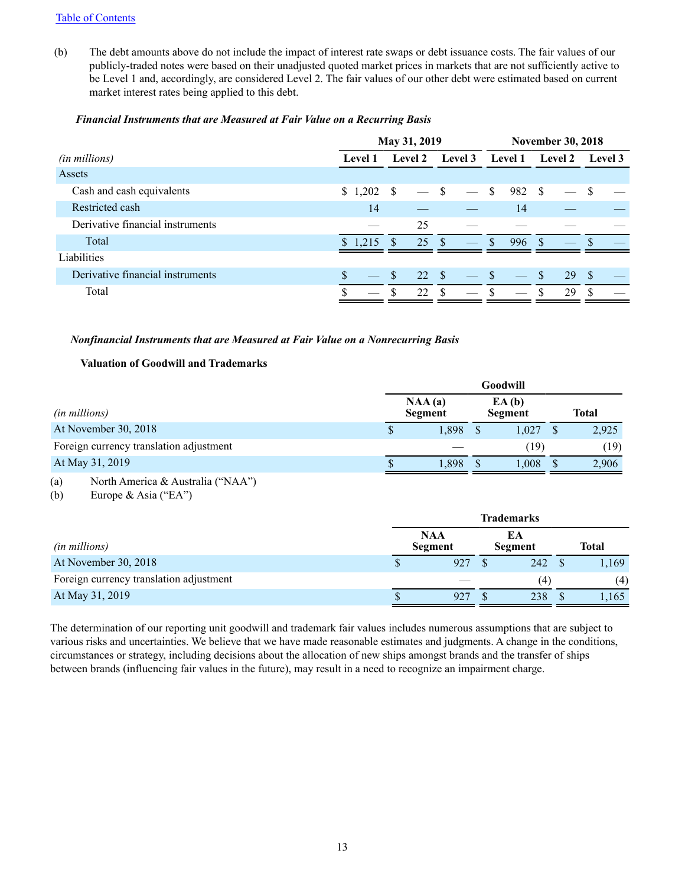(b) The debt amounts above do not include the impact of interest rate swaps or debt issuance costs. The fair values of our publicly-traded notes were based on their unadjusted quoted market prices in markets that are not sufficiently active to be Level 1 and, accordingly, are considered Level 2. The fair values of our other debt were estimated based on current market interest rates being applied to this debt.

## *Financial Instruments that are Measured at Fair Value on a Recurring Basis*

| Level 1                  | Level 2             |               |                                     |                                  | Level 3                                                       |
|--------------------------|---------------------|---------------|-------------------------------------|----------------------------------|---------------------------------------------------------------|
|                          |                     |               |                                     |                                  |                                                               |
| \$1,202                  | - S                 | <sup>\$</sup> | \$                                  |                                  |                                                               |
| 14                       |                     |               | 14                                  |                                  |                                                               |
|                          | 25                  |               |                                     |                                  |                                                               |
| \$1,215                  | 25<br><sup>\$</sup> |               | - \$<br>996                         | -\$                              |                                                               |
|                          |                     |               |                                     |                                  |                                                               |
|                          |                     |               |                                     | 29                               | -S                                                            |
| $\overline{\phantom{0}}$ | 22<br>- \$          | -S            | -S                                  | 29                               |                                                               |
|                          |                     |               | May 31, 2019<br>$\mathbf{s}$<br>22S | $\overline{\phantom{0}}$<br>- \$ | <b>November 30, 2018</b><br>Level 3 Level 1 Level 2<br>982 \$ |

## *Nonfinancial Instruments that are Measured at Fair Value on a Nonrecurring Basis*

## **Valuation of Goodwill and Trademarks**

|                                         |                          | Goodwill                |       |
|-----------------------------------------|--------------------------|-------------------------|-------|
| (in millions)                           | NAA(a)<br><b>Segment</b> | EA(b)<br><b>Segment</b> | Total |
| At November 30, 2018                    | \$<br>1.898              | 1.027                   | 2,925 |
| Foreign currency translation adjustment |                          | (19)                    | (19)  |
| At May 31, 2019                         | \$<br>1,898              | 1,008                   | 2,906 |

## (a) North America & Australia ("NAA")

(b) Europe & Asia ("EA")

|                                         |                              | <b>Trademarks</b>    |              |
|-----------------------------------------|------------------------------|----------------------|--------------|
| (in millions)                           | <b>NAA</b><br><b>Segment</b> | ЕA<br><b>Segment</b> | <b>Total</b> |
| At November 30, 2018                    | 927                          | 242                  | 1,169        |
| Foreign currency translation adjustment |                              | (4)                  | (4)          |
| At May 31, 2019                         | 927                          | 238                  | 1.165        |

The determination of our reporting unit goodwill and trademark fair values includes numerous assumptions that are subject to various risks and uncertainties. We believe that we have made reasonable estimates and judgments. A change in the conditions, circumstances or strategy, including decisions about the allocation of new ships amongst brands and the transfer of ships between brands (influencing fair values in the future), may result in a need to recognize an impairment charge.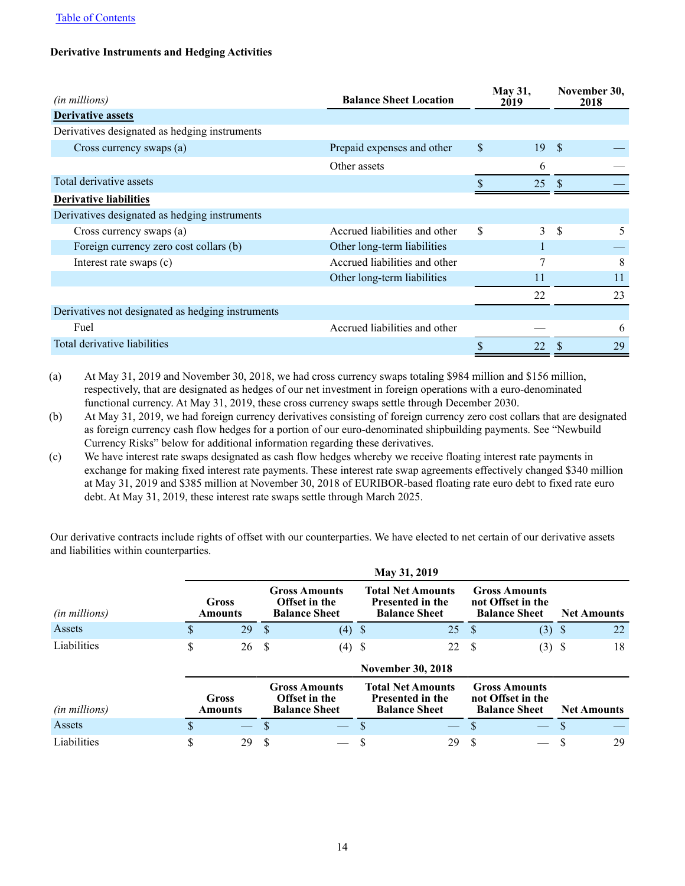## **Derivative Instruments and Hedging Activities**

| (in millions)                                     | <b>Balance Sheet Location</b> |                    | <b>May 31,</b><br>2019 |     | November 30,<br>2018 |
|---------------------------------------------------|-------------------------------|--------------------|------------------------|-----|----------------------|
| <b>Derivative assets</b>                          |                               |                    |                        |     |                      |
| Derivatives designated as hedging instruments     |                               |                    |                        |     |                      |
| Cross currency swaps (a)                          | Prepaid expenses and other    | $\mathbf{\$}$      | 19S                    |     |                      |
|                                                   | Other assets                  |                    | 6                      |     |                      |
| Total derivative assets                           |                               |                    | 25                     |     |                      |
| <b>Derivative liabilities</b>                     |                               |                    |                        |     |                      |
| Derivatives designated as hedging instruments     |                               |                    |                        |     |                      |
| Cross currency swaps (a)                          | Accrued liabilities and other | $\mathbf{\hat{S}}$ | 3                      | -\$ | 5                    |
| Foreign currency zero cost collars (b)            | Other long-term liabilities   |                    |                        |     |                      |
| Interest rate swaps (c)                           | Accrued liabilities and other |                    |                        |     | 8                    |
|                                                   | Other long-term liabilities   |                    | 11                     |     | 11                   |
|                                                   |                               |                    | 22                     |     | 23                   |
| Derivatives not designated as hedging instruments |                               |                    |                        |     |                      |
| Fuel                                              | Accrued liabilities and other |                    |                        |     | 6                    |
| Total derivative liabilities                      |                               |                    |                        |     | 29                   |

(a) At May 31, 2019 and November 30, 2018, we had cross currency swaps totaling \$984 million and \$156 million, respectively, that are designated as hedges of our net investment in foreign operations with a euro-denominated functional currency. At May 31, 2019, these cross currency swaps settle through December 2030.

(b) At May 31, 2019, we had foreign currency derivatives consisting of foreign currency zero cost collars that are designated as foreign currency cash flow hedges for a portion of our euro-denominated shipbuilding payments. See "Newbuild Currency Risks" below for additional information regarding these derivatives.

(c) We have interest rate swaps designated as cash flow hedges whereby we receive floating interest rate payments in exchange for making fixed interest rate payments. These interest rate swap agreements effectively changed \$340 million at May 31, 2019 and \$385 million at November 30, 2018 of EURIBOR-based floating rate euro debt to fixed rate euro debt. At May 31, 2019, these interest rate swaps settle through March 2025.

Our derivative contracts include rights of offset with our counterparties. We have elected to net certain of our derivative assets and liabilities within counterparties.

|               |    |                                |              |                                                                      |              | May 31, 2019                                                                |    |                                                                   |               |                    |
|---------------|----|--------------------------------|--------------|----------------------------------------------------------------------|--------------|-----------------------------------------------------------------------------|----|-------------------------------------------------------------------|---------------|--------------------|
| (in millions) |    | Gross<br><b>Amounts</b>        |              | <b>Gross Amounts</b><br>Offset in the<br><b>Balance Sheet</b>        |              | <b>Total Net Amounts</b><br>Presented in the<br><b>Balance Sheet</b>        |    | <b>Gross Amounts</b><br>not Offset in the<br><b>Balance Sheet</b> |               | <b>Net Amounts</b> |
| Assets        | S  | 29                             | $\mathbf{s}$ | $(4)$ \$                                                             |              | 25                                                                          | S- | $(3)$ \$                                                          |               | 22                 |
| Liabilities   | \$ | 26                             | - S          | $(4)$ \$                                                             |              | 22                                                                          | -S | $(3)$ \$                                                          |               | 18                 |
|               |    |                                |              |                                                                      |              | <b>November 30, 2018</b>                                                    |    |                                                                   |               |                    |
| (in millions) |    | <b>Gross</b><br><b>Amounts</b> |              | <b>Gross Amounts</b><br><b>Offset in the</b><br><b>Balance Sheet</b> |              | <b>Total Net Amounts</b><br><b>Presented in the</b><br><b>Balance Sheet</b> |    | <b>Gross Amounts</b><br>not Offset in the<br><b>Balance Sheet</b> |               | <b>Net Amounts</b> |
| Assets        |    | $\overline{\phantom{m}}$       | <b>S</b>     | $\overline{\phantom{0}}$                                             | <sup>S</sup> | $\frac{1}{2}$                                                               | -S | <u>a y</u>                                                        | -S            |                    |
| Liabilities   | \$ | 29                             |              |                                                                      |              | 29                                                                          |    |                                                                   | <sup>\$</sup> | 29                 |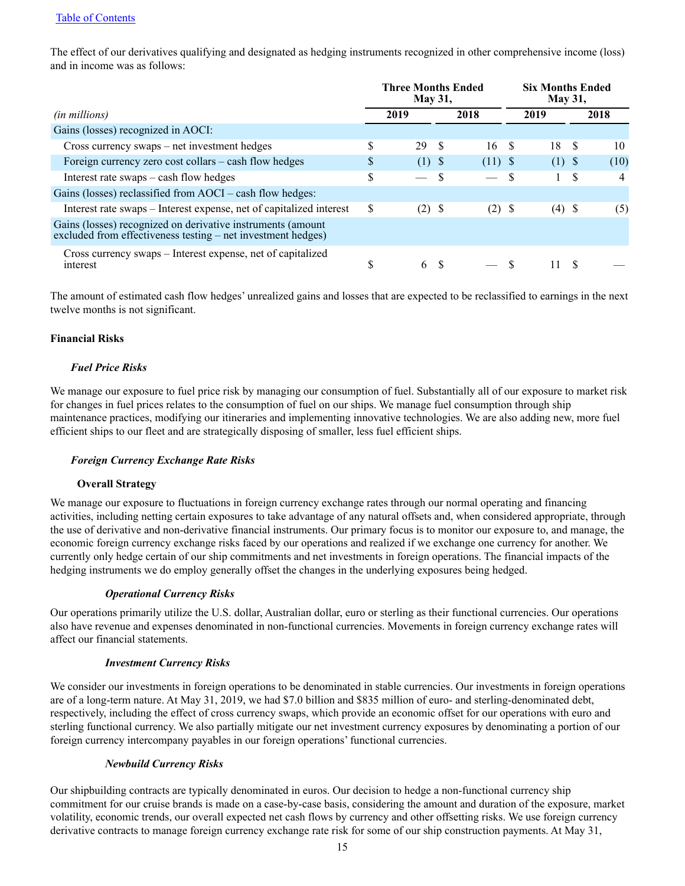The effect of our derivatives qualifying and designated as hedging instruments recognized in other comprehensive income (loss) and in income was as follows:

|                                                                                                                             |    | <b>Three Months Ended</b><br><b>May 31,</b> |      |           | <b>Six Months Ended</b><br><b>May 31,</b> |          |      |                |  |  |
|-----------------------------------------------------------------------------------------------------------------------------|----|---------------------------------------------|------|-----------|-------------------------------------------|----------|------|----------------|--|--|
| <i>(in millions)</i>                                                                                                        |    | 2019                                        |      | 2018      |                                           | 2019     |      | 2018           |  |  |
| Gains (losses) recognized in AOCI:                                                                                          |    |                                             |      |           |                                           |          |      |                |  |  |
| Cross currency swaps – net investment hedges                                                                                | \$ | 29                                          | - \$ | 16        | - \$                                      | 18       | - \$ | 10             |  |  |
| Foreign currency zero cost collars – cash flow hedges                                                                       | S  | $(1)$ \$                                    |      | $(11)$ \$ |                                           | $(1)$ \$ |      | (10)           |  |  |
| Interest rate swaps – cash flow hedges                                                                                      | \$ |                                             | S    |           | S                                         |          | -S   | $\overline{4}$ |  |  |
| Gains (losses) reclassified from $AOCI - cash$ flow hedges:                                                                 |    |                                             |      |           |                                           |          |      |                |  |  |
| Interest rate swaps – Interest expense, net of capitalized interest                                                         | \$ | (2)                                         | -S   | (2)       | -S                                        | $(4)$ \$ |      | (5)            |  |  |
| Gains (losses) recognized on derivative instruments (amount<br>excluded from effectiveness testing – net investment hedges) |    |                                             |      |           |                                           |          |      |                |  |  |
| Cross currency swaps – Interest expense, net of capitalized<br>interest                                                     | S  | 6                                           |      |           |                                           |          | -S   |                |  |  |

The amount of estimated cash flow hedges' unrealized gains and losses that are expected to be reclassified to earnings in the next twelve months is not significant.

## **Financial Risks**

## *Fuel Price Risks*

We manage our exposure to fuel price risk by managing our consumption of fuel. Substantially all of our exposure to market risk for changes in fuel prices relates to the consumption of fuel on our ships. We manage fuel consumption through ship maintenance practices, modifying our itineraries and implementing innovative technologies. We are also adding new, more fuel efficient ships to our fleet and are strategically disposing of smaller, less fuel efficient ships.

## *Foreign Currency Exchange Rate Risks*

## **Overall Strategy**

We manage our exposure to fluctuations in foreign currency exchange rates through our normal operating and financing activities, including netting certain exposures to take advantage of any natural offsets and, when considered appropriate, through the use of derivative and non-derivative financial instruments. Our primary focus is to monitor our exposure to, and manage, the economic foreign currency exchange risks faced by our operations and realized if we exchange one currency for another. We currently only hedge certain of our ship commitments and net investments in foreign operations. The financial impacts of the hedging instruments we do employ generally offset the changes in the underlying exposures being hedged.

## *Operational Currency Risks*

Our operations primarily utilize the U.S. dollar, Australian dollar, euro or sterling as their functional currencies. Our operations also have revenue and expenses denominated in non-functional currencies. Movements in foreign currency exchange rates will affect our financial statements.

## *Investment Currency Risks*

We consider our investments in foreign operations to be denominated in stable currencies. Our investments in foreign operations are of a long-term nature. At May 31, 2019, we had \$7.0 billion and \$835 million of euro- and sterling-denominated debt, respectively, including the effect of cross currency swaps, which provide an economic offset for our operations with euro and sterling functional currency. We also partially mitigate our net investment currency exposures by denominating a portion of our foreign currency intercompany payables in our foreign operations' functional currencies.

## *Newbuild Currency Risks*

Our shipbuilding contracts are typically denominated in euros. Our decision to hedge a non-functional currency ship commitment for our cruise brands is made on a case-by-case basis, considering the amount and duration of the exposure, market volatility, economic trends, our overall expected net cash flows by currency and other offsetting risks. We use foreign currency derivative contracts to manage foreign currency exchange rate risk for some of our ship construction payments. At May 31,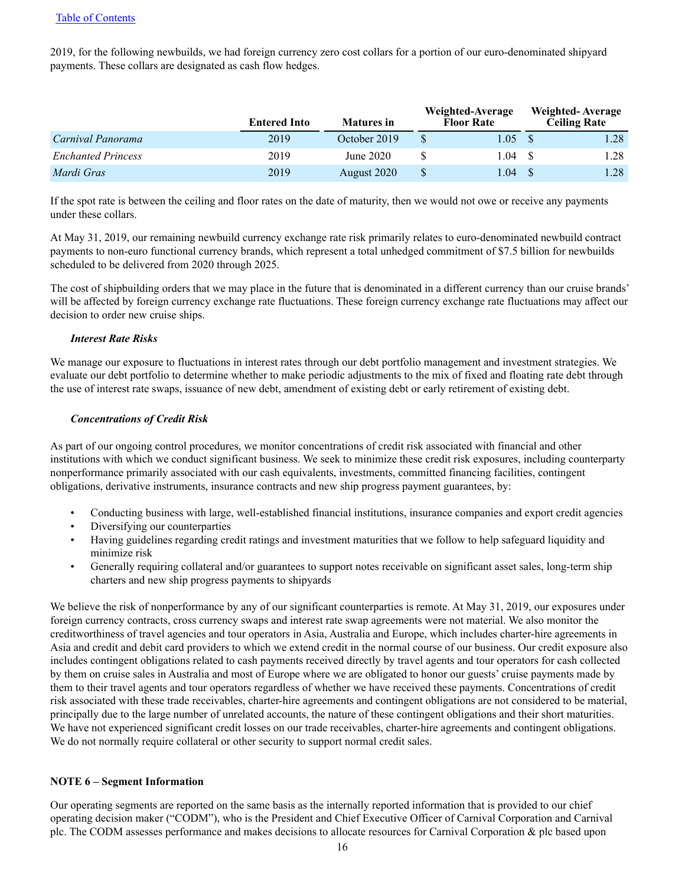2019, for the following newbuilds, we had foreign currency zero cost collars for a portion of our euro-denominated shipyard payments. These collars are designated as cash flow hedges.

|                           | <b>Entered Into</b><br><b>Matures</b> in |              |  | Weighted-Average<br><b>Floor Rate</b> | Weighted-Average<br><b>Ceiling Rate</b> |                      |  |  |
|---------------------------|------------------------------------------|--------------|--|---------------------------------------|-----------------------------------------|----------------------|--|--|
| Carnival Panorama         | 2019                                     | October 2019 |  | 0.05                                  |                                         | $\left  .28 \right $ |  |  |
| <b>Enchanted Princess</b> | 2019                                     | June 2020    |  | 1.04                                  |                                         | 1.28                 |  |  |
| Mardi Gras                | 2019                                     | August 2020  |  | $\mathbf{0.04}$                       |                                         | .28                  |  |  |

If the spot rate is between the ceiling and floor rates on the date of maturity, then we would not owe or receive any payments under these collars.

At May 31, 2019, our remaining newbuild currency exchange rate risk primarily relates to euro-denominated newbuild contract payments to non-euro functional currency brands, which represent a total unhedged commitment of \$7.5 billion for newbuilds scheduled to be delivered from 2020 through 2025.

The cost of shipbuilding orders that we may place in the future that is denominated in a different currency than our cruise brands' will be affected by foreign currency exchange rate fluctuations. These foreign currency exchange rate fluctuations may affect our decision to order new cruise ships.

## *Interest Rate Risks*

We manage our exposure to fluctuations in interest rates through our debt portfolio management and investment strategies. We evaluate our debt portfolio to determine whether to make periodic adjustments to the mix of fixed and floating rate debt through the use of interest rate swaps, issuance of new debt, amendment of existing debt or early retirement of existing debt.

## *Concentrations of Credit Risk*

As part of our ongoing control procedures, we monitor concentrations of credit risk associated with financial and other institutions with which we conduct significant business. We seek to minimize these credit risk exposures, including counterparty nonperformance primarily associated with our cash equivalents, investments, committed financing facilities, contingent obligations, derivative instruments, insurance contracts and new ship progress payment guarantees, by:

- Conducting business with large, well-established financial institutions, insurance companies and export credit agencies
- Diversifying our counterparties
- Having guidelines regarding credit ratings and investment maturities that we follow to help safeguard liquidity and minimize risk
- Generally requiring collateral and/or guarantees to support notes receivable on significant asset sales, long-term ship charters and new ship progress payments to shipyards

We believe the risk of nonperformance by any of our significant counterparties is remote. At May 31, 2019, our exposures under foreign currency contracts, cross currency swaps and interest rate swap agreements were not material. We also monitor the creditworthiness of travel agencies and tour operators in Asia, Australia and Europe, which includes charter-hire agreements in Asia and credit and debit card providers to which we extend credit in the normal course of our business. Our credit exposure also includes contingent obligations related to cash payments received directly by travel agents and tour operators for cash collected by them on cruise sales in Australia and most of Europe where we are obligated to honor our guests' cruise payments made by them to their travel agents and tour operators regardless of whether we have received these payments. Concentrations of credit risk associated with these trade receivables, charter-hire agreements and contingent obligations are not considered to be material, principally due to the large number of unrelated accounts, the nature of these contingent obligations and their short maturities. We have not experienced significant credit losses on our trade receivables, charter-hire agreements and contingent obligations. We do not normally require collateral or other security to support normal credit sales.

## **NOTE 6 – Segment Information**

Our operating segments are reported on the same basis as the internally reported information that is provided to our chief operating decision maker ("CODM"), who is the President and Chief Executive Officer of Carnival Corporation and Carnival plc. The CODM assesses performance and makes decisions to allocate resources for Carnival Corporation & plc based upon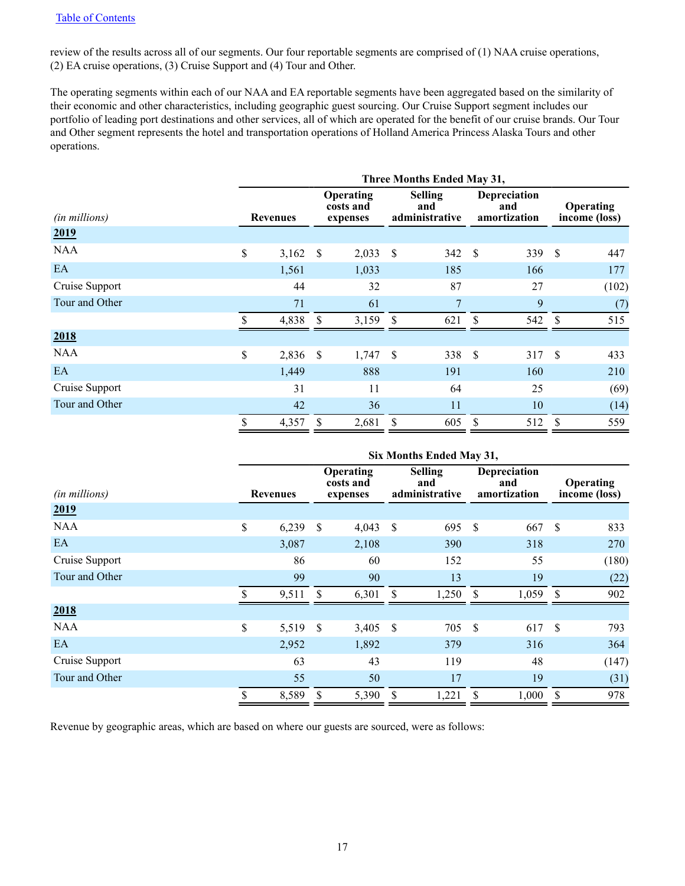review of the results across all of our segments. Our four reportable segments are comprised of (1) NAA cruise operations, (2) EA cruise operations, (3) Cruise Support and (4) Tour and Other.

The operating segments within each of our NAA and EA reportable segments have been aggregated based on the similarity of their economic and other characteristics, including geographic guest sourcing. Our Cruise Support segment includes our portfolio of leading port destinations and other services, all of which are operated for the benefit of our cruise brands. Our Tour and Other segment represents the hotel and transportation operations of Holland America Princess Alaska Tours and other operations.

|                | Three Months Ended May 31, |                 |               |                                    |                           |                                         |                                     |     |               |                            |  |  |  |  |
|----------------|----------------------------|-----------------|---------------|------------------------------------|---------------------------|-----------------------------------------|-------------------------------------|-----|---------------|----------------------------|--|--|--|--|
| (in millions)  |                            | <b>Revenues</b> |               | Operating<br>costs and<br>expenses |                           | <b>Selling</b><br>and<br>administrative | Depreciation<br>and<br>amortization |     |               | Operating<br>income (loss) |  |  |  |  |
| 2019           |                            |                 |               |                                    |                           |                                         |                                     |     |               |                            |  |  |  |  |
| <b>NAA</b>     | \$                         | 3,162           | <sup>\$</sup> | 2,033                              | \$                        | 342                                     | \$                                  | 339 | -\$           | 447                        |  |  |  |  |
| EA             |                            | 1,561           |               | 1,033                              |                           | 185                                     |                                     | 166 |               | 177                        |  |  |  |  |
| Cruise Support |                            | 44              |               | 32                                 |                           | 87                                      |                                     | 27  |               | (102)                      |  |  |  |  |
| Tour and Other |                            | 71              |               | 61                                 |                           | 7                                       |                                     | 9   |               | (7)                        |  |  |  |  |
|                | \$                         | 4,838           | \$            | 3,159                              | \$                        | 621                                     | \$                                  | 542 | <sup>\$</sup> | 515                        |  |  |  |  |
| 2018           |                            |                 |               |                                    |                           |                                         |                                     |     |               |                            |  |  |  |  |
| <b>NAA</b>     | \$                         | 2,836           | \$            | 1,747                              | $\boldsymbol{\mathsf{S}}$ | 338                                     | \$                                  | 317 | <sup>\$</sup> | 433                        |  |  |  |  |
| EA             |                            | 1,449           |               | 888                                |                           | 191                                     |                                     | 160 |               | 210                        |  |  |  |  |
| Cruise Support |                            | 31              |               | 11                                 |                           | 64                                      |                                     | 25  |               | (69)                       |  |  |  |  |
| Tour and Other |                            | 42              |               | 36                                 |                           | 11                                      |                                     | 10  |               | (14)                       |  |  |  |  |
|                | \$                         | 4,357           | <sup>\$</sup> | 2,681                              | \$                        | 605                                     | \$                                  | 512 | <sup>\$</sup> | 559                        |  |  |  |  |

|                | Six Months Ended May 31, |       |               |                                    |    |                                         |                                     |       |               |                            |  |  |  |  |
|----------------|--------------------------|-------|---------------|------------------------------------|----|-----------------------------------------|-------------------------------------|-------|---------------|----------------------------|--|--|--|--|
| (in millions)  | <b>Revenues</b>          |       |               | Operating<br>costs and<br>expenses |    | <b>Selling</b><br>and<br>administrative | Depreciation<br>and<br>amortization |       |               | Operating<br>income (loss) |  |  |  |  |
| 2019           |                          |       |               |                                    |    |                                         |                                     |       |               |                            |  |  |  |  |
| <b>NAA</b>     | \$                       | 6,239 | <sup>\$</sup> | 4,043                              | \$ | 695                                     | <sup>\$</sup>                       | 667   | <sup>\$</sup> | 833                        |  |  |  |  |
| EA             |                          | 3,087 |               | 2,108                              |    | 390                                     |                                     | 318   |               | 270                        |  |  |  |  |
| Cruise Support |                          | 86    |               | 60                                 |    | 152                                     |                                     | 55    |               | (180)                      |  |  |  |  |
| Tour and Other |                          | 99    |               | 90                                 |    | 13                                      |                                     | 19    |               | (22)                       |  |  |  |  |
|                | \$                       | 9,511 | \$.           | 6,301                              | \$ | 1,250                                   | \$.                                 | 1,059 | \$.           | 902                        |  |  |  |  |
| 2018           |                          |       |               |                                    |    |                                         |                                     |       |               |                            |  |  |  |  |
| <b>NAA</b>     | \$                       | 5,519 | \$            | 3,405                              | \$ | 705                                     | \$                                  | 617   | \$            | 793                        |  |  |  |  |
| EA             |                          | 2,952 |               | 1,892                              |    | 379                                     |                                     | 316   |               | 364                        |  |  |  |  |
| Cruise Support |                          | 63    |               | 43                                 |    | 119                                     |                                     | 48    |               | (147)                      |  |  |  |  |
| Tour and Other |                          | 55    |               | 50                                 |    | 17                                      |                                     | 19    |               | (31)                       |  |  |  |  |
|                | \$                       | 8,589 | <sup>\$</sup> | 5,390                              | \$ | 1,221                                   | S                                   | 1,000 | \$            | 978                        |  |  |  |  |

Revenue by geographic areas, which are based on where our guests are sourced, were as follows: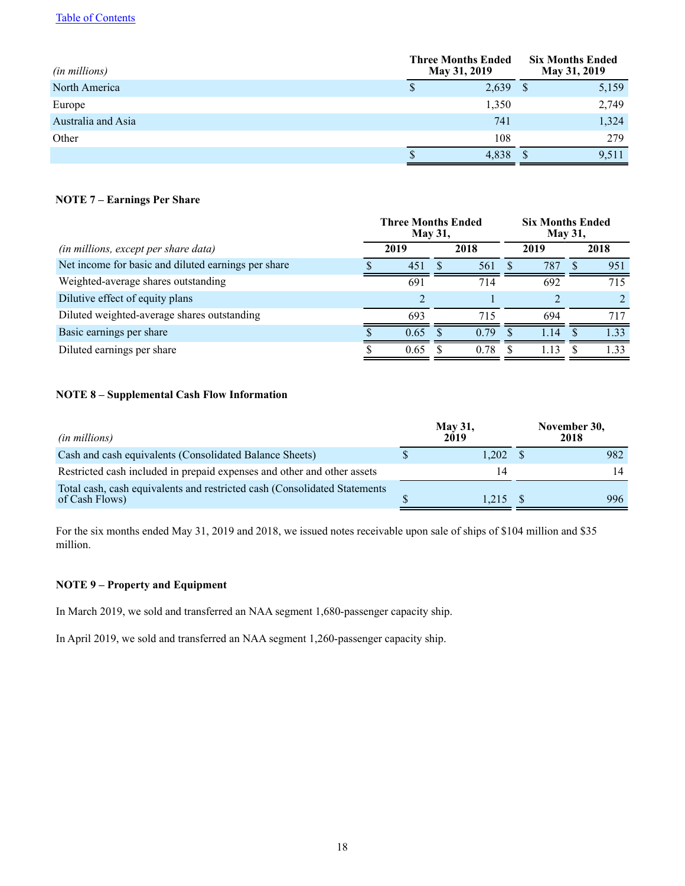## Table of Contents

| (in millions)      | <b>Three Months Ended</b><br>May 31, 2019 |       | <b>Six Months Ended</b><br>May 31, 2019 |
|--------------------|-------------------------------------------|-------|-----------------------------------------|
| North America      |                                           | 2,639 | 5,159                                   |
| Europe             |                                           | 1,350 | 2,749                                   |
| Australia and Asia |                                           | 741   | 1,324                                   |
| Other              |                                           | 108   | 279                                     |
|                    |                                           | 4,838 | 9.511                                   |

## **NOTE 7 – Earnings Per Share**

|                                                     | <b>Three Months Ended</b><br><b>May 31,</b> | <b>Six Months Ended</b><br><b>May 31,</b> |  |      |  |      |
|-----------------------------------------------------|---------------------------------------------|-------------------------------------------|--|------|--|------|
| (in millions, except per share data)                | 2019                                        | 2018                                      |  | 2019 |  | 2018 |
| Net income for basic and diluted earnings per share | 451                                         | 561                                       |  | 787  |  | 951  |
| Weighted-average shares outstanding                 | 691                                         | 714                                       |  | 692  |  | 715  |
| Dilutive effect of equity plans                     |                                             |                                           |  |      |  |      |
| Diluted weighted-average shares outstanding         | 693                                         | 715                                       |  | 694  |  | 717  |
| Basic earnings per share                            | 0.65                                        | 0.79                                      |  | 14   |  | 133  |
| Diluted earnings per share                          | 0.65                                        | 0.78                                      |  | -13  |  | l 33 |

## **NOTE 8 – Supplemental Cash Flow Information**

| <i>(in millions)</i>                                                                         | <b>May 31,</b><br>2019 |            | November 30,<br>2018 |
|----------------------------------------------------------------------------------------------|------------------------|------------|----------------------|
| Cash and cash equivalents (Consolidated Balance Sheets)                                      |                        | $1,202$ \$ | 982                  |
| Restricted cash included in prepaid expenses and other and other assets                      |                        | 14         | 14                   |
| Total cash, cash equivalents and restricted cash (Consolidated Statements)<br>of Cash Flows) |                        | 1.215      | 996                  |

For the six months ended May 31, 2019 and 2018, we issued notes receivable upon sale of ships of \$104 million and \$35 million.

## **NOTE 9 – Property and Equipment**

In March 2019, we sold and transferred an NAA segment 1,680-passenger capacity ship.

In April 2019, we sold and transferred an NAA segment 1,260-passenger capacity ship.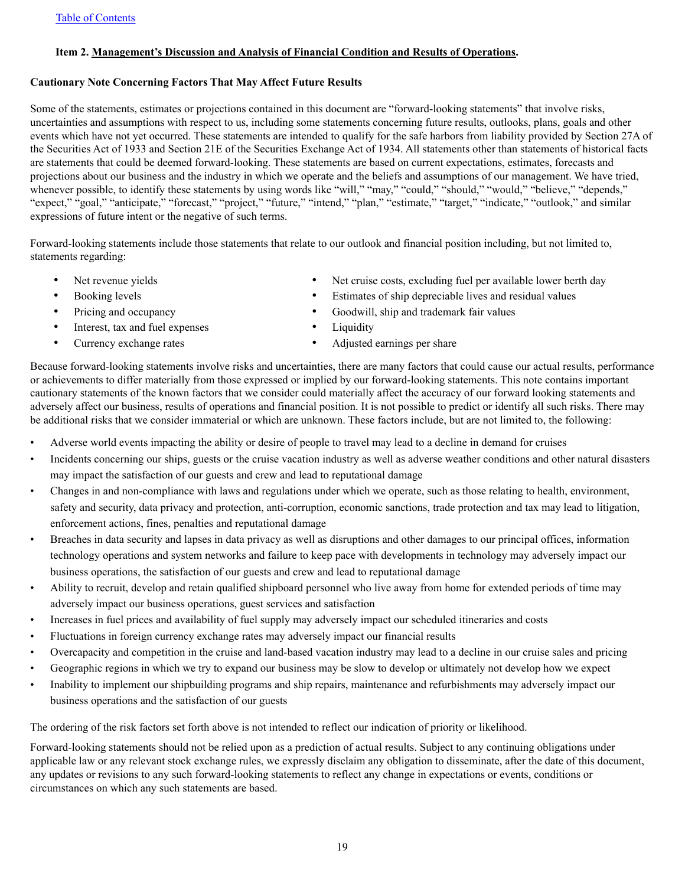## <span id="page-19-0"></span>**Item 2. Management's Discussion and Analysis of Financial Condition and Results of Operations.**

## **Cautionary Note Concerning Factors That May Affect Future Results**

Some of the statements, estimates or projections contained in this document are "forward-looking statements" that involve risks, uncertainties and assumptions with respect to us, including some statements concerning future results, outlooks, plans, goals and other events which have not yet occurred. These statements are intended to qualify for the safe harbors from liability provided by Section 27A of the Securities Act of 1933 and Section 21E of the Securities Exchange Act of 1934. All statements other than statements of historical facts are statements that could be deemed forward-looking. These statements are based on current expectations, estimates, forecasts and projections about our business and the industry in which we operate and the beliefs and assumptions of our management. We have tried, whenever possible, to identify these statements by using words like "will," "may," "could," "should," "would," "believe," "depends," "expect," "goal," "anticipate," "forecast," "project," "future," "intend," "plan," "estimate," "target," "indicate," "outlook," and similar expressions of future intent or the negative of such terms.

Forward-looking statements include those statements that relate to our outlook and financial position including, but not limited to, statements regarding:

- 
- 
- 
- Interest, tax and fuel expenses Liquidity
- 
- Net revenue yields Net cruise costs, excluding fuel per available lower berth day
- Booking levels Estimates of ship depreciable lives and residual values
- Pricing and occupancy Goodwill, ship and trademark fair values
	-
- Currency exchange rates Adjusted earnings per share

Because forward-looking statements involve risks and uncertainties, there are many factors that could cause our actual results, performance or achievements to differ materially from those expressed or implied by our forward-looking statements. This note contains important cautionary statements of the known factors that we consider could materially affect the accuracy of our forward looking statements and adversely affect our business, results of operations and financial position. It is not possible to predict or identify all such risks. There may be additional risks that we consider immaterial or which are unknown. These factors include, but are not limited to, the following:

- Adverse world events impacting the ability or desire of people to travel may lead to a decline in demand for cruises
- Incidents concerning our ships, guests or the cruise vacation industry as well as adverse weather conditions and other natural disasters may impact the satisfaction of our guests and crew and lead to reputational damage
- Changes in and non-compliance with laws and regulations under which we operate, such as those relating to health, environment, safety and security, data privacy and protection, anti-corruption, economic sanctions, trade protection and tax may lead to litigation, enforcement actions, fines, penalties and reputational damage
- Breaches in data security and lapses in data privacy as well as disruptions and other damages to our principal offices, information technology operations and system networks and failure to keep pace with developments in technology may adversely impact our business operations, the satisfaction of our guests and crew and lead to reputational damage
- Ability to recruit, develop and retain qualified shipboard personnel who live away from home for extended periods of time may adversely impact our business operations, guest services and satisfaction
- Increases in fuel prices and availability of fuel supply may adversely impact our scheduled itineraries and costs
- Fluctuations in foreign currency exchange rates may adversely impact our financial results
- Overcapacity and competition in the cruise and land-based vacation industry may lead to a decline in our cruise sales and pricing
- Geographic regions in which we try to expand our business may be slow to develop or ultimately not develop how we expect
- Inability to implement our shipbuilding programs and ship repairs, maintenance and refurbishments may adversely impact our business operations and the satisfaction of our guests

The ordering of the risk factors set forth above is not intended to reflect our indication of priority or likelihood.

Forward-looking statements should not be relied upon as a prediction of actual results. Subject to any continuing obligations under applicable law or any relevant stock exchange rules, we expressly disclaim any obligation to disseminate, after the date of this document, any updates or revisions to any such forward-looking statements to reflect any change in expectations or events, conditions or circumstances on which any such statements are based.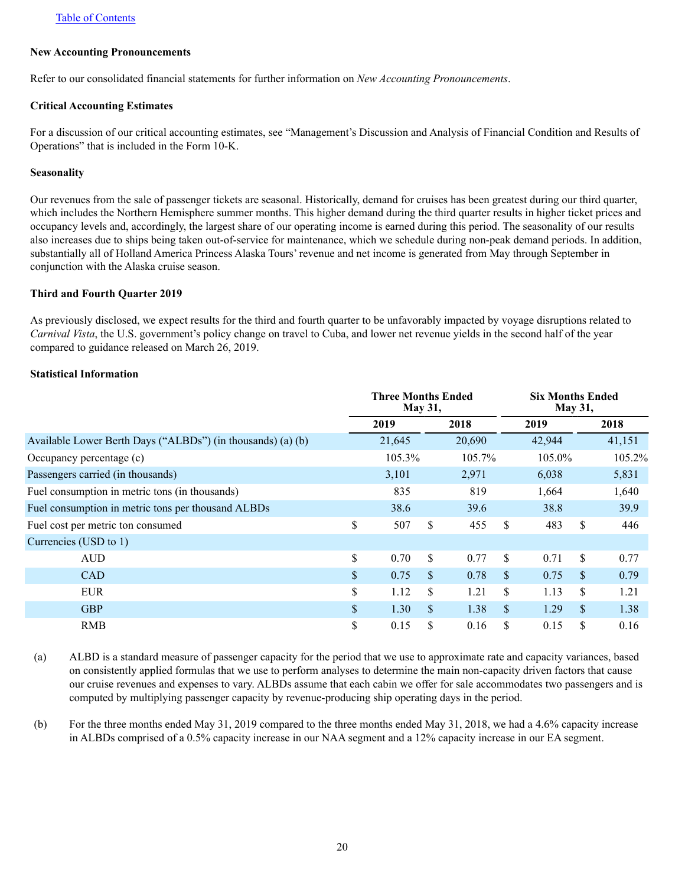#### **New Accounting Pronouncements**

Refer to our consolidated financial statements for further information on *New Accounting Pronouncements*.

#### **Critical Accounting Estimates**

For a discussion of our critical accounting estimates, see "Management's Discussion and Analysis of Financial Condition and Results of Operations" that is included in the Form 10-K.

#### **Seasonality**

Our revenues from the sale of passenger tickets are seasonal. Historically, demand for cruises has been greatest during our third quarter, which includes the Northern Hemisphere summer months. This higher demand during the third quarter results in higher ticket prices and occupancy levels and, accordingly, the largest share of our operating income is earned during this period. The seasonality of our results also increases due to ships being taken out-of-service for maintenance, which we schedule during non-peak demand periods. In addition, substantially all of Holland America Princess Alaska Tours' revenue and net income is generated from May through September in conjunction with the Alaska cruise season.

#### **Third and Fourth Quarter 2019**

As previously disclosed, we expect results for the third and fourth quarter to be unfavorably impacted by voyage disruptions related to *Carnival Vista*, the U.S. government's policy change on travel to Cuba, and lower net revenue yields in the second half of the year compared to guidance released on March 26, 2019.

#### **Statistical Information**

|                                                             | <b>Three Months Ended</b><br><b>May 31,</b> |        |    |        |               |        | <b>Six Months Ended</b><br><b>May 31,</b> |        |  |
|-------------------------------------------------------------|---------------------------------------------|--------|----|--------|---------------|--------|-------------------------------------------|--------|--|
|                                                             |                                             | 2019   |    | 2018   |               | 2019   |                                           | 2018   |  |
| Available Lower Berth Days ("ALBDs") (in thousands) (a) (b) |                                             | 21,645 |    | 20,690 |               | 42,944 |                                           | 41,151 |  |
| Occupancy percentage (c)                                    |                                             | 105.3% |    | 105.7% |               | 105.0% |                                           | 105.2% |  |
| Passengers carried (in thousands)                           |                                             | 3,101  |    | 2,971  |               | 6,038  |                                           | 5,831  |  |
| Fuel consumption in metric tons (in thousands)              |                                             | 835    |    | 819    |               | 1,664  |                                           | 1,640  |  |
| Fuel consumption in metric tons per thousand ALBDs          |                                             | 38.6   |    | 39.6   |               | 38.8   |                                           | 39.9   |  |
| Fuel cost per metric ton consumed                           | \$                                          | 507    | \$ | 455    | \$.           | 483    | \$.                                       | 446    |  |
| Currencies (USD to 1)                                       |                                             |        |    |        |               |        |                                           |        |  |
| <b>AUD</b>                                                  | \$                                          | 0.70   | \$ | 0.77   | \$.           | 0.71   | \$                                        | 0.77   |  |
| <b>CAD</b>                                                  | \$                                          | 0.75   | \$ | 0.78   | \$.           | 0.75   | <sup>\$</sup>                             | 0.79   |  |
| <b>EUR</b>                                                  | \$                                          | 1.12   | \$ | 1.21   | \$            | 1.13   | \$                                        | 1.21   |  |
| <b>GBP</b>                                                  | \$                                          | 1.30   | \$ | 1.38   | $\mathsf{\$}$ | 1.29   | $\boldsymbol{\mathsf{S}}$                 | 1.38   |  |
| <b>RMB</b>                                                  | \$                                          | 0.15   | \$ | 0.16   | \$            | 0.15   | \$.                                       | 0.16   |  |

- (a) ALBD is a standard measure of passenger capacity for the period that we use to approximate rate and capacity variances, based on consistently applied formulas that we use to perform analyses to determine the main non-capacity driven factors that cause our cruise revenues and expenses to vary. ALBDs assume that each cabin we offer for sale accommodates two passengers and is computed by multiplying passenger capacity by revenue-producing ship operating days in the period.
- (b) For the three months ended May 31, 2019 compared to the three months ended May 31, 2018, we had a 4.6% capacity increase in ALBDs comprised of a 0.5% capacity increase in our NAA segment and a 12% capacity increase in our EA segment.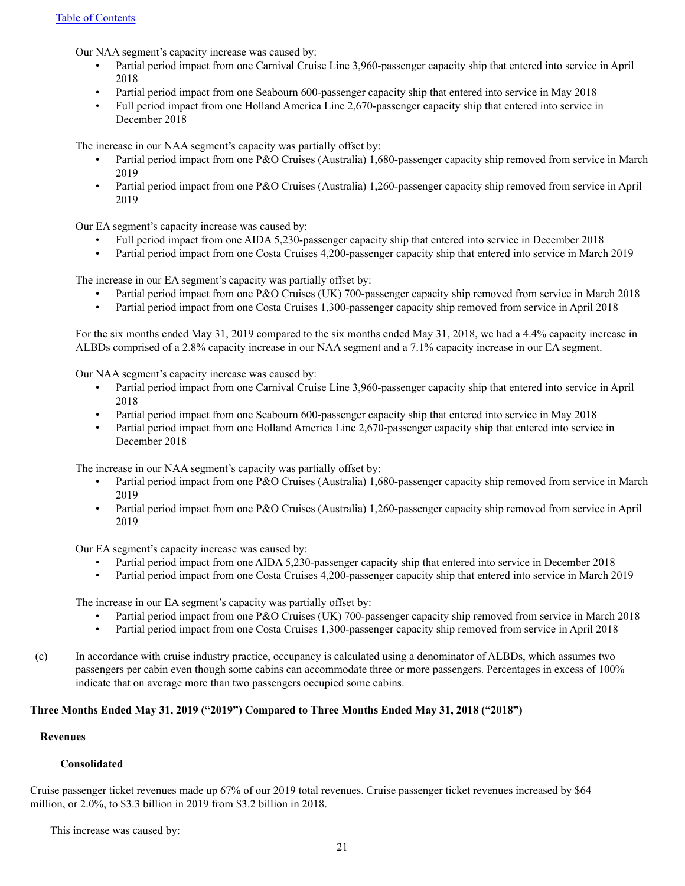Our NAA segment's capacity increase was caused by:

- Partial period impact from one Carnival Cruise Line 3,960-passenger capacity ship that entered into service in April 2018
- Partial period impact from one Seabourn 600-passenger capacity ship that entered into service in May 2018
- Full period impact from one Holland America Line 2,670-passenger capacity ship that entered into service in December 2018

The increase in our NAA segment's capacity was partially offset by:

- Partial period impact from one P&O Cruises (Australia) 1,680-passenger capacity ship removed from service in March 2019
- Partial period impact from one P&O Cruises (Australia) 1,260-passenger capacity ship removed from service in April 2019

Our EA segment's capacity increase was caused by:

- Full period impact from one AIDA 5,230-passenger capacity ship that entered into service in December 2018
- Partial period impact from one Costa Cruises 4,200-passenger capacity ship that entered into service in March 2019

The increase in our EA segment's capacity was partially offset by:

- Partial period impact from one P&O Cruises (UK) 700-passenger capacity ship removed from service in March 2018
- Partial period impact from one Costa Cruises 1,300-passenger capacity ship removed from service in April 2018

For the six months ended May 31, 2019 compared to the six months ended May 31, 2018, we had a 4.4% capacity increase in ALBDs comprised of a 2.8% capacity increase in our NAA segment and a 7.1% capacity increase in our EA segment.

Our NAA segment's capacity increase was caused by:

- Partial period impact from one Carnival Cruise Line 3,960-passenger capacity ship that entered into service in April 2018
- Partial period impact from one Seabourn 600-passenger capacity ship that entered into service in May 2018
- Partial period impact from one Holland America Line 2,670-passenger capacity ship that entered into service in December 2018

The increase in our NAA segment's capacity was partially offset by:

- Partial period impact from one P&O Cruises (Australia) 1,680-passenger capacity ship removed from service in March 2019
- Partial period impact from one P&O Cruises (Australia) 1,260-passenger capacity ship removed from service in April 2019

Our EA segment's capacity increase was caused by:

- Partial period impact from one AIDA 5,230-passenger capacity ship that entered into service in December 2018
- Partial period impact from one Costa Cruises 4,200-passenger capacity ship that entered into service in March 2019

The increase in our EA segment's capacity was partially offset by:

- Partial period impact from one P&O Cruises (UK) 700-passenger capacity ship removed from service in March 2018
- Partial period impact from one Costa Cruises 1,300-passenger capacity ship removed from service in April 2018
- (c) In accordance with cruise industry practice, occupancy is calculated using a denominator of ALBDs, which assumes two passengers per cabin even though some cabins can accommodate three or more passengers. Percentages in excess of 100% indicate that on average more than two passengers occupied some cabins.

## **Three Months Ended May 31, 2019 ("2019") Compared to Three Months Ended May 31, 2018 ("2018")**

## **Revenues**

## **Consolidated**

Cruise passenger ticket revenues made up 67% of our 2019 total revenues. Cruise passenger ticket revenues increased by \$64 million, or 2.0%, to \$3.3 billion in 2019 from \$3.2 billion in 2018.

This increase was caused by: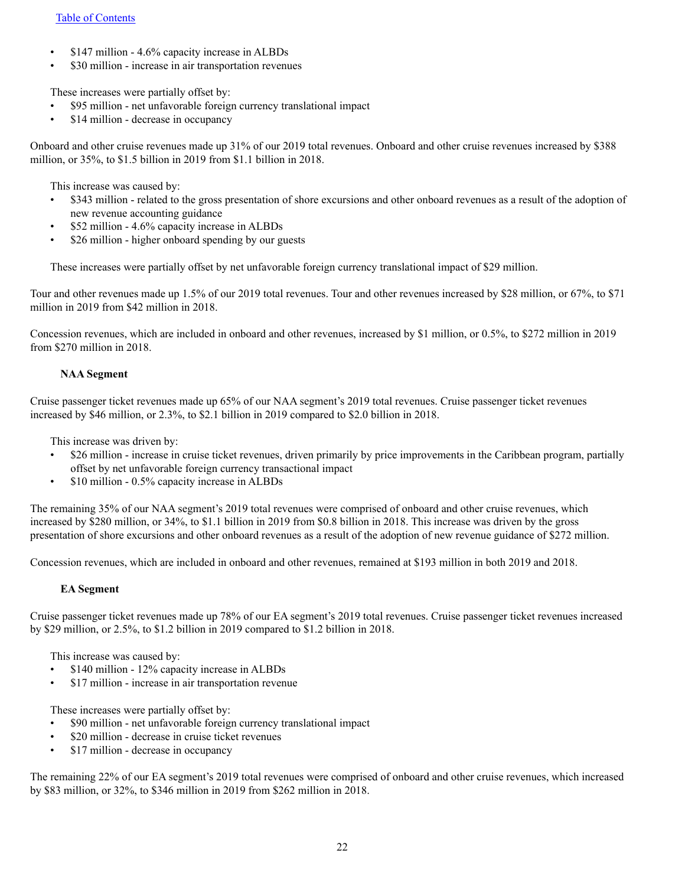- \$147 million 4.6% capacity increase in ALBDs
- \$30 million increase in air transportation revenues

These increases were partially offset by:

- \$95 million net unfavorable foreign currency translational impact
- \$14 million decrease in occupancy

Onboard and other cruise revenues made up 31% of our 2019 total revenues. Onboard and other cruise revenues increased by \$388 million, or 35%, to \$1.5 billion in 2019 from \$1.1 billion in 2018.

This increase was caused by:

- \$343 million related to the gross presentation of shore excursions and other onboard revenues as a result of the adoption of new revenue accounting guidance
- \$52 million 4.6% capacity increase in ALBDs
- \$26 million higher onboard spending by our guests

These increases were partially offset by net unfavorable foreign currency translational impact of \$29 million.

Tour and other revenues made up 1.5% of our 2019 total revenues. Tour and other revenues increased by \$28 million, or 67%, to \$71 million in 2019 from \$42 million in 2018.

Concession revenues, which are included in onboard and other revenues, increased by \$1 million, or 0.5%, to \$272 million in 2019 from \$270 million in 2018.

## **NAA Segment**

Cruise passenger ticket revenues made up 65% of our NAA segment's 2019 total revenues. Cruise passenger ticket revenues increased by \$46 million, or 2.3%, to \$2.1 billion in 2019 compared to \$2.0 billion in 2018.

This increase was driven by:

- \$26 million increase in cruise ticket revenues, driven primarily by price improvements in the Caribbean program, partially offset by net unfavorable foreign currency transactional impact
- \$10 million 0.5% capacity increase in ALBDs

The remaining 35% of our NAA segment's 2019 total revenues were comprised of onboard and other cruise revenues, which increased by \$280 million, or 34%, to \$1.1 billion in 2019 from \$0.8 billion in 2018. This increase was driven by the gross presentation of shore excursions and other onboard revenues as a result of the adoption of new revenue guidance of \$272 million.

Concession revenues, which are included in onboard and other revenues, remained at \$193 million in both 2019 and 2018.

## **EA Segment**

Cruise passenger ticket revenues made up 78% of our EA segment's 2019 total revenues. Cruise passenger ticket revenues increased by \$29 million, or 2.5%, to \$1.2 billion in 2019 compared to \$1.2 billion in 2018.

This increase was caused by:

- \$140 million 12% capacity increase in ALBDs
- \$17 million increase in air transportation revenue

These increases were partially offset by:

- \$90 million net unfavorable foreign currency translational impact
- \$20 million decrease in cruise ticket revenues
- \$17 million decrease in occupancy

The remaining 22% of our EA segment's 2019 total revenues were comprised of onboard and other cruise revenues, which increased by \$83 million, or 32%, to \$346 million in 2019 from \$262 million in 2018.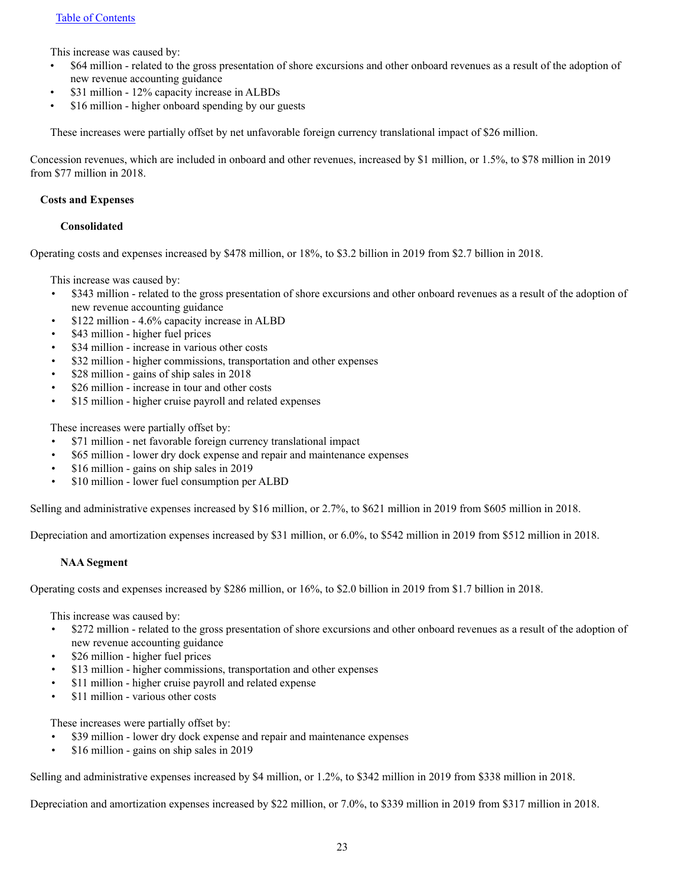This increase was caused by:

- \$64 million related to the gross presentation of shore excursions and other onboard revenues as a result of the adoption of new revenue accounting guidance
- \$31 million 12% capacity increase in ALBDs
- \$16 million higher onboard spending by our guests

These increases were partially offset by net unfavorable foreign currency translational impact of \$26 million.

Concession revenues, which are included in onboard and other revenues, increased by \$1 million, or 1.5%, to \$78 million in 2019 from \$77 million in 2018.

#### **Costs and Expenses**

## **Consolidated**

Operating costs and expenses increased by \$478 million, or 18%, to \$3.2 billion in 2019 from \$2.7 billion in 2018.

This increase was caused by:

- \$343 million related to the gross presentation of shore excursions and other onboard revenues as a result of the adoption of new revenue accounting guidance
- \$122 million 4.6% capacity increase in ALBD
- \$43 million higher fuel prices
- \$34 million increase in various other costs
- \$32 million higher commissions, transportation and other expenses
- \$28 million gains of ship sales in 2018
- \$26 million increase in tour and other costs
- \$15 million higher cruise payroll and related expenses

These increases were partially offset by:

- \$71 million net favorable foreign currency translational impact
- \$65 million lower dry dock expense and repair and maintenance expenses
- \$16 million gains on ship sales in 2019
- \$10 million lower fuel consumption per ALBD

Selling and administrative expenses increased by \$16 million, or 2.7%, to \$621 million in 2019 from \$605 million in 2018.

Depreciation and amortization expenses increased by \$31 million, or 6.0%, to \$542 million in 2019 from \$512 million in 2018.

## **NAA Segment**

Operating costs and expenses increased by \$286 million, or 16%, to \$2.0 billion in 2019 from \$1.7 billion in 2018.

This increase was caused by:

- \$272 million related to the gross presentation of shore excursions and other onboard revenues as a result of the adoption of new revenue accounting guidance
- \$26 million higher fuel prices
- \$13 million higher commissions, transportation and other expenses
- \$11 million higher cruise payroll and related expense
- \$11 million various other costs

These increases were partially offset by:

- \$39 million lower dry dock expense and repair and maintenance expenses
- \$16 million gains on ship sales in 2019

Selling and administrative expenses increased by \$4 million, or 1.2%, to \$342 million in 2019 from \$338 million in 2018.

Depreciation and amortization expenses increased by \$22 million, or 7.0%, to \$339 million in 2019 from \$317 million in 2018.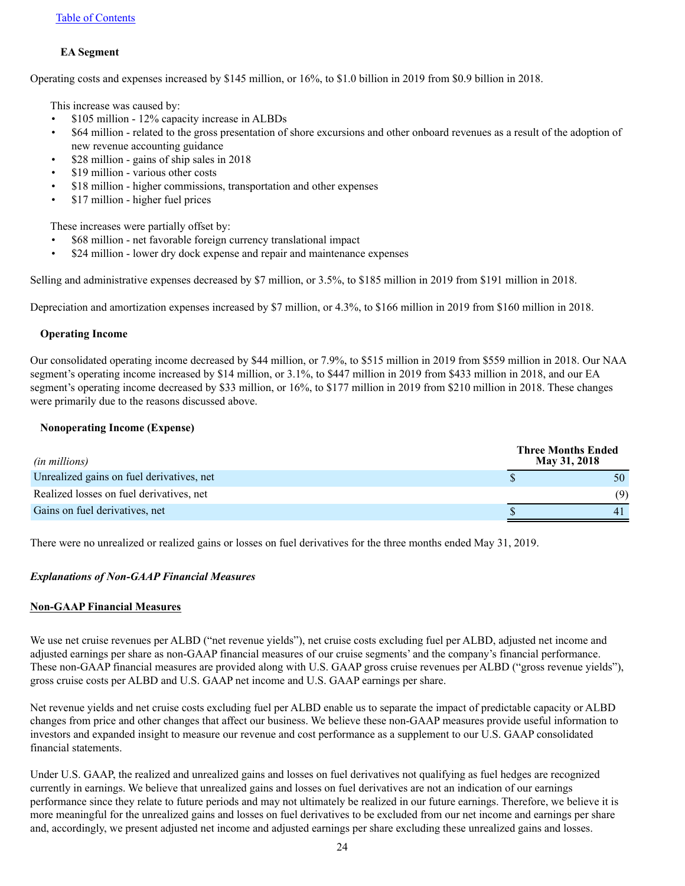## **EA Segment**

Operating costs and expenses increased by \$145 million, or 16%, to \$1.0 billion in 2019 from \$0.9 billion in 2018.

This increase was caused by:

- \$105 million 12% capacity increase in ALBDs
- \$64 million related to the gross presentation of shore excursions and other onboard revenues as a result of the adoption of new revenue accounting guidance
- \$28 million gains of ship sales in 2018
- \$19 million various other costs
- \$18 million higher commissions, transportation and other expenses
- \$17 million higher fuel prices

These increases were partially offset by:

- \$68 million net favorable foreign currency translational impact
- \$24 million lower dry dock expense and repair and maintenance expenses

Selling and administrative expenses decreased by \$7 million, or 3.5%, to \$185 million in 2019 from \$191 million in 2018.

Depreciation and amortization expenses increased by \$7 million, or 4.3%, to \$166 million in 2019 from \$160 million in 2018.

## **Operating Income**

Our consolidated operating income decreased by \$44 million, or 7.9%, to \$515 million in 2019 from \$559 million in 2018. Our NAA segment's operating income increased by \$14 million, or 3.1%, to \$447 million in 2019 from \$433 million in 2018, and our EA segment's operating income decreased by \$33 million, or 16%, to \$177 million in 2019 from \$210 million in 2018. These changes were primarily due to the reasons discussed above.

## **Nonoperating Income (Expense)**

| <i>(in millions)</i>                      | <b>Three Months Ended</b><br>May 31, 2018 |
|-------------------------------------------|-------------------------------------------|
| Unrealized gains on fuel derivatives, net | 50                                        |
| Realized losses on fuel derivatives, net  | (9)                                       |
| Gains on fuel derivatives, net            |                                           |

There were no unrealized or realized gains or losses on fuel derivatives for the three months ended May 31, 2019.

## *Explanations of Non-GAAP Financial Measures*

## **Non-GAAP Financial Measures**

We use net cruise revenues per ALBD ("net revenue yields"), net cruise costs excluding fuel per ALBD, adjusted net income and adjusted earnings per share as non-GAAP financial measures of our cruise segments' and the company's financial performance. These non-GAAP financial measures are provided along with U.S. GAAP gross cruise revenues per ALBD ("gross revenue yields"), gross cruise costs per ALBD and U.S. GAAP net income and U.S. GAAP earnings per share.

Net revenue yields and net cruise costs excluding fuel per ALBD enable us to separate the impact of predictable capacity or ALBD changes from price and other changes that affect our business. We believe these non-GAAP measures provide useful information to investors and expanded insight to measure our revenue and cost performance as a supplement to our U.S. GAAP consolidated financial statements.

Under U.S. GAAP, the realized and unrealized gains and losses on fuel derivatives not qualifying as fuel hedges are recognized currently in earnings. We believe that unrealized gains and losses on fuel derivatives are not an indication of our earnings performance since they relate to future periods and may not ultimately be realized in our future earnings. Therefore, we believe it is more meaningful for the unrealized gains and losses on fuel derivatives to be excluded from our net income and earnings per share and, accordingly, we present adjusted net income and adjusted earnings per share excluding these unrealized gains and losses.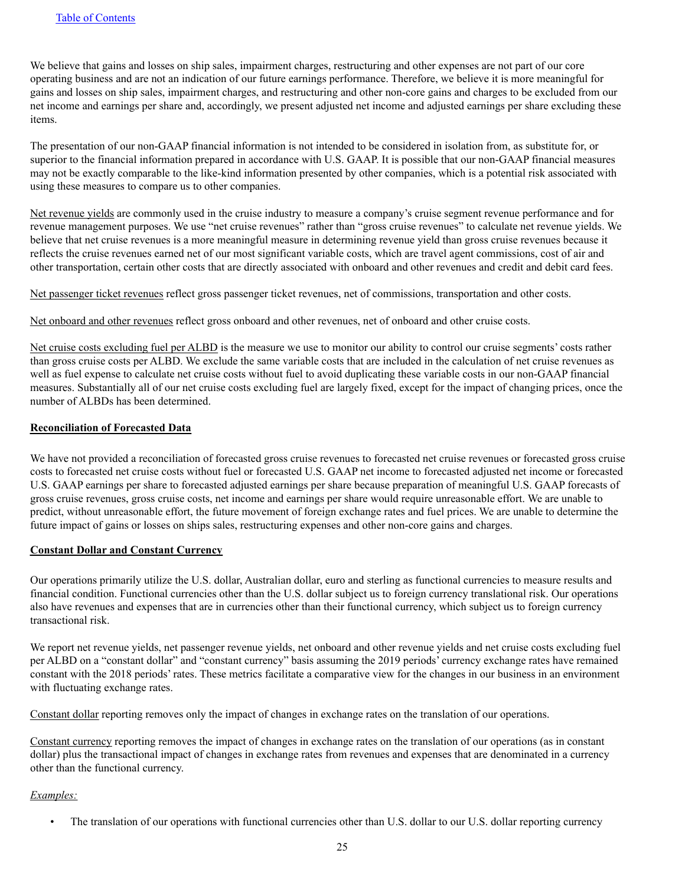We believe that gains and losses on ship sales, impairment charges, restructuring and other expenses are not part of our core operating business and are not an indication of our future earnings performance. Therefore, we believe it is more meaningful for gains and losses on ship sales, impairment charges, and restructuring and other non-core gains and charges to be excluded from our net income and earnings per share and, accordingly, we present adjusted net income and adjusted earnings per share excluding these items.

The presentation of our non-GAAP financial information is not intended to be considered in isolation from, as substitute for, or superior to the financial information prepared in accordance with U.S. GAAP. It is possible that our non-GAAP financial measures may not be exactly comparable to the like-kind information presented by other companies, which is a potential risk associated with using these measures to compare us to other companies.

Net revenue yields are commonly used in the cruise industry to measure a company's cruise segment revenue performance and for revenue management purposes. We use "net cruise revenues" rather than "gross cruise revenues" to calculate net revenue yields. We believe that net cruise revenues is a more meaningful measure in determining revenue yield than gross cruise revenues because it reflects the cruise revenues earned net of our most significant variable costs, which are travel agent commissions, cost of air and other transportation, certain other costs that are directly associated with onboard and other revenues and credit and debit card fees.

Net passenger ticket revenues reflect gross passenger ticket revenues, net of commissions, transportation and other costs.

Net onboard and other revenues reflect gross onboard and other revenues, net of onboard and other cruise costs.

Net cruise costs excluding fuel per ALBD is the measure we use to monitor our ability to control our cruise segments' costs rather than gross cruise costs per ALBD. We exclude the same variable costs that are included in the calculation of net cruise revenues as well as fuel expense to calculate net cruise costs without fuel to avoid duplicating these variable costs in our non-GAAP financial measures. Substantially all of our net cruise costs excluding fuel are largely fixed, except for the impact of changing prices, once the number of ALBDs has been determined.

## **Reconciliation of Forecasted Data**

We have not provided a reconciliation of forecasted gross cruise revenues to forecasted net cruise revenues or forecasted gross cruise costs to forecasted net cruise costs without fuel or forecasted U.S. GAAP net income to forecasted adjusted net income or forecasted U.S. GAAP earnings per share to forecasted adjusted earnings per share because preparation of meaningful U.S. GAAP forecasts of gross cruise revenues, gross cruise costs, net income and earnings per share would require unreasonable effort. We are unable to predict, without unreasonable effort, the future movement of foreign exchange rates and fuel prices. We are unable to determine the future impact of gains or losses on ships sales, restructuring expenses and other non-core gains and charges.

## **Constant Dollar and Constant Currency**

Our operations primarily utilize the U.S. dollar, Australian dollar, euro and sterling as functional currencies to measure results and financial condition. Functional currencies other than the U.S. dollar subject us to foreign currency translational risk. Our operations also have revenues and expenses that are in currencies other than their functional currency, which subject us to foreign currency transactional risk.

We report net revenue yields, net passenger revenue yields, net onboard and other revenue yields and net cruise costs excluding fuel per ALBD on a "constant dollar" and "constant currency" basis assuming the 2019 periods' currency exchange rates have remained constant with the 2018 periods' rates. These metrics facilitate a comparative view for the changes in our business in an environment with fluctuating exchange rates.

Constant dollar reporting removes only the impact of changes in exchange rates on the translation of our operations.

Constant currency reporting removes the impact of changes in exchange rates on the translation of our operations (as in constant dollar) plus the transactional impact of changes in exchange rates from revenues and expenses that are denominated in a currency other than the functional currency.

## *Examples:*

• The translation of our operations with functional currencies other than U.S. dollar to our U.S. dollar reporting currency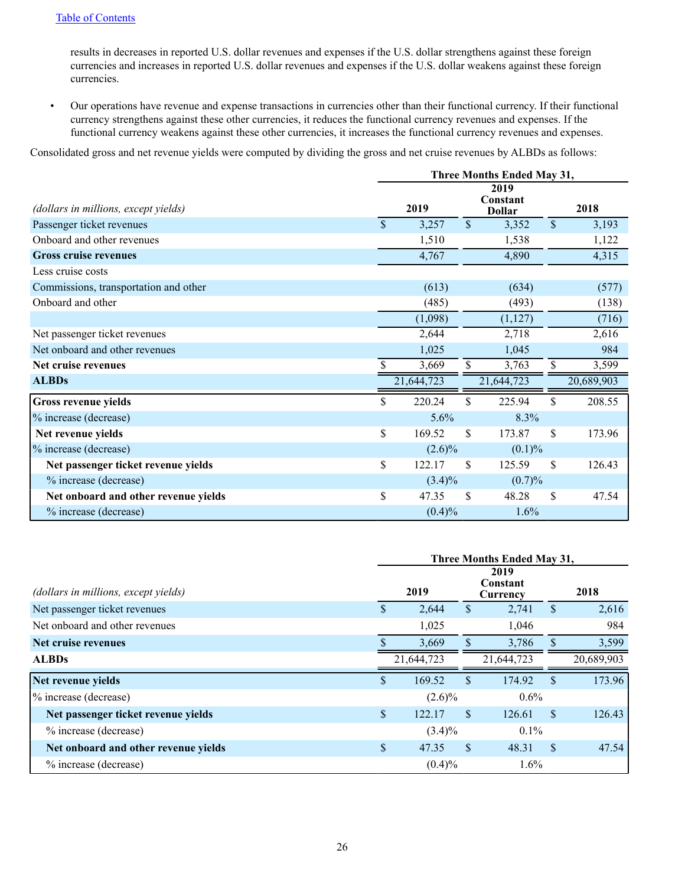results in decreases in reported U.S. dollar revenues and expenses if the U.S. dollar strengthens against these foreign currencies and increases in reported U.S. dollar revenues and expenses if the U.S. dollar weakens against these foreign currencies.

• Our operations have revenue and expense transactions in currencies other than their functional currency. If their functional currency strengthens against these other currencies, it reduces the functional currency revenues and expenses. If the functional currency weakens against these other currencies, it increases the functional currency revenues and expenses.

Consolidated gross and net revenue yields were computed by dividing the gross and net cruise revenues by ALBDs as follows:

|                                       |               | Three Months Ended May 31, |                    |                                   |                    |            |  |  |
|---------------------------------------|---------------|----------------------------|--------------------|-----------------------------------|--------------------|------------|--|--|
| (dollars in millions, except yields)  |               | 2019                       |                    | 2019<br>Constant<br><b>Dollar</b> |                    | 2018       |  |  |
| Passenger ticket revenues             | <sup>\$</sup> | 3,257                      | $\mathbf{\hat{S}}$ | 3,352                             | $\mathbf{\hat{S}}$ | 3,193      |  |  |
| Onboard and other revenues            |               | 1,510                      |                    | 1,538                             |                    | 1,122      |  |  |
| <b>Gross cruise revenues</b>          |               | 4,767                      |                    | 4,890                             |                    | 4,315      |  |  |
| Less cruise costs                     |               |                            |                    |                                   |                    |            |  |  |
| Commissions, transportation and other |               | (613)                      |                    | (634)                             |                    | (577)      |  |  |
| Onboard and other                     |               | (485)                      |                    | (493)                             |                    | (138)      |  |  |
|                                       |               | (1,098)                    |                    | (1, 127)                          |                    | (716)      |  |  |
| Net passenger ticket revenues         |               | 2,644                      |                    | 2,718                             |                    | 2,616      |  |  |
| Net onboard and other revenues        |               | 1,025                      |                    | 1,045                             |                    | 984        |  |  |
| Net cruise revenues                   |               | 3,669                      | \$                 | 3,763                             | \$                 | 3,599      |  |  |
| <b>ALBDs</b>                          |               | 21,644,723                 |                    | 21,644,723                        |                    | 20,689,903 |  |  |
| Gross revenue yields                  | \$            | 220.24                     | \$                 | 225.94                            | \$                 | 208.55     |  |  |
| % increase (decrease)                 |               | 5.6%                       |                    | 8.3%                              |                    |            |  |  |
| Net revenue yields                    | \$            | 169.52                     | \$                 | 173.87                            | \$                 | 173.96     |  |  |
| % increase (decrease)                 |               | $(2.6)\%$                  |                    | $(0.1)\%$                         |                    |            |  |  |
| Net passenger ticket revenue yields   | \$            | 122.17                     | \$                 | 125.59                            | \$                 | 126.43     |  |  |
| % increase (decrease)                 |               | $(3.4)\%$                  |                    | (0.7)%                            |                    |            |  |  |
| Net onboard and other revenue yields  | \$            | 47.35                      | \$                 | 48.28                             | \$.                | 47.54      |  |  |
| % increase (decrease)                 |               | $(0.4)\%$                  |                    | 1.6%                              |                    |            |  |  |

|                                      | Three Months Ended May 31, |            |               |                              |              |            |  |
|--------------------------------------|----------------------------|------------|---------------|------------------------------|--------------|------------|--|
| (dollars in millions, except yields) |                            | 2019       |               | 2019<br>Constant<br>Currency |              | 2018       |  |
| Net passenger ticket revenues        | \$                         | 2,644      | \$            | 2,741                        | \$           | 2,616      |  |
| Net onboard and other revenues       |                            | 1,025      |               | 1,046                        |              | 984        |  |
| Net cruise revenues                  |                            | 3,669      |               | 3,786                        |              | 3,599      |  |
| <b>ALBDs</b>                         |                            | 21,644,723 |               | 21,644,723                   |              | 20,689,903 |  |
| Net revenue yields                   | \$                         | 169.52     | \$            | 174.92                       | \$           | 173.96     |  |
| % increase (decrease)                |                            | $(2.6)\%$  |               | $0.6\%$                      |              |            |  |
| Net passenger ticket revenue yields  | \$                         | 122.17     | \$            | 126.61                       | <sup>S</sup> | 126.43     |  |
| % increase (decrease)                |                            | $(3.4)\%$  |               | 0.1%                         |              |            |  |
| Net onboard and other revenue yields | \$                         | 47.35      | <sup>\$</sup> | 48.31                        | <b>S</b>     | 47.54      |  |
| % increase (decrease)                |                            | $(0.4)\%$  |               | 1.6%                         |              |            |  |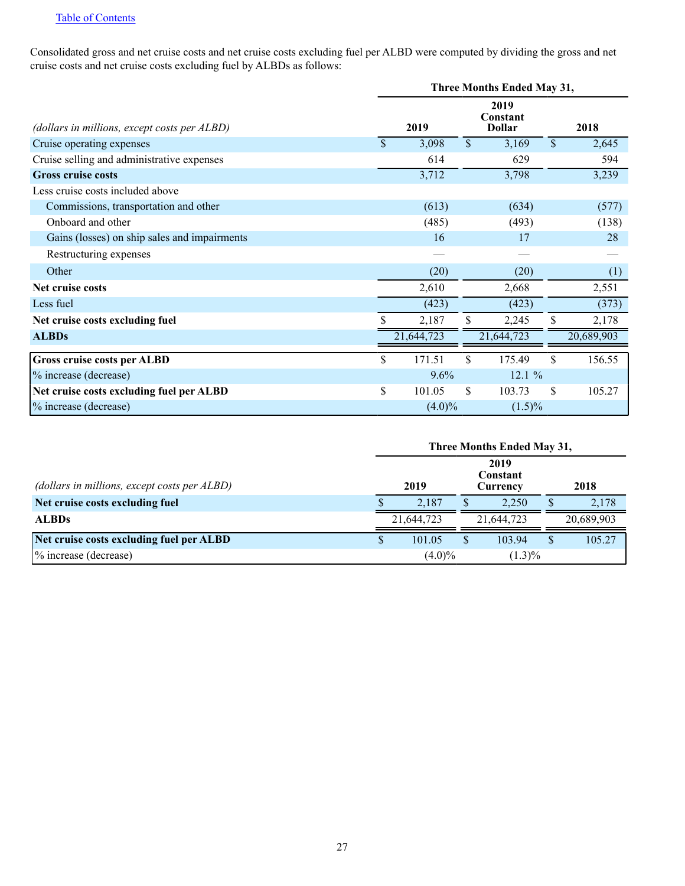## Table of Contents

Consolidated gross and net cruise costs and net cruise costs excluding fuel per ALBD were computed by dividing the gross and net cruise costs and net cruise costs excluding fuel by ALBDs as follows:

|                                              | Three Months Ended May 31, |                                           |              |            |               |            |  |
|----------------------------------------------|----------------------------|-------------------------------------------|--------------|------------|---------------|------------|--|
| (dollars in millions, except costs per ALBD) |                            | 2019<br>Constant<br>2019<br><b>Dollar</b> |              |            |               | 2018       |  |
| Cruise operating expenses                    | \$                         | 3,098                                     | $\mathbb{S}$ | 3,169      | $\mathbf{\$}$ | 2,645      |  |
| Cruise selling and administrative expenses   |                            | 614                                       |              | 629        |               | 594        |  |
| <b>Gross cruise costs</b>                    |                            | 3,712                                     |              | 3,798      |               | 3,239      |  |
| Less cruise costs included above             |                            |                                           |              |            |               |            |  |
| Commissions, transportation and other        |                            | (613)                                     |              | (634)      |               | (577)      |  |
| Onboard and other                            |                            | (485)                                     |              | (493)      |               | (138)      |  |
| Gains (losses) on ship sales and impairments |                            | 16                                        |              | 17         |               | 28         |  |
| Restructuring expenses                       |                            |                                           |              |            |               |            |  |
| Other                                        |                            | (20)                                      |              | (20)       |               | (1)        |  |
| Net cruise costs                             |                            | 2,610                                     |              | 2,668      |               | 2,551      |  |
| Less fuel                                    |                            | (423)                                     |              | (423)      |               | (373)      |  |
| Net cruise costs excluding fuel              |                            | 2,187                                     |              | 2,245      | \$            | 2,178      |  |
| <b>ALBDs</b>                                 |                            | 21,644,723                                |              | 21,644,723 |               | 20,689,903 |  |
| <b>Gross cruise costs per ALBD</b>           | \$                         | 171.51                                    | \$           | 175.49     | \$            | 156.55     |  |
| % increase (decrease)                        |                            | 9.6%                                      |              | 12.1 %     |               |            |  |
| Net cruise costs excluding fuel per ALBD     | \$                         | 101.05                                    | \$           | 103.73     | \$.           | 105.27     |  |
| % increase (decrease)                        |                            | $(4.0)\%$                                 |              | $(1.5)\%$  |               |            |  |

|                                              | Three Months Ended May 31, |            |            |           |  |            |  |  |  |
|----------------------------------------------|----------------------------|------------|------------|-----------|--|------------|--|--|--|
| (dollars in millions, except costs per ALBD) |                            | 2019       |            | 2018      |  |            |  |  |  |
| Net cruise costs excluding fuel              |                            | 2,187      | D          | 2,250     |  | 2,178      |  |  |  |
| <b>ALBDs</b>                                 |                            | 21,644,723 | 21.644.723 |           |  | 20,689,903 |  |  |  |
| Net cruise costs excluding fuel per ALBD     |                            | 101.05     |            | 103.94    |  | 105.27     |  |  |  |
| % increase (decrease)                        |                            | $(4.0)\%$  |            | $(1.3)\%$ |  |            |  |  |  |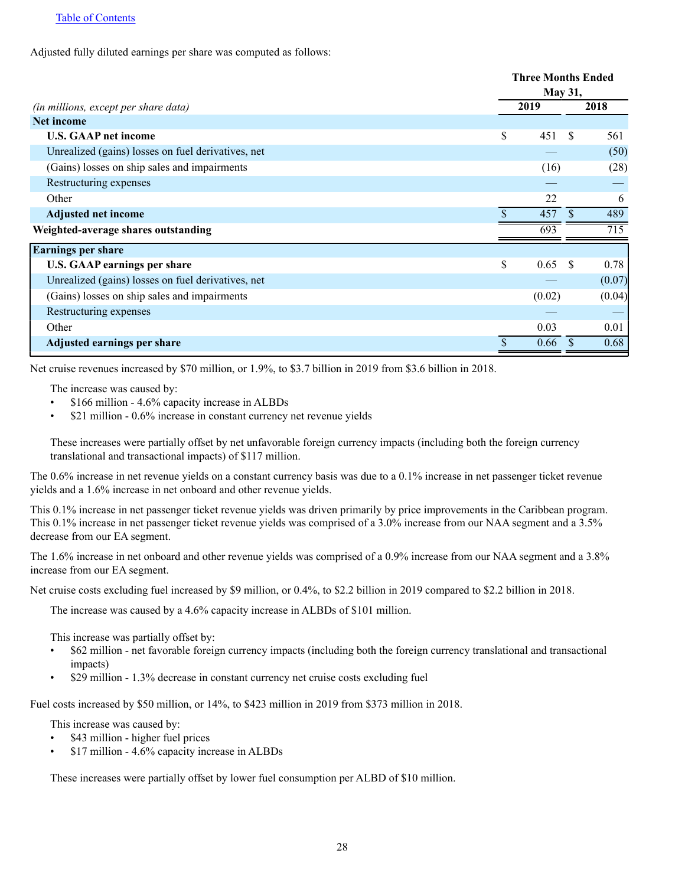Adjusted fully diluted earnings per share was computed as follows:

|                                                    | <b>Three Months Ended</b><br>May 31, |        |    |        |
|----------------------------------------------------|--------------------------------------|--------|----|--------|
| (in millions, except per share data)               |                                      | 2019   |    | 2018   |
| <b>Net income</b>                                  |                                      |        |    |        |
| <b>U.S. GAAP net income</b>                        | \$                                   | 451    | £. | 561    |
| Unrealized (gains) losses on fuel derivatives, net |                                      |        |    | (50)   |
| (Gains) losses on ship sales and impairments       |                                      | (16)   |    | (28)   |
| Restructuring expenses                             |                                      |        |    |        |
| Other                                              |                                      | 22     |    | 6      |
| <b>Adjusted net income</b>                         |                                      | 457    | \$ | 489    |
| Weighted-average shares outstanding                |                                      | 693    |    | 715    |
| <b>Earnings per share</b>                          |                                      |        |    |        |
| <b>U.S. GAAP earnings per share</b>                | \$                                   | 0.65   | -S | 0.78   |
| Unrealized (gains) losses on fuel derivatives, net |                                      |        |    | (0.07) |
| (Gains) losses on ship sales and impairments       |                                      | (0.02) |    | (0.04) |
| Restructuring expenses                             |                                      |        |    |        |
| Other                                              |                                      | 0.03   |    | 0.01   |
| Adjusted earnings per share                        |                                      | 0.66   |    | 0.68   |

Net cruise revenues increased by \$70 million, or 1.9%, to \$3.7 billion in 2019 from \$3.6 billion in 2018.

- The increase was caused by:
- \$166 million 4.6% capacity increase in ALBDs
- \$21 million 0.6% increase in constant currency net revenue yields

These increases were partially offset by net unfavorable foreign currency impacts (including both the foreign currency translational and transactional impacts) of \$117 million.

The 0.6% increase in net revenue yields on a constant currency basis was due to a 0.1% increase in net passenger ticket revenue yields and a 1.6% increase in net onboard and other revenue yields.

This 0.1% increase in net passenger ticket revenue yields was driven primarily by price improvements in the Caribbean program. This 0.1% increase in net passenger ticket revenue yields was comprised of a 3.0% increase from our NAA segment and a 3.5% decrease from our EA segment.

The 1.6% increase in net onboard and other revenue yields was comprised of a 0.9% increase from our NAA segment and a 3.8% increase from our EA segment.

Net cruise costs excluding fuel increased by \$9 million, or 0.4%, to \$2.2 billion in 2019 compared to \$2.2 billion in 2018.

The increase was caused by a 4.6% capacity increase in ALBDs of \$101 million.

This increase was partially offset by:

- \$62 million net favorable foreign currency impacts (including both the foreign currency translational and transactional impacts)
- \$29 million 1.3% decrease in constant currency net cruise costs excluding fuel

Fuel costs increased by \$50 million, or 14%, to \$423 million in 2019 from \$373 million in 2018.

This increase was caused by:

- \$43 million higher fuel prices
- \$17 million 4.6% capacity increase in ALBDs

These increases were partially offset by lower fuel consumption per ALBD of \$10 million.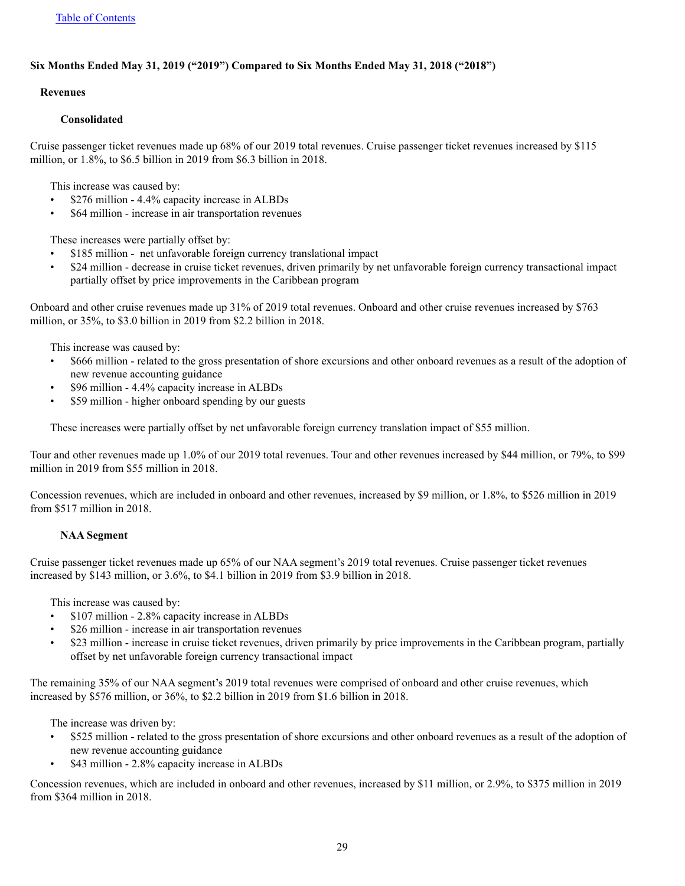## **Six Months Ended May 31, 2019 ("2019") Compared to Six Months Ended May 31, 2018 ("2018")**

## **Revenues**

## **Consolidated**

Cruise passenger ticket revenues made up 68% of our 2019 total revenues. Cruise passenger ticket revenues increased by \$115 million, or 1.8%, to \$6.5 billion in 2019 from \$6.3 billion in 2018.

This increase was caused by:

- \$276 million 4.4% capacity increase in ALBDs
- \$64 million increase in air transportation revenues

These increases were partially offset by:

- \$185 million net unfavorable foreign currency translational impact
- \$24 million decrease in cruise ticket revenues, driven primarily by net unfavorable foreign currency transactional impact partially offset by price improvements in the Caribbean program

Onboard and other cruise revenues made up 31% of 2019 total revenues. Onboard and other cruise revenues increased by \$763 million, or 35%, to \$3.0 billion in 2019 from \$2.2 billion in 2018.

This increase was caused by:

- \$666 million related to the gross presentation of shore excursions and other onboard revenues as a result of the adoption of new revenue accounting guidance
- \$96 million 4.4% capacity increase in ALBDs
- \$59 million higher onboard spending by our guests

These increases were partially offset by net unfavorable foreign currency translation impact of \$55 million.

Tour and other revenues made up 1.0% of our 2019 total revenues. Tour and other revenues increased by \$44 million, or 79%, to \$99 million in 2019 from \$55 million in 2018.

Concession revenues, which are included in onboard and other revenues, increased by \$9 million, or 1.8%, to \$526 million in 2019 from \$517 million in 2018.

## **NAA Segment**

Cruise passenger ticket revenues made up 65% of our NAA segment's 2019 total revenues. Cruise passenger ticket revenues increased by \$143 million, or 3.6%, to \$4.1 billion in 2019 from \$3.9 billion in 2018.

This increase was caused by:

- \$107 million 2.8% capacity increase in ALBDs
- \$26 million increase in air transportation revenues
- \$23 million increase in cruise ticket revenues, driven primarily by price improvements in the Caribbean program, partially offset by net unfavorable foreign currency transactional impact

The remaining 35% of our NAA segment's 2019 total revenues were comprised of onboard and other cruise revenues, which increased by \$576 million, or 36%, to \$2.2 billion in 2019 from \$1.6 billion in 2018.

The increase was driven by:

- \$525 million related to the gross presentation of shore excursions and other onboard revenues as a result of the adoption of new revenue accounting guidance
- \$43 million 2.8% capacity increase in ALBDs

Concession revenues, which are included in onboard and other revenues, increased by \$11 million, or 2.9%, to \$375 million in 2019 from \$364 million in 2018.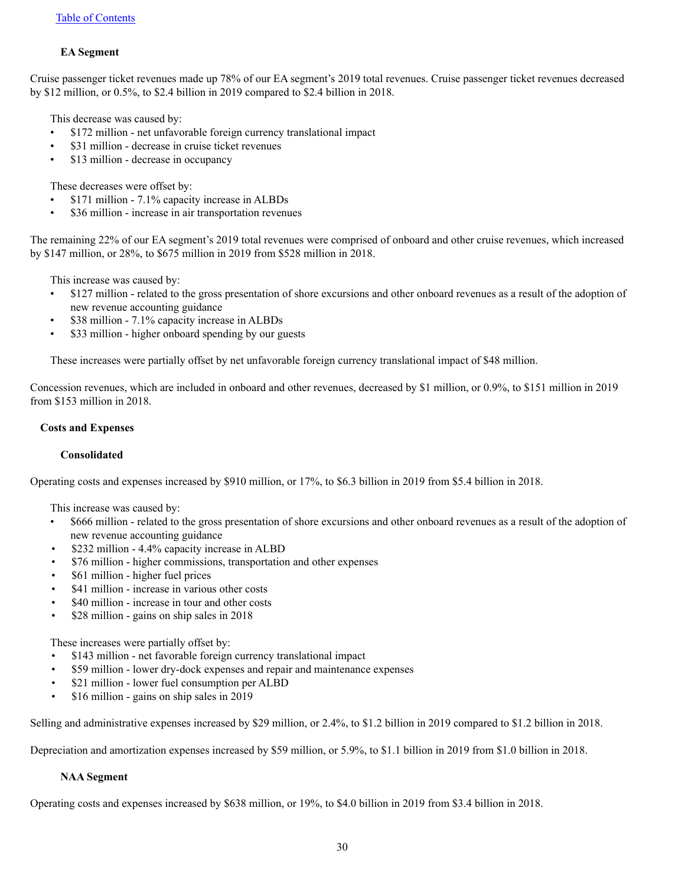## **EA Segment**

Cruise passenger ticket revenues made up 78% of our EA segment's 2019 total revenues. Cruise passenger ticket revenues decreased by \$12 million, or 0.5%, to \$2.4 billion in 2019 compared to \$2.4 billion in 2018.

This decrease was caused by:

- \$172 million net unfavorable foreign currency translational impact
- \$31 million decrease in cruise ticket revenues
- \$13 million decrease in occupancy

These decreases were offset by:

- \$171 million 7.1% capacity increase in ALBDs
- \$36 million increase in air transportation revenues

The remaining 22% of our EA segment's 2019 total revenues were comprised of onboard and other cruise revenues, which increased by \$147 million, or 28%, to \$675 million in 2019 from \$528 million in 2018.

This increase was caused by:

- \$127 million related to the gross presentation of shore excursions and other onboard revenues as a result of the adoption of new revenue accounting guidance
- \$38 million 7.1% capacity increase in ALBDs
- \$33 million higher onboard spending by our guests

These increases were partially offset by net unfavorable foreign currency translational impact of \$48 million.

Concession revenues, which are included in onboard and other revenues, decreased by \$1 million, or 0.9%, to \$151 million in 2019 from \$153 million in 2018.

#### **Costs and Expenses**

#### **Consolidated**

Operating costs and expenses increased by \$910 million, or 17%, to \$6.3 billion in 2019 from \$5.4 billion in 2018.

This increase was caused by:

- \$666 million related to the gross presentation of shore excursions and other onboard revenues as a result of the adoption of new revenue accounting guidance
- \$232 million 4.4% capacity increase in ALBD
- \$76 million higher commissions, transportation and other expenses
- \$61 million higher fuel prices
- \$41 million increase in various other costs
- \$40 million increase in tour and other costs
- \$28 million gains on ship sales in 2018

These increases were partially offset by:

- \$143 million net favorable foreign currency translational impact
- \$59 million lower dry-dock expenses and repair and maintenance expenses
- \$21 million lower fuel consumption per ALBD
- \$16 million gains on ship sales in 2019

Selling and administrative expenses increased by \$29 million, or 2.4%, to \$1.2 billion in 2019 compared to \$1.2 billion in 2018.

Depreciation and amortization expenses increased by \$59 million, or 5.9%, to \$1.1 billion in 2019 from \$1.0 billion in 2018.

## **NAA Segment**

Operating costs and expenses increased by \$638 million, or 19%, to \$4.0 billion in 2019 from \$3.4 billion in 2018.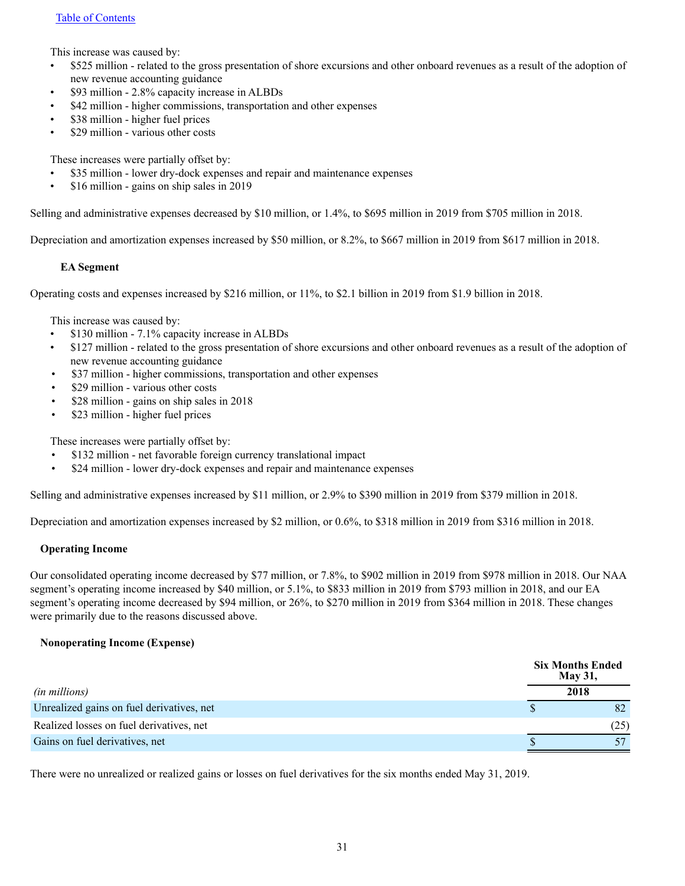This increase was caused by:

- \$525 million related to the gross presentation of shore excursions and other onboard revenues as a result of the adoption of new revenue accounting guidance
- \$93 million 2.8% capacity increase in ALBDs
- \$42 million higher commissions, transportation and other expenses
- \$38 million higher fuel prices
- \$29 million various other costs

These increases were partially offset by:

- \$35 million lower dry-dock expenses and repair and maintenance expenses
- \$16 million gains on ship sales in 2019

Selling and administrative expenses decreased by \$10 million, or 1.4%, to \$695 million in 2019 from \$705 million in 2018.

Depreciation and amortization expenses increased by \$50 million, or 8.2%, to \$667 million in 2019 from \$617 million in 2018.

## **EA Segment**

Operating costs and expenses increased by \$216 million, or 11%, to \$2.1 billion in 2019 from \$1.9 billion in 2018.

This increase was caused by:

- \$130 million 7.1% capacity increase in ALBDs
- \$127 million related to the gross presentation of shore excursions and other onboard revenues as a result of the adoption of new revenue accounting guidance
- \$37 million higher commissions, transportation and other expenses
- \$29 million various other costs
- \$28 million gains on ship sales in 2018
- \$23 million higher fuel prices

These increases were partially offset by:

- \$132 million net favorable foreign currency translational impact
- \$24 million lower dry-dock expenses and repair and maintenance expenses

Selling and administrative expenses increased by \$11 million, or 2.9% to \$390 million in 2019 from \$379 million in 2018.

Depreciation and amortization expenses increased by \$2 million, or 0.6%, to \$318 million in 2019 from \$316 million in 2018.

## **Operating Income**

Our consolidated operating income decreased by \$77 million, or 7.8%, to \$902 million in 2019 from \$978 million in 2018. Our NAA segment's operating income increased by \$40 million, or 5.1%, to \$833 million in 2019 from \$793 million in 2018, and our EA segment's operating income decreased by \$94 million, or 26%, to \$270 million in 2019 from \$364 million in 2018. These changes were primarily due to the reasons discussed above.

## **Nonoperating Income (Expense)**

|                                           | <b>Six Months Ended</b><br><b>May 31,</b> |      |  |  |  |  |
|-------------------------------------------|-------------------------------------------|------|--|--|--|--|
| (in millions)                             |                                           | 2018 |  |  |  |  |
| Unrealized gains on fuel derivatives, net |                                           | 82   |  |  |  |  |
| Realized losses on fuel derivatives, net  |                                           | (25) |  |  |  |  |
| Gains on fuel derivatives, net            |                                           |      |  |  |  |  |

There were no unrealized or realized gains or losses on fuel derivatives for the six months ended May 31, 2019.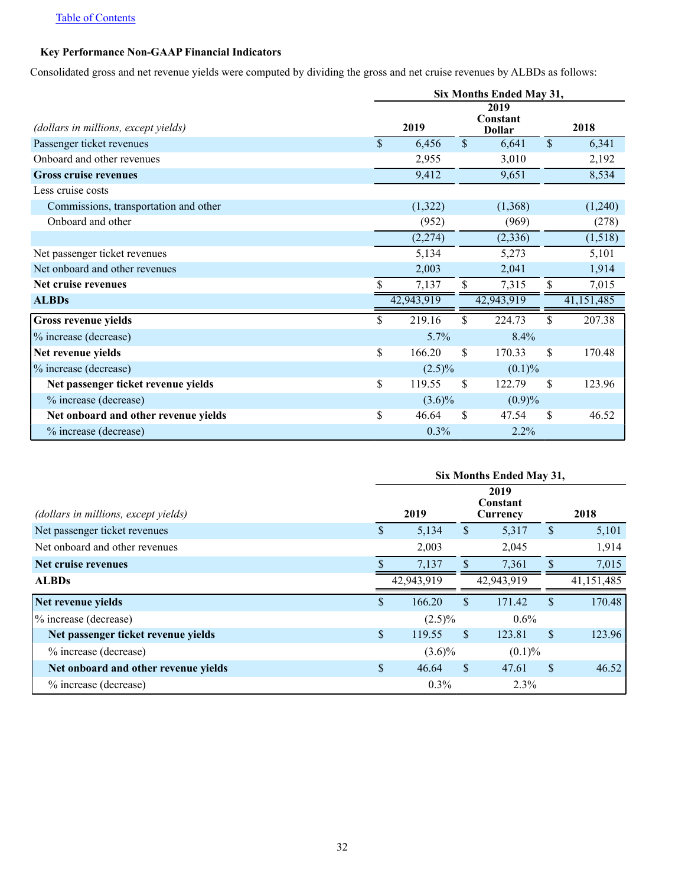## Table of Contents

## **Key Performance Non-GAAP Financial Indicators**

Consolidated gross and net revenue yields were computed by dividing the gross and net cruise revenues by ALBDs as follows:

|                                       | Six Months Ended May 31, |            |                    |                                   |    |            |  |
|---------------------------------------|--------------------------|------------|--------------------|-----------------------------------|----|------------|--|
| (dollars in millions, except yields)  |                          | 2019       |                    | 2019<br>Constant<br><b>Dollar</b> |    | 2018       |  |
| Passenger ticket revenues             | \$.                      | 6,456      | $\mathbf{\$}$      | 6,641                             | \$ | 6,341      |  |
| Onboard and other revenues            |                          | 2,955      |                    | 3,010                             |    | 2,192      |  |
| <b>Gross cruise revenues</b>          |                          | 9,412      |                    | 9,651                             |    | 8,534      |  |
| Less cruise costs                     |                          |            |                    |                                   |    |            |  |
| Commissions, transportation and other |                          | (1,322)    |                    | (1,368)                           |    | (1,240)    |  |
| Onboard and other                     |                          | (952)      |                    | (969)                             |    | (278)      |  |
|                                       |                          | (2,274)    |                    | (2, 336)                          |    | (1,518)    |  |
| Net passenger ticket revenues         |                          | 5,134      |                    | 5,273                             |    | 5,101      |  |
| Net onboard and other revenues        |                          | 2,003      |                    | 2,041                             |    | 1,914      |  |
| Net cruise revenues                   |                          | 7,137      | \$                 | 7,315                             | \$ | 7,015      |  |
| <b>ALBDs</b>                          |                          | 42,943,919 |                    | 42,943,919                        |    | 41,151,485 |  |
| <b>Gross revenue yields</b>           | \$                       | 219.16     | $\mathbf{\hat{S}}$ | 224.73                            | \$ | 207.38     |  |
| % increase (decrease)                 |                          | 5.7%       |                    | 8.4%                              |    |            |  |
| Net revenue yields                    | \$                       | 166.20     | \$.                | 170.33                            | \$ | 170.48     |  |
| % increase (decrease)                 |                          | $(2.5)\%$  |                    | $(0.1)\%$                         |    |            |  |
| Net passenger ticket revenue yields   | \$                       | 119.55     | \$.                | 122.79                            | \$ | 123.96     |  |
| % increase (decrease)                 |                          | $(3.6)\%$  |                    | (0.9)%                            |    |            |  |
| Net onboard and other revenue yields  | \$                       | 46.64      | \$.                | 47.54                             | \$ | 46.52      |  |
| % increase (decrease)                 |                          | 0.3%       |                    | 2.2%                              |    |            |  |

|                                      |     | Six Months Ended May 31, |               |                              |    |            |  |  |
|--------------------------------------|-----|--------------------------|---------------|------------------------------|----|------------|--|--|
| (dollars in millions, except yields) |     | 2019                     |               | 2019<br>Constant<br>Currency |    | 2018       |  |  |
| Net passenger ticket revenues        | \$. | 5,134                    | \$            | 5,317                        | \$ | 5,101      |  |  |
| Net onboard and other revenues       |     | 2,003                    |               | 2,045                        |    | 1,914      |  |  |
| Net cruise revenues                  |     | 7,137                    |               | 7,361                        | \$ | 7,015      |  |  |
| <b>ALBDs</b>                         |     | 42,943,919               |               | 42,943,919                   |    | 41,151,485 |  |  |
| Net revenue yields                   | \$  | 166.20                   | $\mathbf{\$}$ | 171.42                       | \$ | 170.48     |  |  |
| % increase (decrease)                |     | $(2.5)\%$                |               | $0.6\%$                      |    |            |  |  |
| Net passenger ticket revenue yields  | \$  | 119.55                   | <sup>\$</sup> | 123.81                       | \$ | 123.96     |  |  |
| % increase (decrease)                |     | $(3.6)\%$                |               | (0.1)%                       |    |            |  |  |
| Net onboard and other revenue yields | \$  | 46.64                    | $\mathbb{S}$  | 47.61                        | \$ | 46.52      |  |  |
| % increase (decrease)                |     | $0.3\%$                  |               | 2.3%                         |    |            |  |  |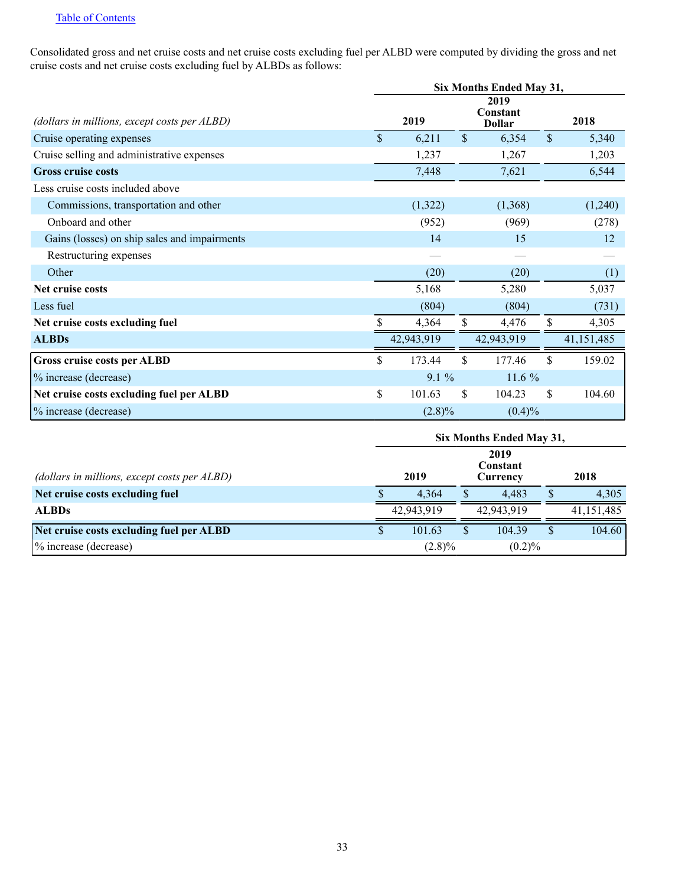## Table of Contents

Consolidated gross and net cruise costs and net cruise costs excluding fuel per ALBD were computed by dividing the gross and net cruise costs and net cruise costs excluding fuel by ALBDs as follows:

|                                              | Six Months Ended May 31, |            |               |                                   |              |            |  |
|----------------------------------------------|--------------------------|------------|---------------|-----------------------------------|--------------|------------|--|
| (dollars in millions, except costs per ALBD) |                          | 2019       |               | 2019<br>Constant<br><b>Dollar</b> |              | 2018       |  |
| Cruise operating expenses                    | \$                       | 6,211      | $\mathbf{\$}$ | 6,354                             | $\mathbb{S}$ | 5,340      |  |
| Cruise selling and administrative expenses   |                          | 1,237      |               | 1,267                             |              | 1,203      |  |
| <b>Gross cruise costs</b>                    |                          | 7,448      |               | 7,621                             |              | 6,544      |  |
| Less cruise costs included above             |                          |            |               |                                   |              |            |  |
| Commissions, transportation and other        |                          | (1,322)    |               | (1,368)                           |              | (1,240)    |  |
| Onboard and other                            |                          | (952)      |               | (969)                             |              | (278)      |  |
| Gains (losses) on ship sales and impairments |                          | 14         |               | 15                                |              | 12         |  |
| Restructuring expenses                       |                          |            |               |                                   |              |            |  |
| Other                                        |                          | (20)       |               | (20)                              |              | (1)        |  |
| Net cruise costs                             |                          | 5,168      |               | 5,280                             |              | 5,037      |  |
| Less fuel                                    |                          | (804)      |               | (804)                             |              | (731)      |  |
| Net cruise costs excluding fuel              |                          | 4,364      |               | 4,476                             |              | 4,305      |  |
| <b>ALBDs</b>                                 |                          | 42,943,919 |               | 42,943,919                        |              | 41,151,485 |  |
| <b>Gross cruise costs per ALBD</b>           | \$                       | 173.44     | \$            | 177.46                            | \$           | 159.02     |  |
| % increase (decrease)                        |                          | 9.1%       |               | 11.6 $%$                          |              |            |  |
| Net cruise costs excluding fuel per ALBD     | \$                       | 101.63     | \$            | 104.23                            | \$           | 104.60     |  |
| % increase (decrease)                        |                          | $(2.8)\%$  |               | $(0.4)\%$                         |              |            |  |

|                                              | Six Months Ended May 31, |            |  |                              |    |        |  |            |  |              |
|----------------------------------------------|--------------------------|------------|--|------------------------------|----|--------|--|------------|--|--------------|
| (dollars in millions, except costs per ALBD) |                          | 2019       |  | 2019<br>Constant<br>Currency |    | 2018   |  |            |  |              |
| Net cruise costs excluding fuel              |                          | 4,364      |  | 4,483                        |    | 4,305  |  |            |  |              |
| <b>ALBDs</b>                                 |                          | 42,943,919 |  |                              |    |        |  | 42,943,919 |  | 41, 151, 485 |
| Net cruise costs excluding fuel per ALBD     |                          | 101.63     |  | 104.39                       | S. | 104.60 |  |            |  |              |
| % increase (decrease)                        |                          | $(2.8)\%$  |  | (0.2)%                       |    |        |  |            |  |              |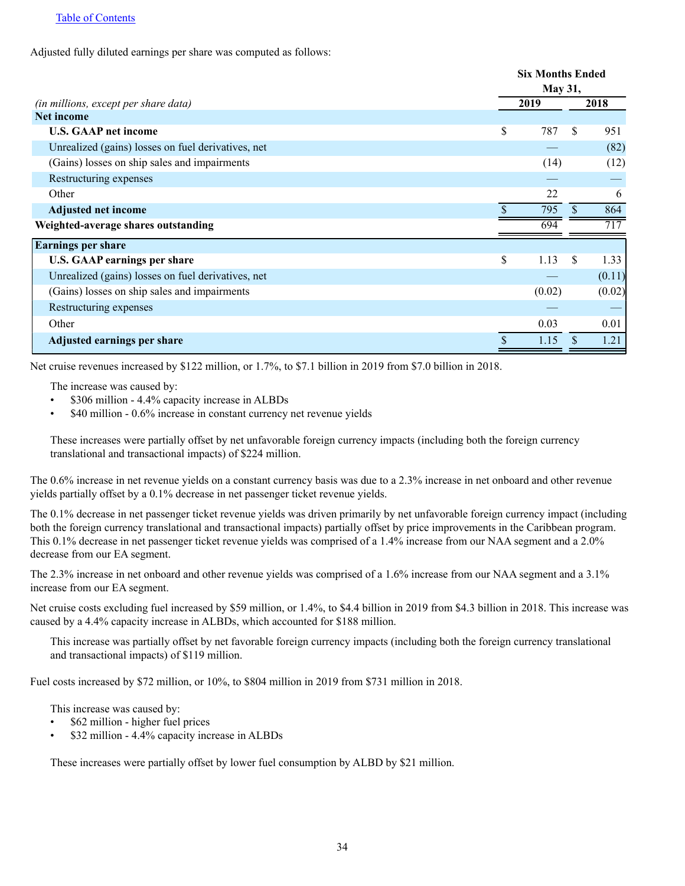Adjusted fully diluted earnings per share was computed as follows:

|                                                    | <b>Six Months Ended</b><br><b>May 31,</b> |        |            |
|----------------------------------------------------|-------------------------------------------|--------|------------|
| (in millions, except per share data)               |                                           | 2019   | 2018       |
| Net income                                         |                                           |        |            |
| <b>U.S. GAAP net income</b>                        | \$                                        | 787    | \$<br>951  |
| Unrealized (gains) losses on fuel derivatives, net |                                           |        | (82)       |
| (Gains) losses on ship sales and impairments       |                                           | (14)   | (12)       |
| Restructuring expenses                             |                                           |        |            |
| Other                                              |                                           | 22     | 6          |
| <b>Adjusted net income</b>                         |                                           | 795    | \$<br>864  |
| Weighted-average shares outstanding                |                                           | 694    | 717        |
| <b>Earnings per share</b>                          |                                           |        |            |
| <b>U.S. GAAP earnings per share</b>                | \$                                        | 1.13   | £.<br>1.33 |
| Unrealized (gains) losses on fuel derivatives, net |                                           |        | (0.11)     |
| (Gains) losses on ship sales and impairments       |                                           | (0.02) | (0.02)     |
| Restructuring expenses                             |                                           |        |            |
| Other                                              |                                           | 0.03   | 0.01       |
| Adjusted earnings per share                        |                                           | 1.15   | 1.21       |

Net cruise revenues increased by \$122 million, or 1.7%, to \$7.1 billion in 2019 from \$7.0 billion in 2018.

The increase was caused by:

- \$306 million 4.4% capacity increase in ALBDs
- \$40 million 0.6% increase in constant currency net revenue yields

These increases were partially offset by net unfavorable foreign currency impacts (including both the foreign currency translational and transactional impacts) of \$224 million.

The 0.6% increase in net revenue yields on a constant currency basis was due to a 2.3% increase in net onboard and other revenue yields partially offset by a 0.1% decrease in net passenger ticket revenue yields.

The 0.1% decrease in net passenger ticket revenue yields was driven primarily by net unfavorable foreign currency impact (including both the foreign currency translational and transactional impacts) partially offset by price improvements in the Caribbean program. This 0.1% decrease in net passenger ticket revenue yields was comprised of a 1.4% increase from our NAA segment and a 2.0% decrease from our EA segment.

The 2.3% increase in net onboard and other revenue yields was comprised of a 1.6% increase from our NAA segment and a 3.1% increase from our EA segment.

Net cruise costs excluding fuel increased by \$59 million, or 1.4%, to \$4.4 billion in 2019 from \$4.3 billion in 2018. This increase was caused by a 4.4% capacity increase in ALBDs, which accounted for \$188 million.

This increase was partially offset by net favorable foreign currency impacts (including both the foreign currency translational and transactional impacts) of \$119 million.

Fuel costs increased by \$72 million, or 10%, to \$804 million in 2019 from \$731 million in 2018.

This increase was caused by:

- \$62 million higher fuel prices
- \$32 million 4.4% capacity increase in ALBDs

These increases were partially offset by lower fuel consumption by ALBD by \$21 million.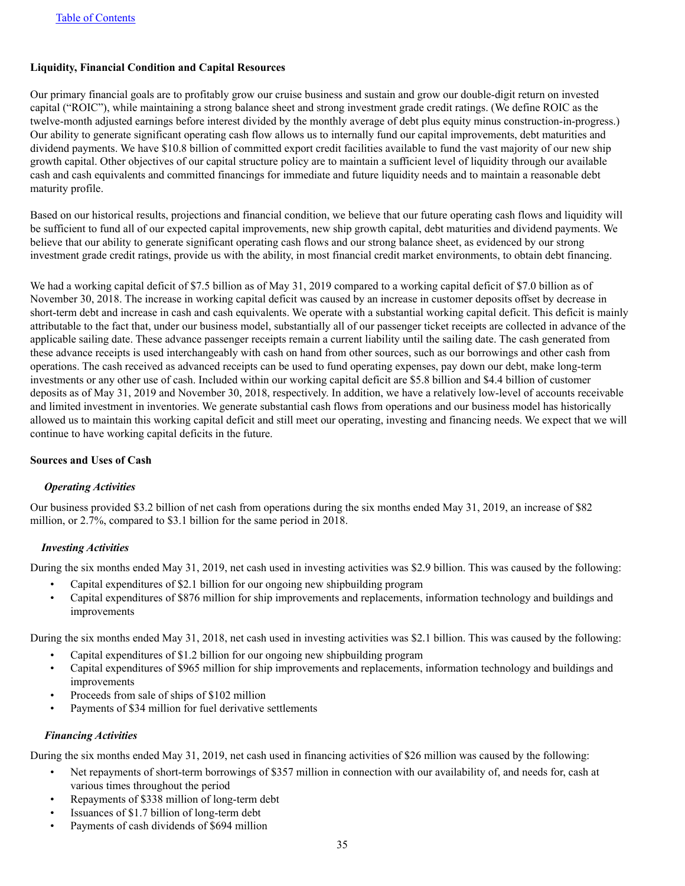## **Liquidity, Financial Condition and Capital Resources**

Our primary financial goals are to profitably grow our cruise business and sustain and grow our double-digit return on invested capital ("ROIC"), while maintaining a strong balance sheet and strong investment grade credit ratings. (We define ROIC as the twelve-month adjusted earnings before interest divided by the monthly average of debt plus equity minus construction-in-progress.) Our ability to generate significant operating cash flow allows us to internally fund our capital improvements, debt maturities and dividend payments. We have \$10.8 billion of committed export credit facilities available to fund the vast majority of our new ship growth capital. Other objectives of our capital structure policy are to maintain a sufficient level of liquidity through our available cash and cash equivalents and committed financings for immediate and future liquidity needs and to maintain a reasonable debt maturity profile.

Based on our historical results, projections and financial condition, we believe that our future operating cash flows and liquidity will be sufficient to fund all of our expected capital improvements, new ship growth capital, debt maturities and dividend payments. We believe that our ability to generate significant operating cash flows and our strong balance sheet, as evidenced by our strong investment grade credit ratings, provide us with the ability, in most financial credit market environments, to obtain debt financing.

We had a working capital deficit of \$7.5 billion as of May 31, 2019 compared to a working capital deficit of \$7.0 billion as of November 30, 2018. The increase in working capital deficit was caused by an increase in customer deposits offset by decrease in short-term debt and increase in cash and cash equivalents. We operate with a substantial working capital deficit. This deficit is mainly attributable to the fact that, under our business model, substantially all of our passenger ticket receipts are collected in advance of the applicable sailing date. These advance passenger receipts remain a current liability until the sailing date. The cash generated from these advance receipts is used interchangeably with cash on hand from other sources, such as our borrowings and other cash from operations. The cash received as advanced receipts can be used to fund operating expenses, pay down our debt, make long-term investments or any other use of cash. Included within our working capital deficit are \$5.8 billion and \$4.4 billion of customer deposits as of May 31, 2019 and November 30, 2018, respectively. In addition, we have a relatively low-level of accounts receivable and limited investment in inventories. We generate substantial cash flows from operations and our business model has historically allowed us to maintain this working capital deficit and still meet our operating, investing and financing needs. We expect that we will continue to have working capital deficits in the future.

## **Sources and Uses of Cash**

## *Operating Activities*

Our business provided \$3.2 billion of net cash from operations during the six months ended May 31, 2019, an increase of \$82 million, or 2.7%, compared to \$3.1 billion for the same period in 2018.

## *Investing Activities*

During the six months ended May 31, 2019, net cash used in investing activities was \$2.9 billion. This was caused by the following:

- Capital expenditures of \$2.1 billion for our ongoing new shipbuilding program
- Capital expenditures of \$876 million for ship improvements and replacements, information technology and buildings and improvements

During the six months ended May 31, 2018, net cash used in investing activities was \$2.1 billion. This was caused by the following:

- Capital expenditures of \$1.2 billion for our ongoing new shipbuilding program
- Capital expenditures of \$965 million for ship improvements and replacements, information technology and buildings and improvements
- Proceeds from sale of ships of \$102 million
- Payments of \$34 million for fuel derivative settlements

## *Financing Activities*

During the six months ended May 31, 2019, net cash used in financing activities of \$26 million was caused by the following:

- Net repayments of short-term borrowings of \$357 million in connection with our availability of, and needs for, cash at various times throughout the period
- Repayments of \$338 million of long-term debt
- Issuances of \$1.7 billion of long-term debt
- Payments of cash dividends of \$694 million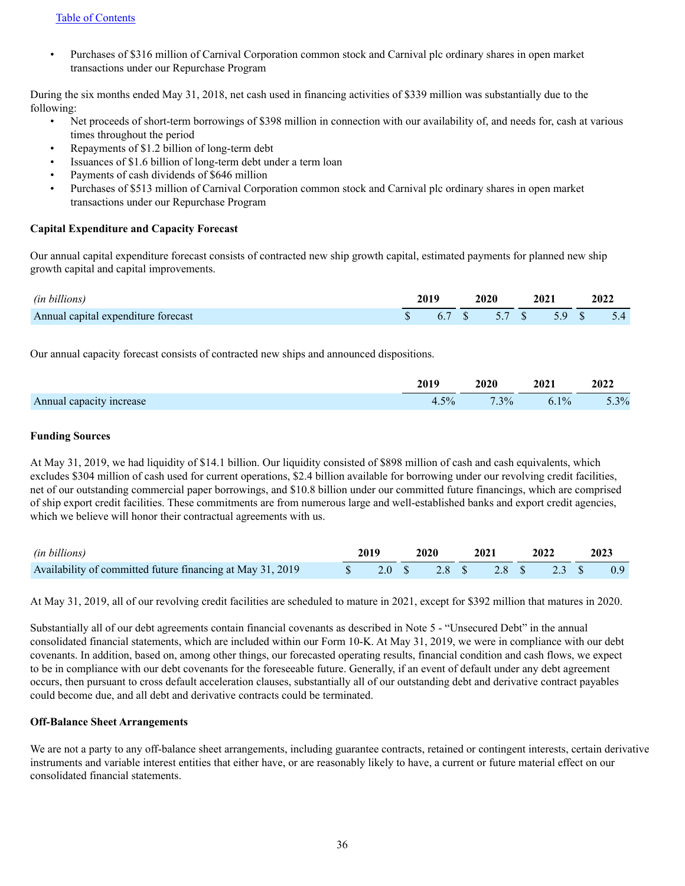• Purchases of \$316 million of Carnival Corporation common stock and Carnival plc ordinary shares in open market transactions under our Repurchase Program

During the six months ended May 31, 2018, net cash used in financing activities of \$339 million was substantially due to the following:

- Net proceeds of short-term borrowings of \$398 million in connection with our availability of, and needs for, cash at various times throughout the period
- Repayments of \$1.2 billion of long-term debt
- Issuances of \$1.6 billion of long-term debt under a term loan
- Payments of cash dividends of \$646 million
- Purchases of \$513 million of Carnival Corporation common stock and Carnival plc ordinary shares in open market transactions under our Repurchase Program

## **Capital Expenditure and Capacity Forecast**

Our annual capital expenditure forecast consists of contracted new ship growth capital, estimated payments for planned new ship growth capital and capital improvements.

| <i>(in billions)</i>                | 2019 |  | 2020 |  | 2021 |                                                                                                              | 2022 |  |
|-------------------------------------|------|--|------|--|------|--------------------------------------------------------------------------------------------------------------|------|--|
| Annual capital expenditure forecast |      |  |      |  |      | $\begin{array}{ccccccccc}\n\text{S} & 6.7 & \text{S} & 5.7 & \text{S} & 5.9 & \text{S} & 5.4 \\ \end{array}$ |      |  |

Our annual capacity forecast consists of contracted new ships and announced dispositions.

|                          | 2019 | <b>2020</b>  | 2021 | 2022            |
|--------------------------|------|--------------|------|-----------------|
| Annual capacity increase |      | $4.5\%$ 7.3% |      | $6.1\%$ $5.3\%$ |

## **Funding Sources**

At May 31, 2019, we had liquidity of \$14.1 billion. Our liquidity consisted of \$898 million of cash and cash equivalents, which excludes \$304 million of cash used for current operations, \$2.4 billion available for borrowing under our revolving credit facilities, net of our outstanding commercial paper borrowings, and \$10.8 billion under our committed future financings, which are comprised of ship export credit facilities. These commitments are from numerous large and well-established banks and export credit agencies, which we believe will honor their contractual agreements with us.

| <i>(in billions)</i>                                       | 2019 |  | 2020 | 2021 2022                                                                                                                                                                      |  | 2023 |
|------------------------------------------------------------|------|--|------|--------------------------------------------------------------------------------------------------------------------------------------------------------------------------------|--|------|
| Availability of committed future financing at May 31, 2019 |      |  |      | $\begin{array}{ccccccccccccc}\n\text{\textbf{S}} & 2.0 & \text{\textbf{S}} & 2.8 & \text{\textbf{S}} & 2.8 & \text{\textbf{S}} & 2.3 & \text{\textbf{S}} & 0.9 \\ \end{array}$ |  |      |

At May 31, 2019, all of our revolving credit facilities are scheduled to mature in 2021, except for \$392 million that matures in 2020.

Substantially all of our debt agreements contain financial covenants as described in Note 5 - "Unsecured Debt" in the annual consolidated financial statements, which are included within our Form 10-K. At May 31, 2019, we were in compliance with our debt covenants. In addition, based on, among other things, our forecasted operating results, financial condition and cash flows, we expect to be in compliance with our debt covenants for the foreseeable future. Generally, if an event of default under any debt agreement occurs, then pursuant to cross default acceleration clauses, substantially all of our outstanding debt and derivative contract payables could become due, and all debt and derivative contracts could be terminated.

## **Off-Balance Sheet Arrangements**

We are not a party to any off-balance sheet arrangements, including guarantee contracts, retained or contingent interests, certain derivative instruments and variable interest entities that either have, or are reasonably likely to have, a current or future material effect on our consolidated financial statements.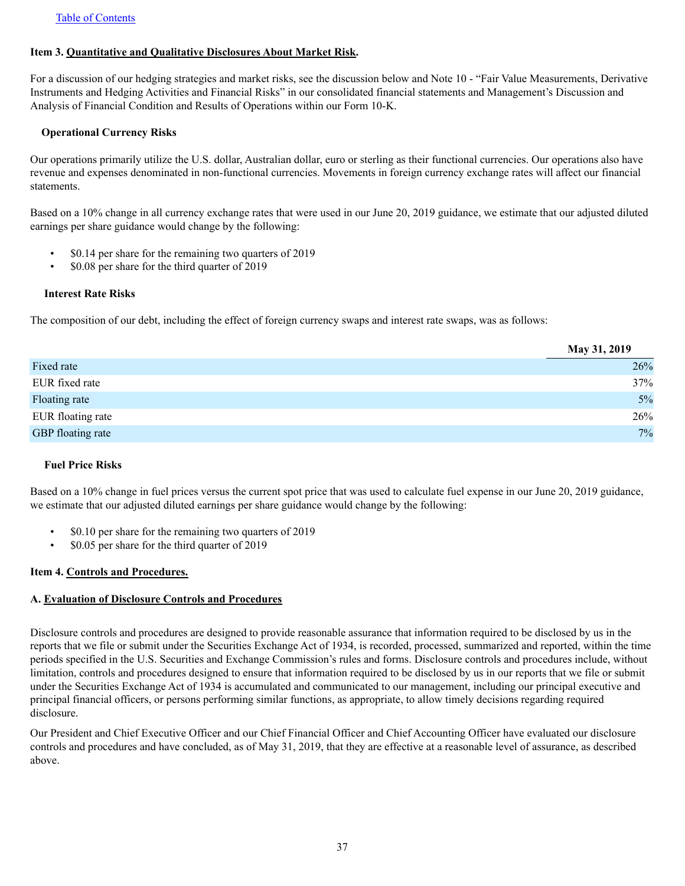## <span id="page-37-0"></span>**Item 3. Quantitative and Qualitative Disclosures About Market Risk.**

For a discussion of our hedging strategies and market risks, see the discussion below and Note 10 - "Fair Value Measurements, Derivative Instruments and Hedging Activities and Financial Risks" in our consolidated financial statements and Management's Discussion and Analysis of Financial Condition and Results of Operations within our Form 10-K.

## **Operational Currency Risks**

Our operations primarily utilize the U.S. dollar, Australian dollar, euro or sterling as their functional currencies. Our operations also have revenue and expenses denominated in non-functional currencies. Movements in foreign currency exchange rates will affect our financial statements.

Based on a 10% change in all currency exchange rates that were used in our June 20, 2019 guidance, we estimate that our adjusted diluted earnings per share guidance would change by the following:

- \$0.14 per share for the remaining two quarters of 2019
- \$0.08 per share for the third quarter of 2019

## **Interest Rate Risks**

The composition of our debt, including the effect of foreign currency swaps and interest rate swaps, was as follows:

|                   | May 31, 2019 |
|-------------------|--------------|
| Fixed rate        | 26%          |
| EUR fixed rate    | 37%          |
| Floating rate     | 5%           |
| EUR floating rate | 26%          |
| GBP floating rate | 7%           |

## **Fuel Price Risks**

Based on a 10% change in fuel prices versus the current spot price that was used to calculate fuel expense in our June 20, 2019 guidance, we estimate that our adjusted diluted earnings per share guidance would change by the following:

• \$0.10 per share for the remaining two quarters of 2019

• \$0.05 per share for the third quarter of 2019

## **Item 4. Controls and Procedures.**

## **A. Evaluation of Disclosure Controls and Procedures**

Disclosure controls and procedures are designed to provide reasonable assurance that information required to be disclosed by us in the reports that we file or submit under the Securities Exchange Act of 1934, is recorded, processed, summarized and reported, within the time periods specified in the U.S. Securities and Exchange Commission's rules and forms. Disclosure controls and procedures include, without limitation, controls and procedures designed to ensure that information required to be disclosed by us in our reports that we file or submit under the Securities Exchange Act of 1934 is accumulated and communicated to our management, including our principal executive and principal financial officers, or persons performing similar functions, as appropriate, to allow timely decisions regarding required disclosure.

Our President and Chief Executive Officer and our Chief Financial Officer and Chief Accounting Officer have evaluated our disclosure controls and procedures and have concluded, as of May 31, 2019, that they are effective at a reasonable level of assurance, as described above.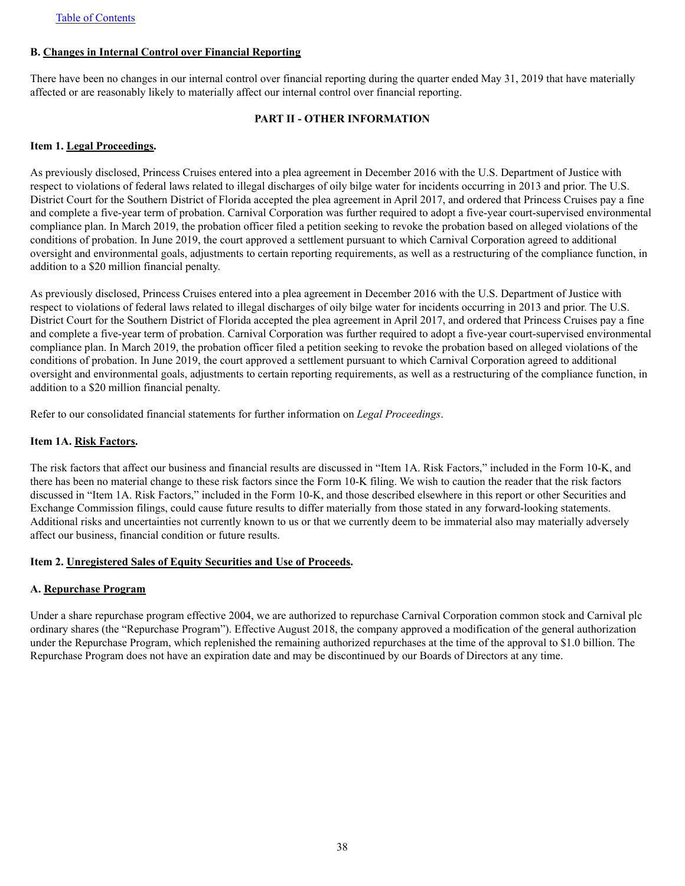## <span id="page-38-0"></span>**B. Changes in Internal Control over Financial Reporting**

There have been no changes in our internal control over financial reporting during the quarter ended May 31, 2019 that have materially affected or are reasonably likely to materially affect our internal control over financial reporting.

## **PART II - OTHER INFORMATION**

## **Item 1. Legal Proceedings.**

As previously disclosed, Princess Cruises entered into a plea agreement in December 2016 with the U.S. Department of Justice with respect to violations of federal laws related to illegal discharges of oily bilge water for incidents occurring in 2013 and prior. The U.S. District Court for the Southern District of Florida accepted the plea agreement in April 2017, and ordered that Princess Cruises pay a fine and complete a five-year term of probation. Carnival Corporation was further required to adopt a five-year court-supervised environmental compliance plan. In March 2019, the probation officer filed a petition seeking to revoke the probation based on alleged violations of the conditions of probation. In June 2019, the court approved a settlement pursuant to which Carnival Corporation agreed to additional oversight and environmental goals, adjustments to certain reporting requirements, as well as a restructuring of the compliance function, in addition to a \$20 million financial penalty.

As previously disclosed, Princess Cruises entered into a plea agreement in December 2016 with the U.S. Department of Justice with respect to violations of federal laws related to illegal discharges of oily bilge water for incidents occurring in 2013 and prior. The U.S. District Court for the Southern District of Florida accepted the plea agreement in April 2017, and ordered that Princess Cruises pay a fine and complete a five-year term of probation. Carnival Corporation was further required to adopt a five-year court-supervised environmental compliance plan. In March 2019, the probation officer filed a petition seeking to revoke the probation based on alleged violations of the conditions of probation. In June 2019, the court approved a settlement pursuant to which Carnival Corporation agreed to additional oversight and environmental goals, adjustments to certain reporting requirements, as well as a restructuring of the compliance function, in addition to a \$20 million financial penalty.

Refer to our consolidated financial statements for further information on *Legal Proceedings*.

## **Item 1A. Risk Factors.**

The risk factors that affect our business and financial results are discussed in "Item 1A. Risk Factors," included in the Form 10-K, and there has been no material change to these risk factors since the Form 10-K filing. We wish to caution the reader that the risk factors discussed in "Item 1A. Risk Factors," included in the Form 10-K, and those described elsewhere in this report or other Securities and Exchange Commission filings, could cause future results to differ materially from those stated in any forward-looking statements. Additional risks and uncertainties not currently known to us or that we currently deem to be immaterial also may materially adversely affect our business, financial condition or future results.

## **Item 2. Unregistered Sales of Equity Securities and Use of Proceeds.**

## **A. Repurchase Program**

Under a share repurchase program effective 2004, we are authorized to repurchase Carnival Corporation common stock and Carnival plc ordinary shares (the "Repurchase Program"). Effective August 2018, the company approved a modification of the general authorization under the Repurchase Program, which replenished the remaining authorized repurchases at the time of the approval to \$1.0 billion. The Repurchase Program does not have an expiration date and may be discontinued by our Boards of Directors at any time.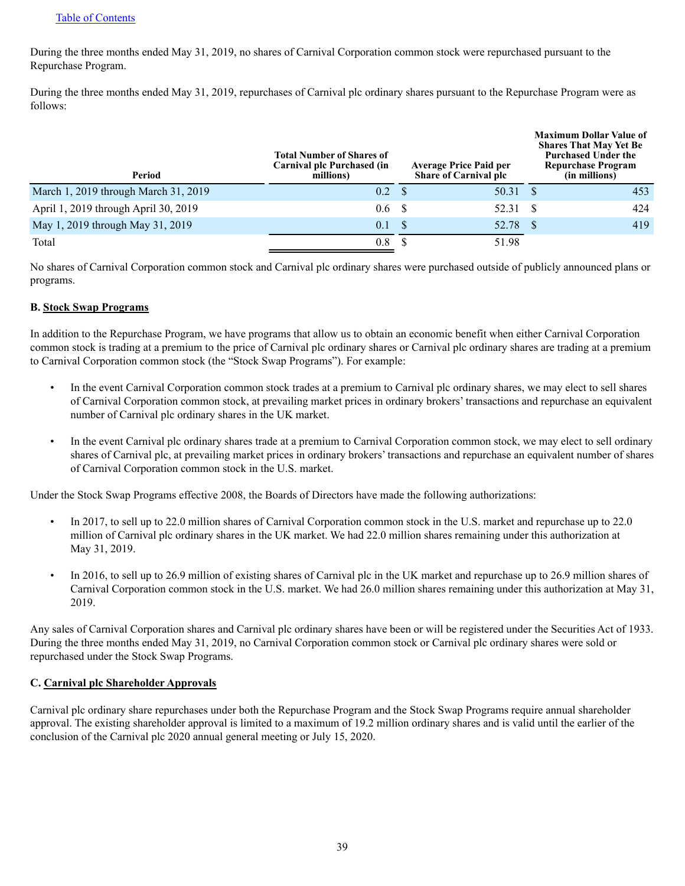During the three months ended May 31, 2019, no shares of Carnival Corporation common stock were repurchased pursuant to the Repurchase Program.

During the three months ended May 31, 2019, repurchases of Carnival plc ordinary shares pursuant to the Repurchase Program were as follows:

| Period                               | <b>Total Number of Shares of</b><br>Carnival plc Purchased (in<br>millions) | <b>Average Price Paid per</b><br><b>Share of Carnival plc</b> |    | <b>Maximum Dollar Value of</b><br><b>Shares That May Yet Be</b><br><b>Purchased Under the</b><br><b>Repurchase Program</b><br>(in millions) |
|--------------------------------------|-----------------------------------------------------------------------------|---------------------------------------------------------------|----|---------------------------------------------------------------------------------------------------------------------------------------------|
| March 1, 2019 through March 31, 2019 | $0.2 \quad$                                                                 | 50.31                                                         |    | 453                                                                                                                                         |
| April 1, 2019 through April 30, 2019 | $0.6-5$                                                                     | 52.31                                                         | -8 | 424                                                                                                                                         |
| May 1, 2019 through May 31, 2019     | 0.1                                                                         | 52.78                                                         | -8 | 419                                                                                                                                         |
| Total                                | 0.8                                                                         | 51.98                                                         |    |                                                                                                                                             |

No shares of Carnival Corporation common stock and Carnival plc ordinary shares were purchased outside of publicly announced plans or programs.

## **B. Stock Swap Programs**

In addition to the Repurchase Program, we have programs that allow us to obtain an economic benefit when either Carnival Corporation common stock is trading at a premium to the price of Carnival plc ordinary shares or Carnival plc ordinary shares are trading at a premium to Carnival Corporation common stock (the "Stock Swap Programs"). For example:

- In the event Carnival Corporation common stock trades at a premium to Carnival plc ordinary shares, we may elect to sell shares of Carnival Corporation common stock, at prevailing market prices in ordinary brokers' transactions and repurchase an equivalent number of Carnival plc ordinary shares in the UK market.
- In the event Carnival plc ordinary shares trade at a premium to Carnival Corporation common stock, we may elect to sell ordinary shares of Carnival plc, at prevailing market prices in ordinary brokers' transactions and repurchase an equivalent number of shares of Carnival Corporation common stock in the U.S. market.

Under the Stock Swap Programs effective 2008, the Boards of Directors have made the following authorizations:

- In 2017, to sell up to 22.0 million shares of Carnival Corporation common stock in the U.S. market and repurchase up to 22.0 million of Carnival plc ordinary shares in the UK market. We had 22.0 million shares remaining under this authorization at May 31, 2019.
- In 2016, to sell up to 26.9 million of existing shares of Carnival plc in the UK market and repurchase up to 26.9 million shares of Carnival Corporation common stock in the U.S. market. We had 26.0 million shares remaining under this authorization at May 31, 2019.

Any sales of Carnival Corporation shares and Carnival plc ordinary shares have been or will be registered under the Securities Act of 1933. During the three months ended May 31, 2019, no Carnival Corporation common stock or Carnival plc ordinary shares were sold or repurchased under the Stock Swap Programs.

## **C. Carnival plc Shareholder Approvals**

Carnival plc ordinary share repurchases under both the Repurchase Program and the Stock Swap Programs require annual shareholder approval. The existing shareholder approval is limited to a maximum of 19.2 million ordinary shares and is valid until the earlier of the conclusion of the Carnival plc 2020 annual general meeting or July 15, 2020.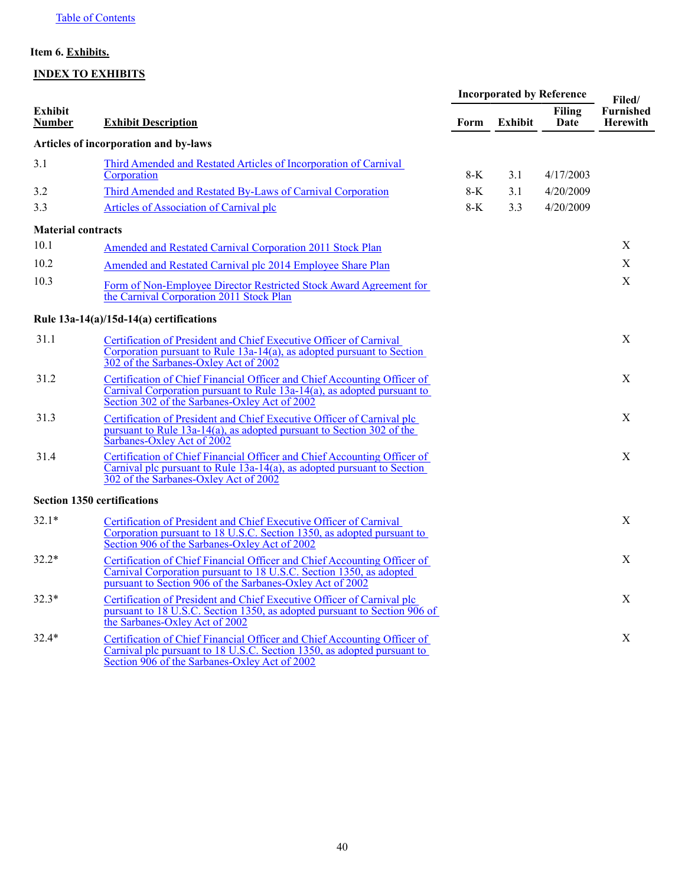## <span id="page-40-0"></span>**Item 6. Exhibits.**

## **INDEX TO EXHIBITS**

|                                 |                                                                                                                                                                                                              | <b>Incorporated by Reference</b> | Filed/         |                |                                     |
|---------------------------------|--------------------------------------------------------------------------------------------------------------------------------------------------------------------------------------------------------------|----------------------------------|----------------|----------------|-------------------------------------|
| <b>Exhibit</b><br><b>Number</b> | <b>Exhibit Description</b>                                                                                                                                                                                   | Form                             | <b>Exhibit</b> | Filing<br>Date | <b>Furnished</b><br><b>Herewith</b> |
|                                 | Articles of incorporation and by-laws                                                                                                                                                                        |                                  |                |                |                                     |
| 3.1                             | Third Amended and Restated Articles of Incorporation of Carnival<br>Corporation                                                                                                                              | 8-K                              | 3.1            | 4/17/2003      |                                     |
| 3.2                             | Third Amended and Restated By-Laws of Carnival Corporation                                                                                                                                                   | $8-K$                            | 3.1            | 4/20/2009      |                                     |
| 3.3                             | Articles of Association of Carnival plc                                                                                                                                                                      | $8-K$                            | 3.3            | 4/20/2009      |                                     |
| <b>Material contracts</b>       |                                                                                                                                                                                                              |                                  |                |                |                                     |
| 10.1                            | Amended and Restated Carnival Corporation 2011 Stock Plan                                                                                                                                                    |                                  |                |                | $\mathbf X$                         |
| 10.2                            | Amended and Restated Carnival plc 2014 Employee Share Plan                                                                                                                                                   |                                  |                |                | $\mathbf X$                         |
| 10.3                            | Form of Non-Employee Director Restricted Stock Award Agreement for<br>the Carnival Corporation 2011 Stock Plan                                                                                               |                                  |                |                | $\mathbf X$                         |
|                                 | Rule $13a-14(a)/15d-14(a)$ certifications                                                                                                                                                                    |                                  |                |                |                                     |
| 31.1                            | Certification of President and Chief Executive Officer of Carnival<br>Corporation pursuant to Rule $13a-14(a)$ , as adopted pursuant to Section<br>302 of the Sarbanes-Oxley Act of 2002                     |                                  |                |                | $\mathbf X$                         |
| 31.2                            | Certification of Chief Financial Officer and Chief Accounting Officer of<br>Carnival Corporation pursuant to Rule 13a-14(a), as adopted pursuant to<br>Section 302 of the Sarbanes-Oxley Act of 2002         |                                  |                |                | $\mathbf X$                         |
| 31.3                            | Certification of President and Chief Executive Officer of Carnival plc<br>pursuant to Rule $13a-14(a)$ , as adopted pursuant to Section 302 of the<br>Sarbanes-Oxley Act of 2002                             |                                  |                |                | $\mathbf X$                         |
| 31.4                            | Certification of Chief Financial Officer and Chief Accounting Officer of<br>Carnival plc pursuant to Rule 13a-14(a), as adopted pursuant to Section<br>302 of the Sarbanes-Oxley Act of 2002                 |                                  |                |                | $\mathbf X$                         |
|                                 | <b>Section 1350 certifications</b>                                                                                                                                                                           |                                  |                |                |                                     |
| $32.1*$                         | Certification of President and Chief Executive Officer of Carnival<br>Corporation pursuant to 18 U.S.C. Section 1350, as adopted pursuant to<br>Section 906 of the Sarbanes-Oxley Act of 2002                |                                  |                |                | $\mathbf X$                         |
| $32.2*$                         | Certification of Chief Financial Officer and Chief Accounting Officer of<br>Carnival Corporation pursuant to 18 U.S.C. Section 1350, as adopted<br>pursuant to Section 906 of the Sarbanes-Oxley Act of 2002 |                                  |                |                | $\mathbf X$                         |
| $32.3*$                         | Certification of President and Chief Executive Officer of Carnival plc<br>pursuant to 18 U.S.C. Section 1350, as adopted pursuant to Section 906 of<br>the Sarbanes-Oxley Act of 2002                        |                                  |                |                | $\mathbf X$                         |
| $32.4*$                         | Certification of Chief Financial Officer and Chief Accounting Officer of<br>Carnival plc pursuant to 18 U.S.C. Section 1350, as adopted pursuant to<br>Section 906 of the Sarbanes-Oxley Act of 2002         |                                  |                |                | $\mathbf X$                         |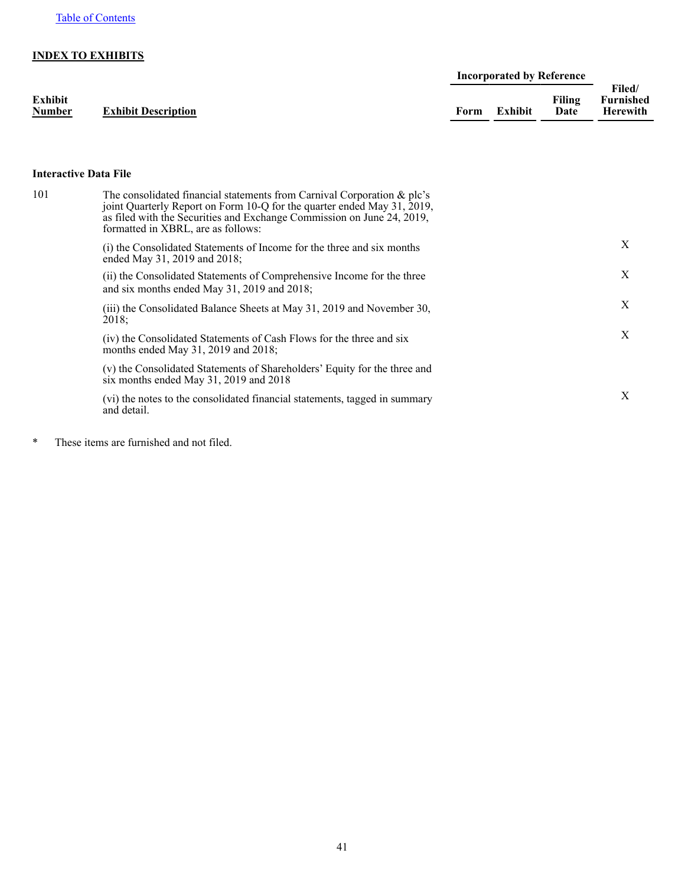## **INDEX TO EXHIBITS**

|                                 |                            | <b>Incorporated by Reference</b>  |                                         |
|---------------------------------|----------------------------|-----------------------------------|-----------------------------------------|
| <b>Exhibit</b><br><b>Number</b> | <b>Exhibit Description</b> | Filing<br>Exhibit<br>Form<br>Date | <b>Filed</b> /<br>Furnished<br>Herewith |

## **Interactive Data File**

| 101 | The consolidated financial statements from Carnival Corporation $\&$ plc's<br>joint Quarterly Report on Form 10-Q for the quarter ended May 31, 2019,<br>as filed with the Securities and Exchange Commission on June 24, 2019,<br>formatted in XBRL, are as follows: |   |
|-----|-----------------------------------------------------------------------------------------------------------------------------------------------------------------------------------------------------------------------------------------------------------------------|---|
|     | (i) the Consolidated Statements of Income for the three and six months<br>ended May 31, 2019 and 2018;                                                                                                                                                                | X |
|     | (ii) the Consolidated Statements of Comprehensive Income for the three<br>and six months ended May 31, 2019 and 2018;                                                                                                                                                 | X |
|     | (iii) the Consolidated Balance Sheets at May 31, 2019 and November 30,<br>2018:                                                                                                                                                                                       | X |
|     | (iv) the Consolidated Statements of Cash Flows for the three and six<br>months ended May 31, 2019 and 2018;                                                                                                                                                           | X |
|     | (v) the Consolidated Statements of Shareholders' Equity for the three and<br>six months ended May 31, 2019 and 2018                                                                                                                                                   |   |
|     | (vi) the notes to the consolidated financial statements, tagged in summary<br>and detail.                                                                                                                                                                             | X |
|     |                                                                                                                                                                                                                                                                       |   |

\* These items are furnished and not filed.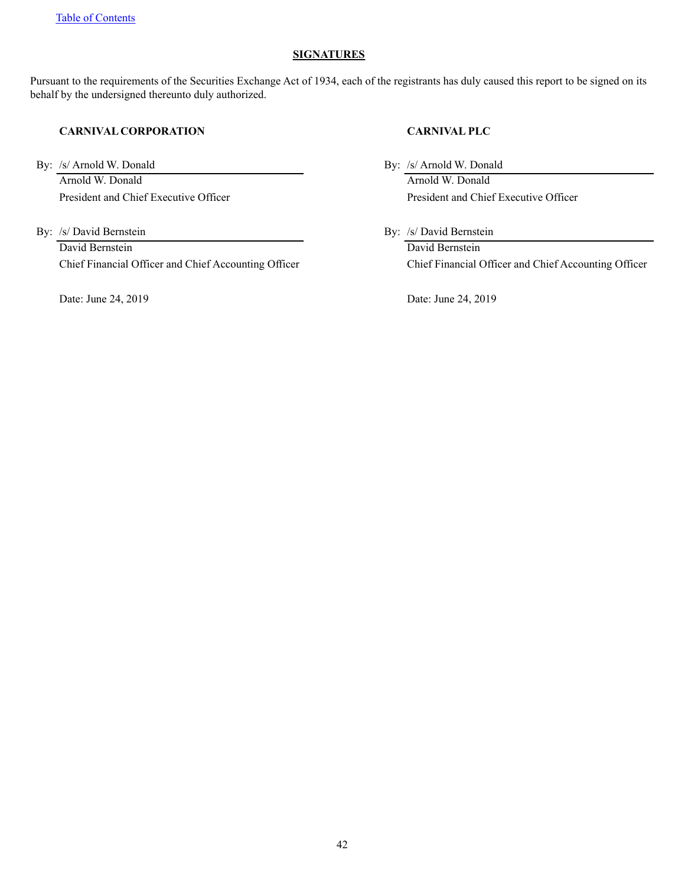## **SIGNATURES**

<span id="page-42-0"></span>Pursuant to the requirements of the Securities Exchange Act of 1934, each of the registrants has duly caused this report to be signed on its behalf by the undersigned thereunto duly authorized.

## **CARNIVAL CORPORATION CARNIVAL PLC**

Arnold W. Donald **Arnold W. Donald** 

David Bernstein David Bernstein

Date: June 24, 2019 Date: June 24, 2019

By: /s/ Arnold W. Donald By: /s/ Arnold W. Donald

President and Chief Executive Officer President and Chief Executive Officer

By: /s/ David Bernstein By: /s/ David Bernstein By: /s/ David Bernstein

Chief Financial Officer and Chief Accounting Officer Chief Financial Officer and Chief Accounting Officer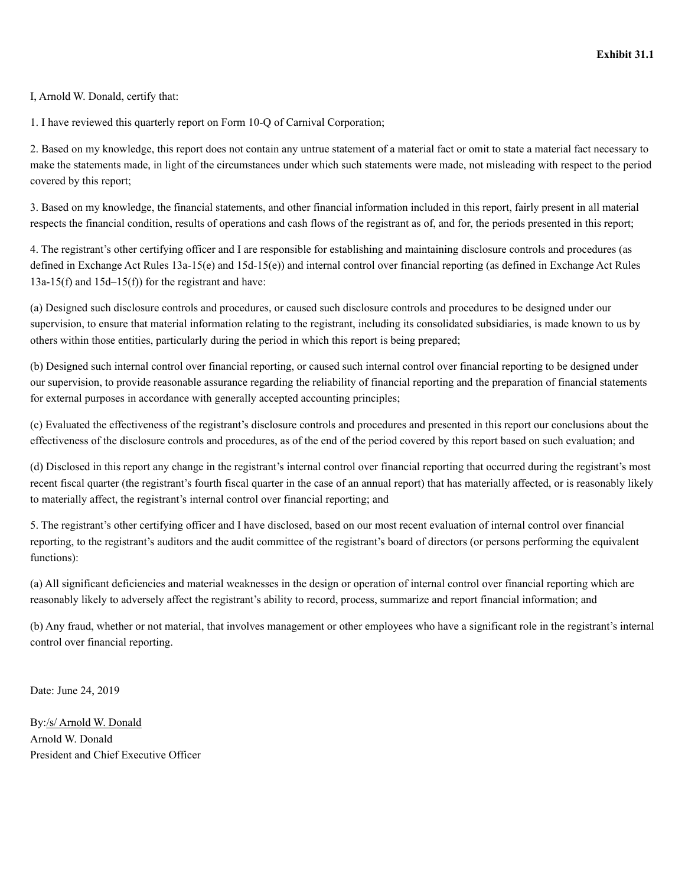I, Arnold W. Donald, certify that:

1. I have reviewed this quarterly report on Form 10-Q of Carnival Corporation;

2. Based on my knowledge, this report does not contain any untrue statement of a material fact or omit to state a material fact necessary to make the statements made, in light of the circumstances under which such statements were made, not misleading with respect to the period covered by this report;

3. Based on my knowledge, the financial statements, and other financial information included in this report, fairly present in all material respects the financial condition, results of operations and cash flows of the registrant as of, and for, the periods presented in this report;

4. The registrant's other certifying officer and I are responsible for establishing and maintaining disclosure controls and procedures (as defined in Exchange Act Rules 13a-15(e) and 15d-15(e)) and internal control over financial reporting (as defined in Exchange Act Rules 13a-15(f) and 15d $-15(f)$  for the registrant and have:

(a) Designed such disclosure controls and procedures, or caused such disclosure controls and procedures to be designed under our supervision, to ensure that material information relating to the registrant, including its consolidated subsidiaries, is made known to us by others within those entities, particularly during the period in which this report is being prepared;

(b) Designed such internal control over financial reporting, or caused such internal control over financial reporting to be designed under our supervision, to provide reasonable assurance regarding the reliability of financial reporting and the preparation of financial statements for external purposes in accordance with generally accepted accounting principles;

(c) Evaluated the effectiveness of the registrant's disclosure controls and procedures and presented in this report our conclusions about the effectiveness of the disclosure controls and procedures, as of the end of the period covered by this report based on such evaluation; and

(d) Disclosed in this report any change in the registrant's internal control over financial reporting that occurred during the registrant's most recent fiscal quarter (the registrant's fourth fiscal quarter in the case of an annual report) that has materially affected, or is reasonably likely to materially affect, the registrant's internal control over financial reporting; and

5. The registrant's other certifying officer and I have disclosed, based on our most recent evaluation of internal control over financial reporting, to the registrant's auditors and the audit committee of the registrant's board of directors (or persons performing the equivalent functions):

(a) All significant deficiencies and material weaknesses in the design or operation of internal control over financial reporting which are reasonably likely to adversely affect the registrant's ability to record, process, summarize and report financial information; and

(b) Any fraud, whether or not material, that involves management or other employees who have a significant role in the registrant's internal control over financial reporting.

Date: June 24, 2019

By:/s/ Arnold W. Donald Arnold W. Donald President and Chief Executive Officer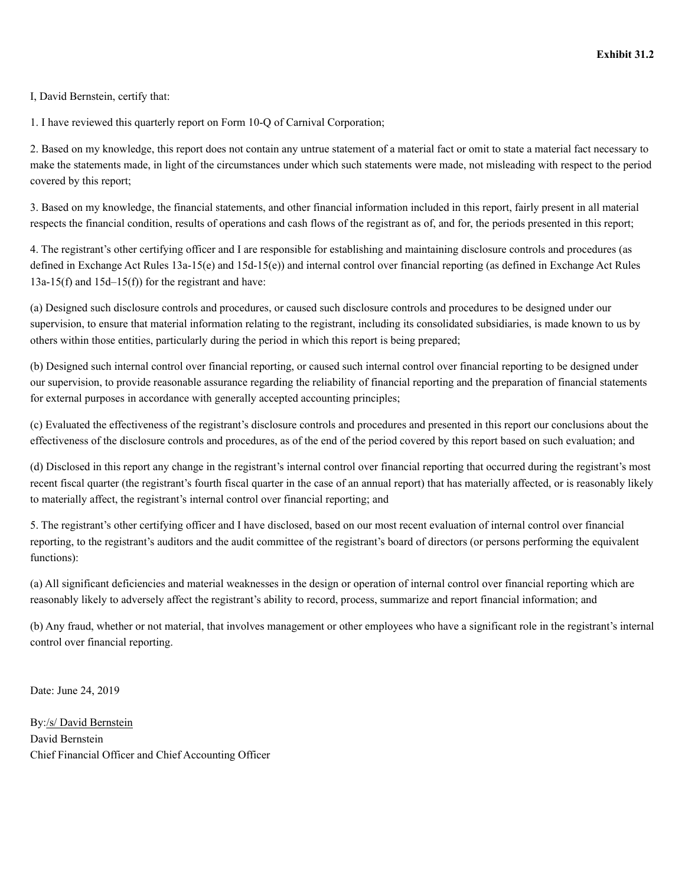I, David Bernstein, certify that:

1. I have reviewed this quarterly report on Form 10-Q of Carnival Corporation;

2. Based on my knowledge, this report does not contain any untrue statement of a material fact or omit to state a material fact necessary to make the statements made, in light of the circumstances under which such statements were made, not misleading with respect to the period covered by this report;

3. Based on my knowledge, the financial statements, and other financial information included in this report, fairly present in all material respects the financial condition, results of operations and cash flows of the registrant as of, and for, the periods presented in this report;

4. The registrant's other certifying officer and I are responsible for establishing and maintaining disclosure controls and procedures (as defined in Exchange Act Rules 13a-15(e) and 15d-15(e)) and internal control over financial reporting (as defined in Exchange Act Rules 13a-15(f) and 15d $-15(f)$  for the registrant and have:

(a) Designed such disclosure controls and procedures, or caused such disclosure controls and procedures to be designed under our supervision, to ensure that material information relating to the registrant, including its consolidated subsidiaries, is made known to us by others within those entities, particularly during the period in which this report is being prepared;

(b) Designed such internal control over financial reporting, or caused such internal control over financial reporting to be designed under our supervision, to provide reasonable assurance regarding the reliability of financial reporting and the preparation of financial statements for external purposes in accordance with generally accepted accounting principles;

(c) Evaluated the effectiveness of the registrant's disclosure controls and procedures and presented in this report our conclusions about the effectiveness of the disclosure controls and procedures, as of the end of the period covered by this report based on such evaluation; and

(d) Disclosed in this report any change in the registrant's internal control over financial reporting that occurred during the registrant's most recent fiscal quarter (the registrant's fourth fiscal quarter in the case of an annual report) that has materially affected, or is reasonably likely to materially affect, the registrant's internal control over financial reporting; and

5. The registrant's other certifying officer and I have disclosed, based on our most recent evaluation of internal control over financial reporting, to the registrant's auditors and the audit committee of the registrant's board of directors (or persons performing the equivalent functions):

(a) All significant deficiencies and material weaknesses in the design or operation of internal control over financial reporting which are reasonably likely to adversely affect the registrant's ability to record, process, summarize and report financial information; and

(b) Any fraud, whether or not material, that involves management or other employees who have a significant role in the registrant's internal control over financial reporting.

Date: June 24, 2019

By:/s/ David Bernstein David Bernstein Chief Financial Officer and Chief Accounting Officer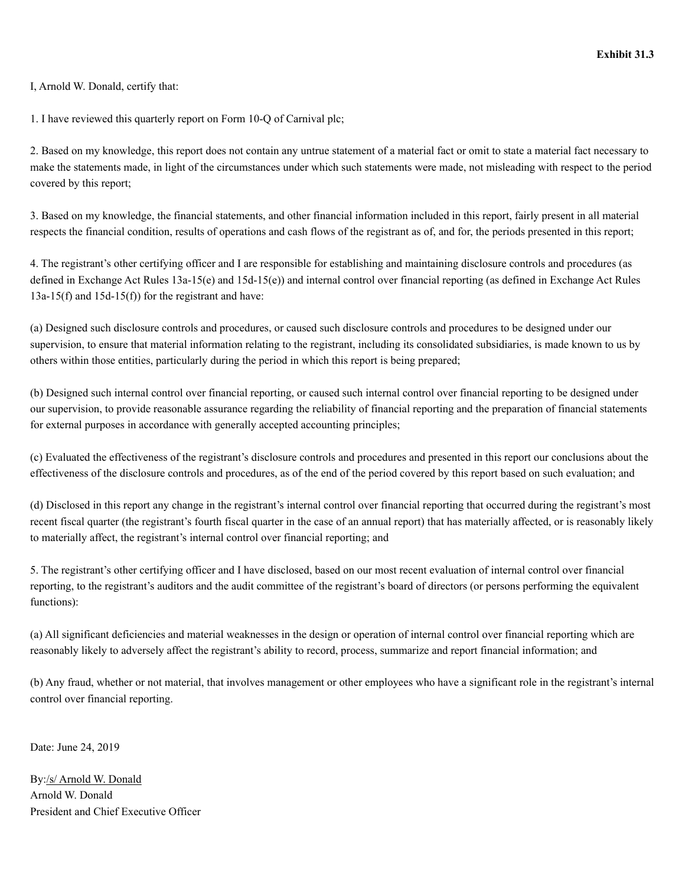I, Arnold W. Donald, certify that:

1. I have reviewed this quarterly report on Form 10-Q of Carnival plc;

2. Based on my knowledge, this report does not contain any untrue statement of a material fact or omit to state a material fact necessary to make the statements made, in light of the circumstances under which such statements were made, not misleading with respect to the period covered by this report;

3. Based on my knowledge, the financial statements, and other financial information included in this report, fairly present in all material respects the financial condition, results of operations and cash flows of the registrant as of, and for, the periods presented in this report;

4. The registrant's other certifying officer and I are responsible for establishing and maintaining disclosure controls and procedures (as defined in Exchange Act Rules 13a-15(e) and 15d-15(e)) and internal control over financial reporting (as defined in Exchange Act Rules 13a-15(f) and 15d-15(f)) for the registrant and have:

(a) Designed such disclosure controls and procedures, or caused such disclosure controls and procedures to be designed under our supervision, to ensure that material information relating to the registrant, including its consolidated subsidiaries, is made known to us by others within those entities, particularly during the period in which this report is being prepared;

(b) Designed such internal control over financial reporting, or caused such internal control over financial reporting to be designed under our supervision, to provide reasonable assurance regarding the reliability of financial reporting and the preparation of financial statements for external purposes in accordance with generally accepted accounting principles;

(c) Evaluated the effectiveness of the registrant's disclosure controls and procedures and presented in this report our conclusions about the effectiveness of the disclosure controls and procedures, as of the end of the period covered by this report based on such evaluation; and

(d) Disclosed in this report any change in the registrant's internal control over financial reporting that occurred during the registrant's most recent fiscal quarter (the registrant's fourth fiscal quarter in the case of an annual report) that has materially affected, or is reasonably likely to materially affect, the registrant's internal control over financial reporting; and

5. The registrant's other certifying officer and I have disclosed, based on our most recent evaluation of internal control over financial reporting, to the registrant's auditors and the audit committee of the registrant's board of directors (or persons performing the equivalent functions):

(a) All significant deficiencies and material weaknesses in the design or operation of internal control over financial reporting which are reasonably likely to adversely affect the registrant's ability to record, process, summarize and report financial information; and

(b) Any fraud, whether or not material, that involves management or other employees who have a significant role in the registrant's internal control over financial reporting.

Date: June 24, 2019

By:/s/ Arnold W. Donald Arnold W. Donald President and Chief Executive Officer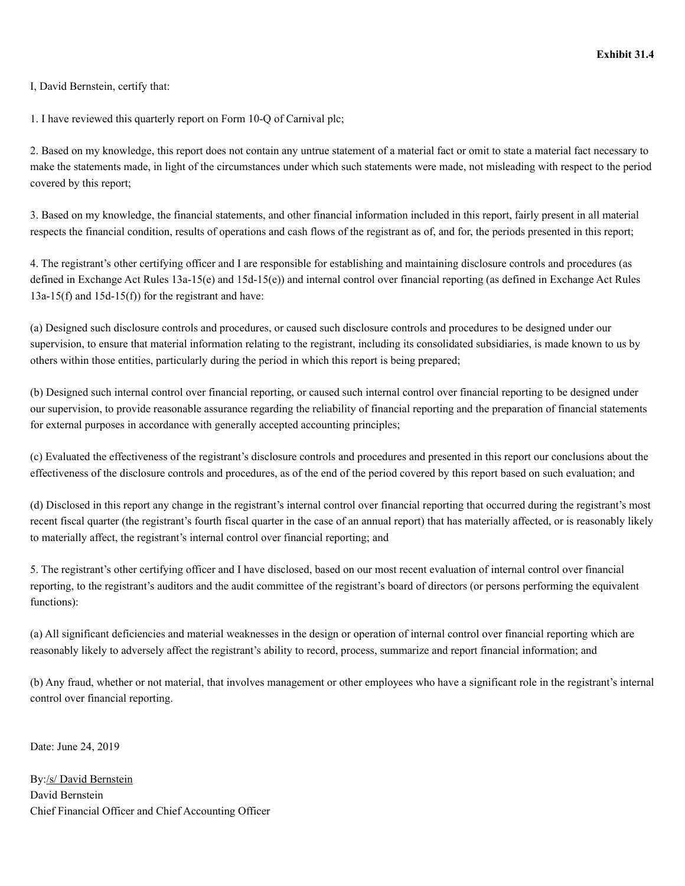## I, David Bernstein, certify that:

1. I have reviewed this quarterly report on Form 10-Q of Carnival plc;

2. Based on my knowledge, this report does not contain any untrue statement of a material fact or omit to state a material fact necessary to make the statements made, in light of the circumstances under which such statements were made, not misleading with respect to the period covered by this report;

3. Based on my knowledge, the financial statements, and other financial information included in this report, fairly present in all material respects the financial condition, results of operations and cash flows of the registrant as of, and for, the periods presented in this report;

4. The registrant's other certifying officer and I are responsible for establishing and maintaining disclosure controls and procedures (as defined in Exchange Act Rules 13a-15(e) and 15d-15(e)) and internal control over financial reporting (as defined in Exchange Act Rules 13a-15(f) and 15d-15(f)) for the registrant and have:

(a) Designed such disclosure controls and procedures, or caused such disclosure controls and procedures to be designed under our supervision, to ensure that material information relating to the registrant, including its consolidated subsidiaries, is made known to us by others within those entities, particularly during the period in which this report is being prepared;

(b) Designed such internal control over financial reporting, or caused such internal control over financial reporting to be designed under our supervision, to provide reasonable assurance regarding the reliability of financial reporting and the preparation of financial statements for external purposes in accordance with generally accepted accounting principles;

(c) Evaluated the effectiveness of the registrant's disclosure controls and procedures and presented in this report our conclusions about the effectiveness of the disclosure controls and procedures, as of the end of the period covered by this report based on such evaluation; and

(d) Disclosed in this report any change in the registrant's internal control over financial reporting that occurred during the registrant's most recent fiscal quarter (the registrant's fourth fiscal quarter in the case of an annual report) that has materially affected, or is reasonably likely to materially affect, the registrant's internal control over financial reporting; and

5. The registrant's other certifying officer and I have disclosed, based on our most recent evaluation of internal control over financial reporting, to the registrant's auditors and the audit committee of the registrant's board of directors (or persons performing the equivalent functions):

(a) All significant deficiencies and material weaknesses in the design or operation of internal control over financial reporting which are reasonably likely to adversely affect the registrant's ability to record, process, summarize and report financial information; and

(b) Any fraud, whether or not material, that involves management or other employees who have a significant role in the registrant's internal control over financial reporting.

Date: June 24, 2019

By:/s/ David Bernstein David Bernstein Chief Financial Officer and Chief Accounting Officer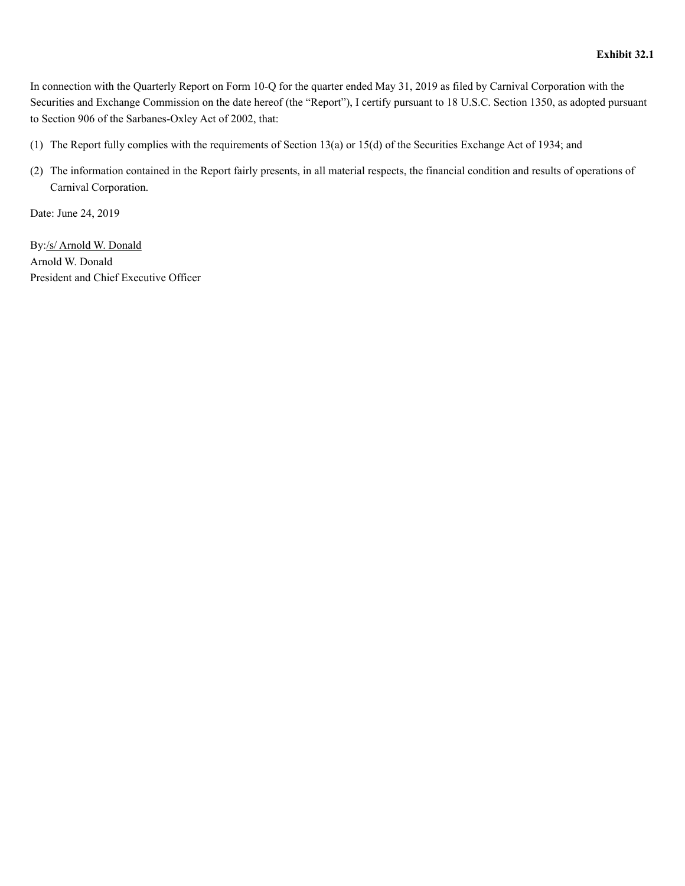In connection with the Quarterly Report on Form 10-Q for the quarter ended May 31, 2019 as filed by Carnival Corporation with the Securities and Exchange Commission on the date hereof (the "Report"), I certify pursuant to 18 U.S.C. Section 1350, as adopted pursuant to Section 906 of the Sarbanes-Oxley Act of 2002, that:

- (1) The Report fully complies with the requirements of Section 13(a) or 15(d) of the Securities Exchange Act of 1934; and
- (2) The information contained in the Report fairly presents, in all material respects, the financial condition and results of operations of Carnival Corporation.

Date: June 24, 2019

By:/s/ Arnold W. Donald Arnold W. Donald President and Chief Executive Officer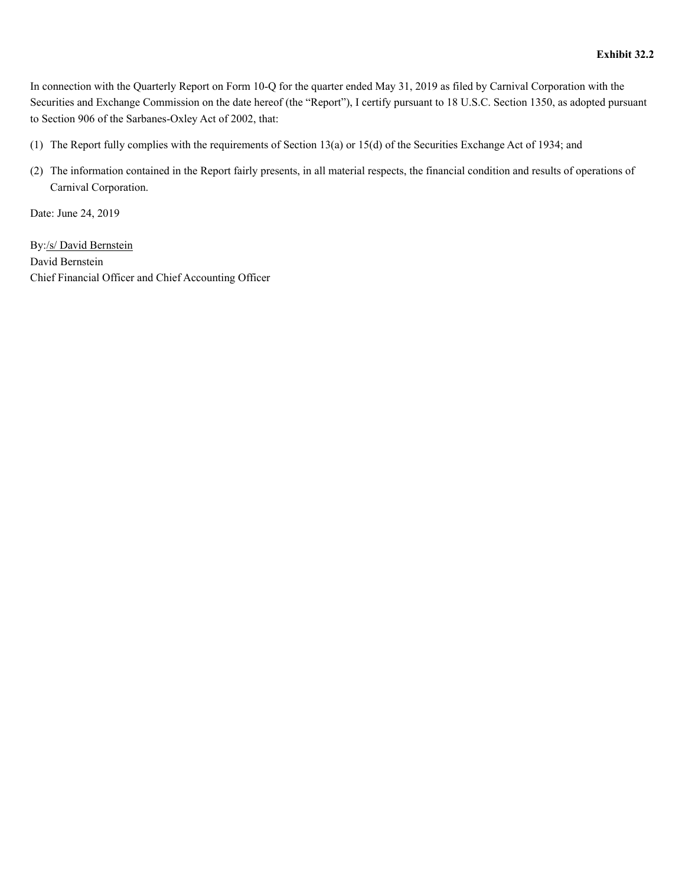In connection with the Quarterly Report on Form 10-Q for the quarter ended May 31, 2019 as filed by Carnival Corporation with the Securities and Exchange Commission on the date hereof (the "Report"), I certify pursuant to 18 U.S.C. Section 1350, as adopted pursuant to Section 906 of the Sarbanes-Oxley Act of 2002, that:

- (1) The Report fully complies with the requirements of Section 13(a) or 15(d) of the Securities Exchange Act of 1934; and
- (2) The information contained in the Report fairly presents, in all material respects, the financial condition and results of operations of Carnival Corporation.

Date: June 24, 2019

By:/s/ David Bernstein David Bernstein Chief Financial Officer and Chief Accounting Officer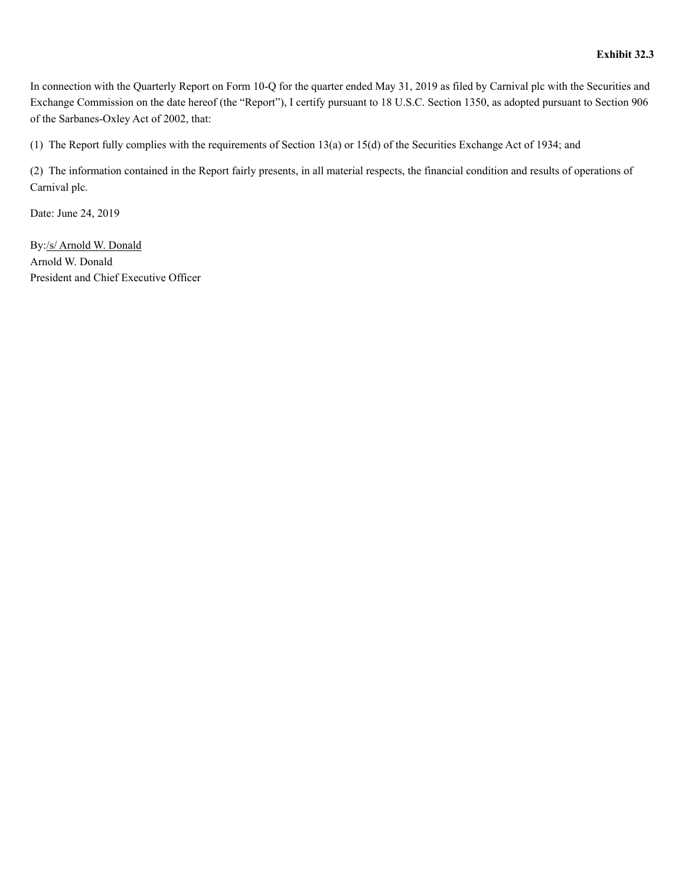In connection with the Quarterly Report on Form 10-Q for the quarter ended May 31, 2019 as filed by Carnival plc with the Securities and Exchange Commission on the date hereof (the "Report"), I certify pursuant to 18 U.S.C. Section 1350, as adopted pursuant to Section 906 of the Sarbanes-Oxley Act of 2002, that:

(1) The Report fully complies with the requirements of Section 13(a) or 15(d) of the Securities Exchange Act of 1934; and

(2) The information contained in the Report fairly presents, in all material respects, the financial condition and results of operations of Carnival plc.

Date: June 24, 2019

By:/s/ Arnold W. Donald Arnold W. Donald President and Chief Executive Officer